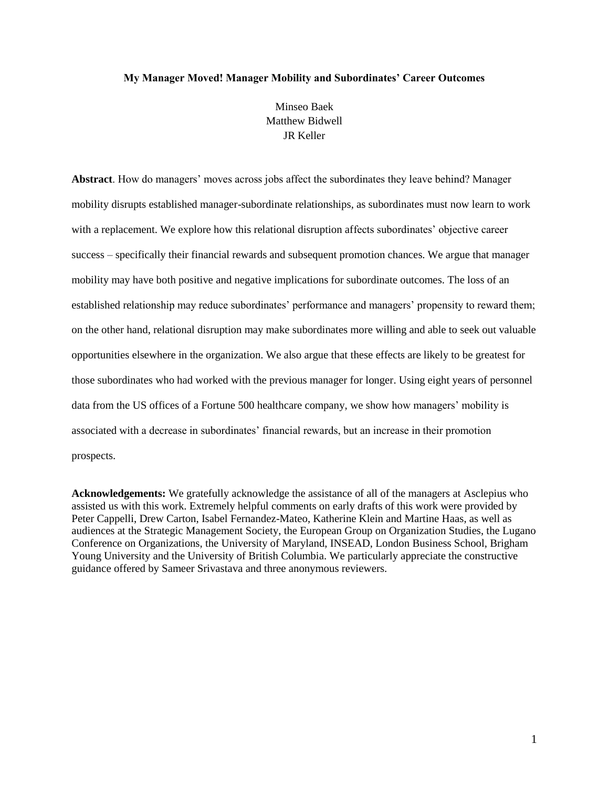#### **My Manager Moved! Manager Mobility and Subordinates' Career Outcomes**

Minseo Baek Matthew Bidwell JR Keller

**Abstract**. How do managers' moves across jobs affect the subordinates they leave behind? Manager mobility disrupts established manager-subordinate relationships, as subordinates must now learn to work with a replacement. We explore how this relational disruption affects subordinates' objective career success – specifically their financial rewards and subsequent promotion chances. We argue that manager mobility may have both positive and negative implications for subordinate outcomes. The loss of an established relationship may reduce subordinates' performance and managers' propensity to reward them; on the other hand, relational disruption may make subordinates more willing and able to seek out valuable opportunities elsewhere in the organization. We also argue that these effects are likely to be greatest for those subordinates who had worked with the previous manager for longer. Using eight years of personnel data from the US offices of a Fortune 500 healthcare company, we show how managers' mobility is associated with a decrease in subordinates' financial rewards, but an increase in their promotion prospects.

**Acknowledgements:** We gratefully acknowledge the assistance of all of the managers at Asclepius who assisted us with this work. Extremely helpful comments on early drafts of this work were provided by Peter Cappelli, Drew Carton, Isabel Fernandez-Mateo, Katherine Klein and Martine Haas, as well as audiences at the Strategic Management Society, the European Group on Organization Studies, the Lugano Conference on Organizations, the University of Maryland, INSEAD, London Business School, Brigham Young University and the University of British Columbia. We particularly appreciate the constructive guidance offered by Sameer Srivastava and three anonymous reviewers.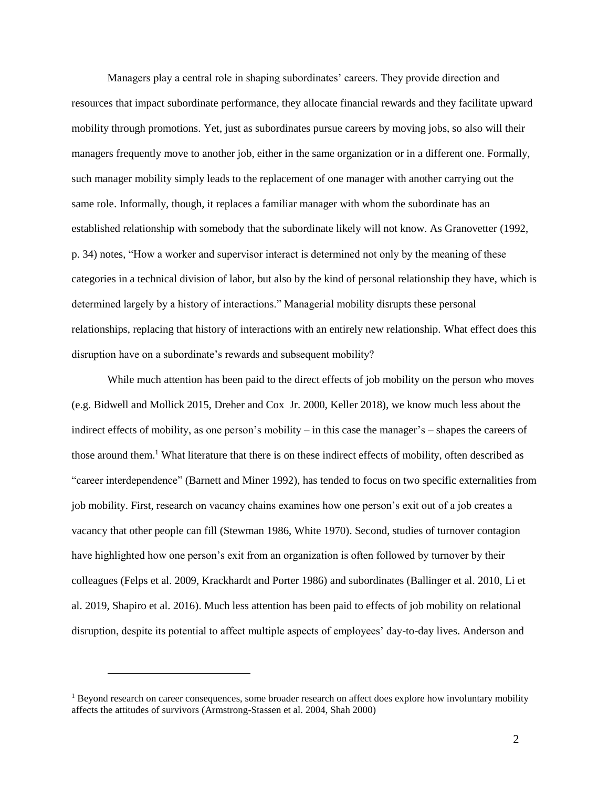Managers play a central role in shaping subordinates' careers. They provide direction and resources that impact subordinate performance, they allocate financial rewards and they facilitate upward mobility through promotions. Yet, just as subordinates pursue careers by moving jobs, so also will their managers frequently move to another job, either in the same organization or in a different one. Formally, such manager mobility simply leads to the replacement of one manager with another carrying out the same role. Informally, though, it replaces a familiar manager with whom the subordinate has an established relationship with somebody that the subordinate likely will not know. As Granovetter (1992, p. 34) notes, "How a worker and supervisor interact is determined not only by the meaning of these categories in a technical division of labor, but also by the kind of personal relationship they have, which is determined largely by a history of interactions." Managerial mobility disrupts these personal relationships, replacing that history of interactions with an entirely new relationship. What effect does this disruption have on a subordinate's rewards and subsequent mobility?

While much attention has been paid to the direct effects of job mobility on the person who moves (e.g. Bidwell and Mollick 2015, Dreher and Cox Jr. 2000, Keller 2018), we know much less about the indirect effects of mobility, as one person's mobility – in this case the manager's – shapes the careers of those around them.<sup>1</sup> What literature that there is on these indirect effects of mobility, often described as "career interdependence" (Barnett and Miner 1992), has tended to focus on two specific externalities from job mobility. First, research on vacancy chains examines how one person's exit out of a job creates a vacancy that other people can fill (Stewman 1986, White 1970). Second, studies of turnover contagion have highlighted how one person's exit from an organization is often followed by turnover by their colleagues (Felps et al. 2009, Krackhardt and Porter 1986) and subordinates (Ballinger et al. 2010, Li et al. 2019, Shapiro et al. 2016). Much less attention has been paid to effects of job mobility on relational disruption, despite its potential to affect multiple aspects of employees' day-to-day lives. Anderson and

 $\overline{a}$ 

<sup>&</sup>lt;sup>1</sup> Beyond research on career consequences, some broader research on affect does explore how involuntary mobility affects the attitudes of survivors (Armstrong-Stassen et al. 2004, Shah 2000)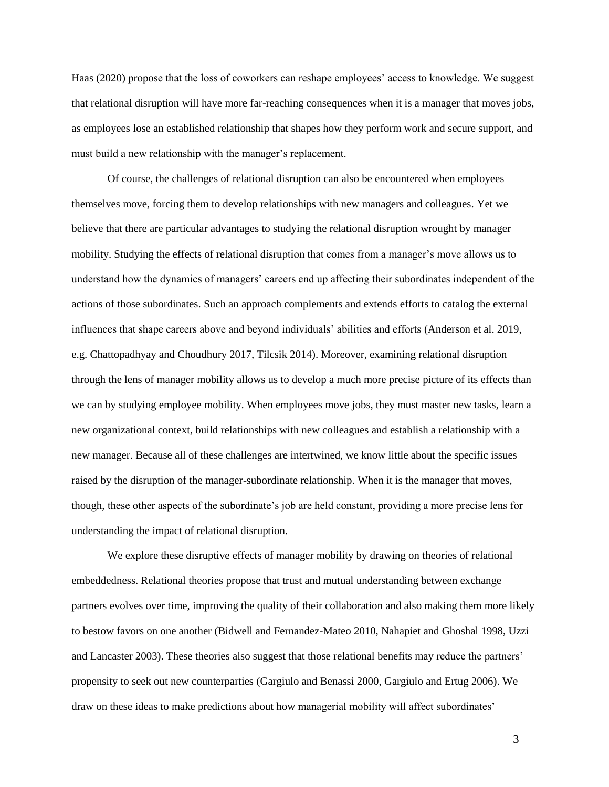Haas (2020) propose that the loss of coworkers can reshape employees' access to knowledge. We suggest that relational disruption will have more far-reaching consequences when it is a manager that moves jobs, as employees lose an established relationship that shapes how they perform work and secure support, and must build a new relationship with the manager's replacement.

Of course, the challenges of relational disruption can also be encountered when employees themselves move, forcing them to develop relationships with new managers and colleagues. Yet we believe that there are particular advantages to studying the relational disruption wrought by manager mobility. Studying the effects of relational disruption that comes from a manager's move allows us to understand how the dynamics of managers' careers end up affecting their subordinates independent of the actions of those subordinates. Such an approach complements and extends efforts to catalog the external influences that shape careers above and beyond individuals' abilities and efforts (Anderson et al. 2019, e.g. Chattopadhyay and Choudhury 2017, Tilcsik 2014). Moreover, examining relational disruption through the lens of manager mobility allows us to develop a much more precise picture of its effects than we can by studying employee mobility. When employees move jobs, they must master new tasks, learn a new organizational context, build relationships with new colleagues and establish a relationship with a new manager. Because all of these challenges are intertwined, we know little about the specific issues raised by the disruption of the manager-subordinate relationship. When it is the manager that moves, though, these other aspects of the subordinate's job are held constant, providing a more precise lens for understanding the impact of relational disruption.

We explore these disruptive effects of manager mobility by drawing on theories of relational embeddedness. Relational theories propose that trust and mutual understanding between exchange partners evolves over time, improving the quality of their collaboration and also making them more likely to bestow favors on one another (Bidwell and Fernandez-Mateo 2010, Nahapiet and Ghoshal 1998, Uzzi and Lancaster 2003). These theories also suggest that those relational benefits may reduce the partners' propensity to seek out new counterparties (Gargiulo and Benassi 2000, Gargiulo and Ertug 2006). We draw on these ideas to make predictions about how managerial mobility will affect subordinates'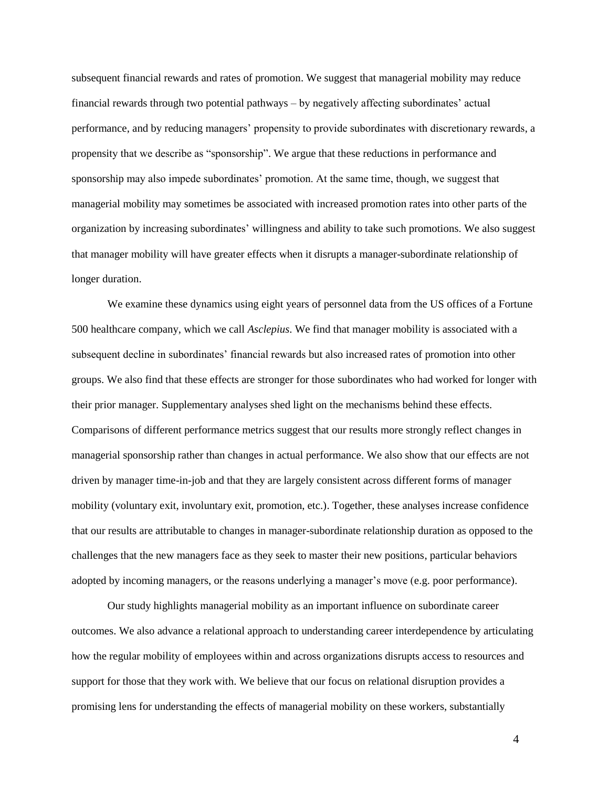subsequent financial rewards and rates of promotion. We suggest that managerial mobility may reduce financial rewards through two potential pathways – by negatively affecting subordinates' actual performance, and by reducing managers' propensity to provide subordinates with discretionary rewards, a propensity that we describe as "sponsorship". We argue that these reductions in performance and sponsorship may also impede subordinates' promotion. At the same time, though, we suggest that managerial mobility may sometimes be associated with increased promotion rates into other parts of the organization by increasing subordinates' willingness and ability to take such promotions. We also suggest that manager mobility will have greater effects when it disrupts a manager-subordinate relationship of longer duration.

We examine these dynamics using eight years of personnel data from the US offices of a Fortune 500 healthcare company, which we call *Asclepius*. We find that manager mobility is associated with a subsequent decline in subordinates' financial rewards but also increased rates of promotion into other groups. We also find that these effects are stronger for those subordinates who had worked for longer with their prior manager. Supplementary analyses shed light on the mechanisms behind these effects. Comparisons of different performance metrics suggest that our results more strongly reflect changes in managerial sponsorship rather than changes in actual performance. We also show that our effects are not driven by manager time-in-job and that they are largely consistent across different forms of manager mobility (voluntary exit, involuntary exit, promotion, etc.). Together, these analyses increase confidence that our results are attributable to changes in manager-subordinate relationship duration as opposed to the challenges that the new managers face as they seek to master their new positions, particular behaviors adopted by incoming managers, or the reasons underlying a manager's move (e.g. poor performance).

Our study highlights managerial mobility as an important influence on subordinate career outcomes. We also advance a relational approach to understanding career interdependence by articulating how the regular mobility of employees within and across organizations disrupts access to resources and support for those that they work with. We believe that our focus on relational disruption provides a promising lens for understanding the effects of managerial mobility on these workers, substantially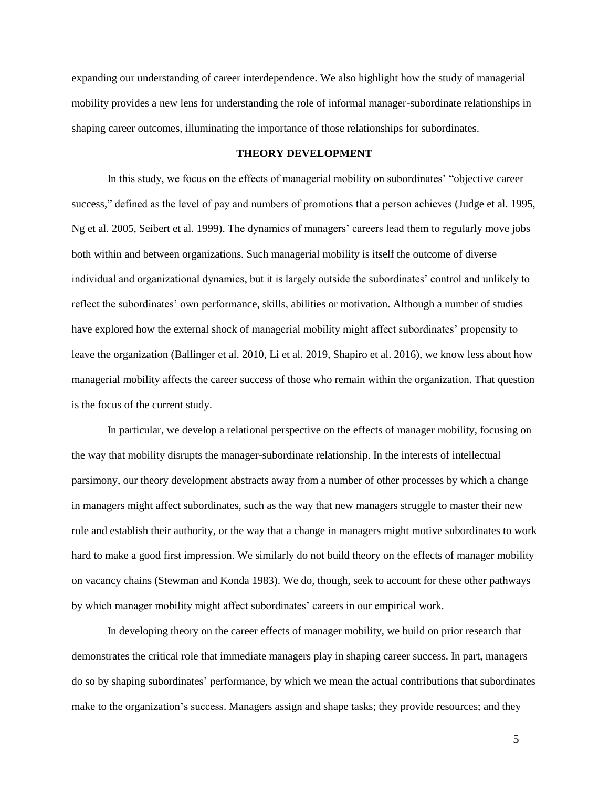expanding our understanding of career interdependence. We also highlight how the study of managerial mobility provides a new lens for understanding the role of informal manager-subordinate relationships in shaping career outcomes, illuminating the importance of those relationships for subordinates.

### **THEORY DEVELOPMENT**

In this study, we focus on the effects of managerial mobility on subordinates' "objective career success," defined as the level of pay and numbers of promotions that a person achieves (Judge et al. 1995, Ng et al. 2005, Seibert et al. 1999). The dynamics of managers' careers lead them to regularly move jobs both within and between organizations. Such managerial mobility is itself the outcome of diverse individual and organizational dynamics, but it is largely outside the subordinates' control and unlikely to reflect the subordinates' own performance, skills, abilities or motivation. Although a number of studies have explored how the external shock of managerial mobility might affect subordinates' propensity to leave the organization (Ballinger et al. 2010, Li et al. 2019, Shapiro et al. 2016), we know less about how managerial mobility affects the career success of those who remain within the organization. That question is the focus of the current study.

In particular, we develop a relational perspective on the effects of manager mobility, focusing on the way that mobility disrupts the manager-subordinate relationship. In the interests of intellectual parsimony, our theory development abstracts away from a number of other processes by which a change in managers might affect subordinates, such as the way that new managers struggle to master their new role and establish their authority, or the way that a change in managers might motive subordinates to work hard to make a good first impression. We similarly do not build theory on the effects of manager mobility on vacancy chains (Stewman and Konda 1983). We do, though, seek to account for these other pathways by which manager mobility might affect subordinates' careers in our empirical work.

In developing theory on the career effects of manager mobility, we build on prior research that demonstrates the critical role that immediate managers play in shaping career success. In part, managers do so by shaping subordinates' performance, by which we mean the actual contributions that subordinates make to the organization's success. Managers assign and shape tasks; they provide resources; and they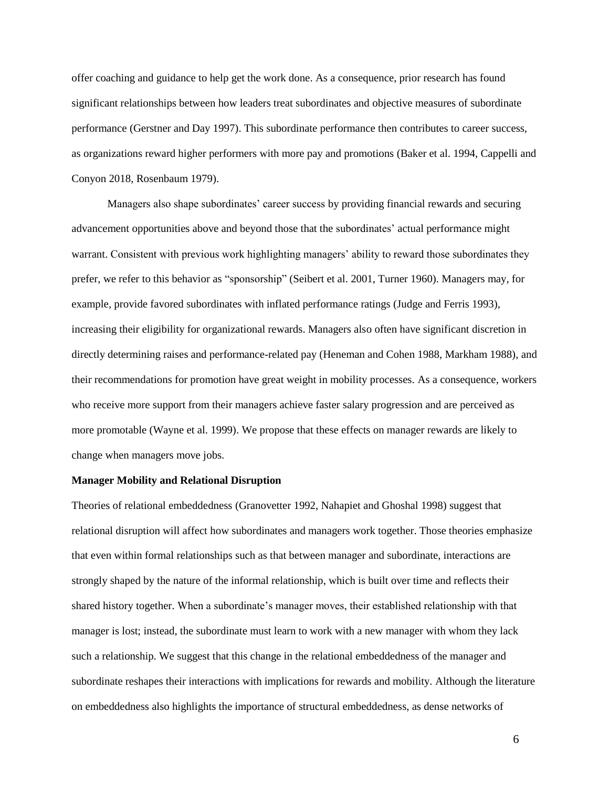offer coaching and guidance to help get the work done. As a consequence, prior research has found significant relationships between how leaders treat subordinates and objective measures of subordinate performance (Gerstner and Day 1997). This subordinate performance then contributes to career success, as organizations reward higher performers with more pay and promotions (Baker et al. 1994, Cappelli and Conyon 2018, Rosenbaum 1979).

Managers also shape subordinates' career success by providing financial rewards and securing advancement opportunities above and beyond those that the subordinates' actual performance might warrant. Consistent with previous work highlighting managers' ability to reward those subordinates they prefer, we refer to this behavior as "sponsorship" (Seibert et al. 2001, Turner 1960). Managers may, for example, provide favored subordinates with inflated performance ratings (Judge and Ferris 1993), increasing their eligibility for organizational rewards. Managers also often have significant discretion in directly determining raises and performance-related pay (Heneman and Cohen 1988, Markham 1988), and their recommendations for promotion have great weight in mobility processes. As a consequence, workers who receive more support from their managers achieve faster salary progression and are perceived as more promotable (Wayne et al. 1999). We propose that these effects on manager rewards are likely to change when managers move jobs.

# **Manager Mobility and Relational Disruption**

Theories of relational embeddedness (Granovetter 1992, Nahapiet and Ghoshal 1998) suggest that relational disruption will affect how subordinates and managers work together. Those theories emphasize that even within formal relationships such as that between manager and subordinate, interactions are strongly shaped by the nature of the informal relationship, which is built over time and reflects their shared history together. When a subordinate's manager moves, their established relationship with that manager is lost; instead, the subordinate must learn to work with a new manager with whom they lack such a relationship. We suggest that this change in the relational embeddedness of the manager and subordinate reshapes their interactions with implications for rewards and mobility. Although the literature on embeddedness also highlights the importance of structural embeddedness, as dense networks of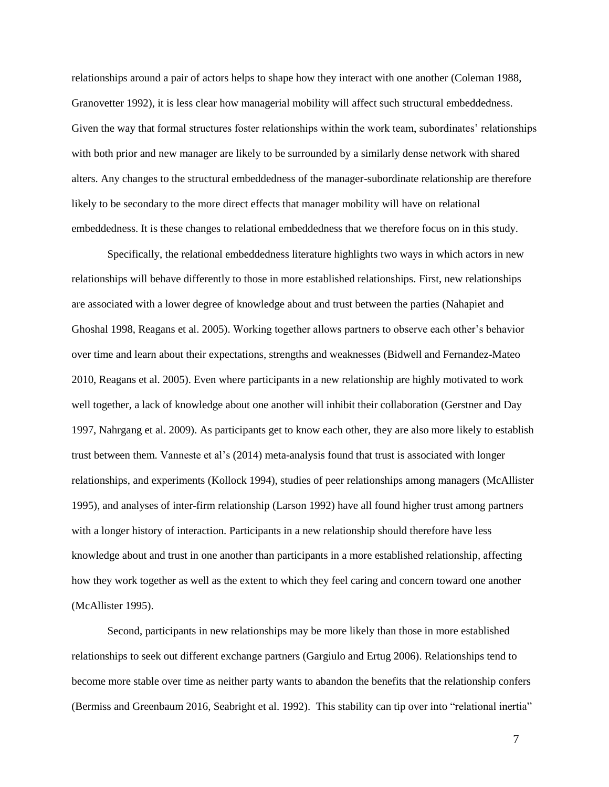relationships around a pair of actors helps to shape how they interact with one another (Coleman 1988, Granovetter 1992), it is less clear how managerial mobility will affect such structural embeddedness. Given the way that formal structures foster relationships within the work team, subordinates' relationships with both prior and new manager are likely to be surrounded by a similarly dense network with shared alters. Any changes to the structural embeddedness of the manager-subordinate relationship are therefore likely to be secondary to the more direct effects that manager mobility will have on relational embeddedness. It is these changes to relational embeddedness that we therefore focus on in this study.

Specifically, the relational embeddedness literature highlights two ways in which actors in new relationships will behave differently to those in more established relationships. First, new relationships are associated with a lower degree of knowledge about and trust between the parties (Nahapiet and Ghoshal 1998, Reagans et al. 2005). Working together allows partners to observe each other's behavior over time and learn about their expectations, strengths and weaknesses (Bidwell and Fernandez-Mateo 2010, Reagans et al. 2005). Even where participants in a new relationship are highly motivated to work well together, a lack of knowledge about one another will inhibit their collaboration (Gerstner and Day 1997, Nahrgang et al. 2009). As participants get to know each other, they are also more likely to establish trust between them. Vanneste et al's (2014) meta-analysis found that trust is associated with longer relationships, and experiments (Kollock 1994), studies of peer relationships among managers (McAllister 1995), and analyses of inter-firm relationship (Larson 1992) have all found higher trust among partners with a longer history of interaction. Participants in a new relationship should therefore have less knowledge about and trust in one another than participants in a more established relationship, affecting how they work together as well as the extent to which they feel caring and concern toward one another (McAllister 1995).

Second, participants in new relationships may be more likely than those in more established relationships to seek out different exchange partners (Gargiulo and Ertug 2006). Relationships tend to become more stable over time as neither party wants to abandon the benefits that the relationship confers (Bermiss and Greenbaum 2016, Seabright et al. 1992). This stability can tip over into "relational inertia"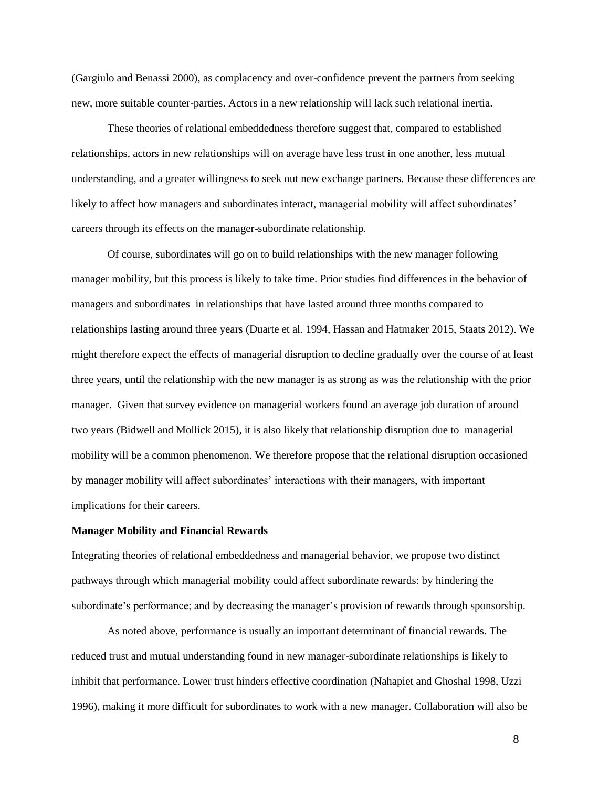(Gargiulo and Benassi 2000), as complacency and over-confidence prevent the partners from seeking new, more suitable counter-parties. Actors in a new relationship will lack such relational inertia.

These theories of relational embeddedness therefore suggest that, compared to established relationships, actors in new relationships will on average have less trust in one another, less mutual understanding, and a greater willingness to seek out new exchange partners. Because these differences are likely to affect how managers and subordinates interact, managerial mobility will affect subordinates' careers through its effects on the manager-subordinate relationship.

Of course, subordinates will go on to build relationships with the new manager following manager mobility, but this process is likely to take time. Prior studies find differences in the behavior of managers and subordinates in relationships that have lasted around three months compared to relationships lasting around three years (Duarte et al. 1994, Hassan and Hatmaker 2015, Staats 2012). We might therefore expect the effects of managerial disruption to decline gradually over the course of at least three years, until the relationship with the new manager is as strong as was the relationship with the prior manager. Given that survey evidence on managerial workers found an average job duration of around two years (Bidwell and Mollick 2015), it is also likely that relationship disruption due to managerial mobility will be a common phenomenon. We therefore propose that the relational disruption occasioned by manager mobility will affect subordinates' interactions with their managers, with important implications for their careers.

# **Manager Mobility and Financial Rewards**

Integrating theories of relational embeddedness and managerial behavior, we propose two distinct pathways through which managerial mobility could affect subordinate rewards: by hindering the subordinate's performance; and by decreasing the manager's provision of rewards through sponsorship.

As noted above, performance is usually an important determinant of financial rewards. The reduced trust and mutual understanding found in new manager-subordinate relationships is likely to inhibit that performance. Lower trust hinders effective coordination (Nahapiet and Ghoshal 1998, Uzzi 1996), making it more difficult for subordinates to work with a new manager. Collaboration will also be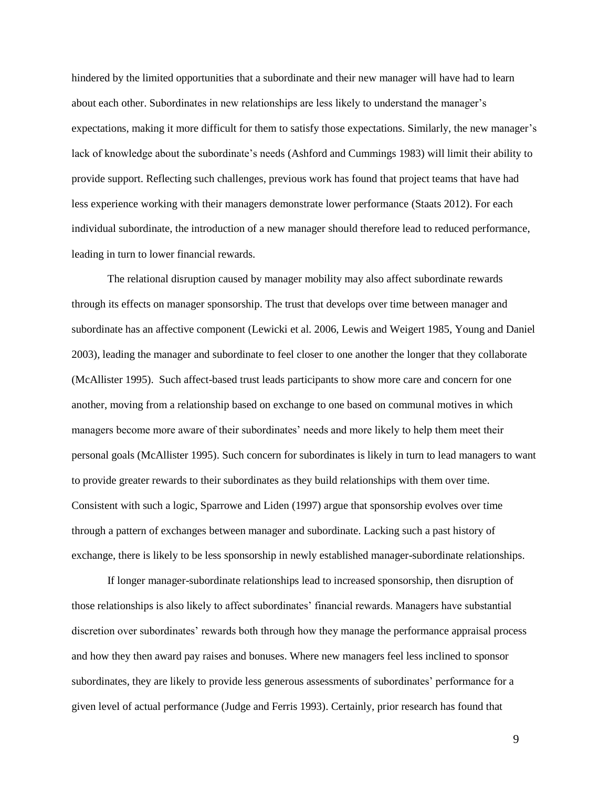hindered by the limited opportunities that a subordinate and their new manager will have had to learn about each other. Subordinates in new relationships are less likely to understand the manager's expectations, making it more difficult for them to satisfy those expectations. Similarly, the new manager's lack of knowledge about the subordinate's needs (Ashford and Cummings 1983) will limit their ability to provide support. Reflecting such challenges, previous work has found that project teams that have had less experience working with their managers demonstrate lower performance (Staats 2012). For each individual subordinate, the introduction of a new manager should therefore lead to reduced performance, leading in turn to lower financial rewards.

The relational disruption caused by manager mobility may also affect subordinate rewards through its effects on manager sponsorship. The trust that develops over time between manager and subordinate has an affective component (Lewicki et al. 2006, Lewis and Weigert 1985, Young and Daniel 2003), leading the manager and subordinate to feel closer to one another the longer that they collaborate (McAllister 1995). Such affect-based trust leads participants to show more care and concern for one another, moving from a relationship based on exchange to one based on communal motives in which managers become more aware of their subordinates' needs and more likely to help them meet their personal goals (McAllister 1995). Such concern for subordinates is likely in turn to lead managers to want to provide greater rewards to their subordinates as they build relationships with them over time. Consistent with such a logic, Sparrowe and Liden (1997) argue that sponsorship evolves over time through a pattern of exchanges between manager and subordinate. Lacking such a past history of exchange, there is likely to be less sponsorship in newly established manager-subordinate relationships.

If longer manager-subordinate relationships lead to increased sponsorship, then disruption of those relationships is also likely to affect subordinates' financial rewards. Managers have substantial discretion over subordinates' rewards both through how they manage the performance appraisal process and how they then award pay raises and bonuses. Where new managers feel less inclined to sponsor subordinates, they are likely to provide less generous assessments of subordinates' performance for a given level of actual performance (Judge and Ferris 1993). Certainly, prior research has found that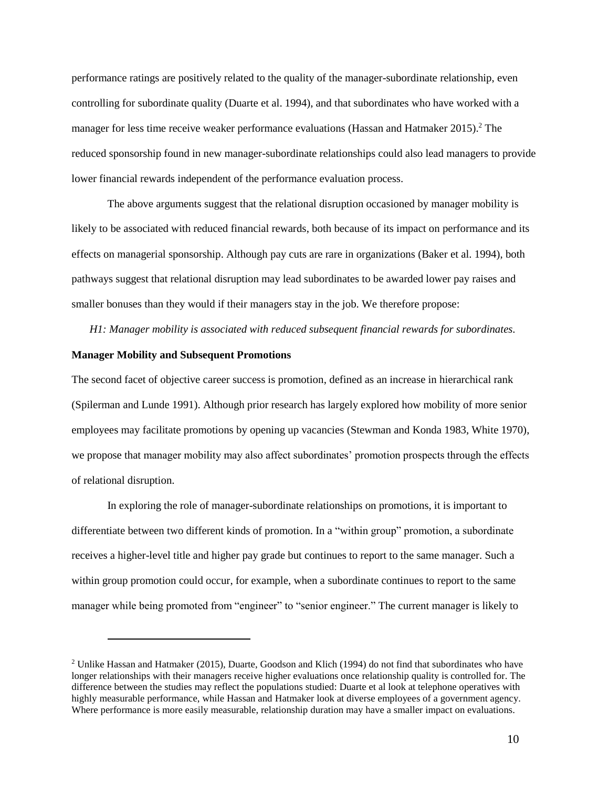performance ratings are positively related to the quality of the manager-subordinate relationship, even controlling for subordinate quality (Duarte et al. 1994), and that subordinates who have worked with a manager for less time receive weaker performance evaluations (Hassan and Hatmaker 2015).<sup>2</sup> The reduced sponsorship found in new manager-subordinate relationships could also lead managers to provide lower financial rewards independent of the performance evaluation process.

The above arguments suggest that the relational disruption occasioned by manager mobility is likely to be associated with reduced financial rewards, both because of its impact on performance and its effects on managerial sponsorship. Although pay cuts are rare in organizations (Baker et al. 1994), both pathways suggest that relational disruption may lead subordinates to be awarded lower pay raises and smaller bonuses than they would if their managers stay in the job. We therefore propose:

*H1: Manager mobility is associated with reduced subsequent financial rewards for subordinates.*

# **Manager Mobility and Subsequent Promotions**

 $\overline{a}$ 

The second facet of objective career success is promotion, defined as an increase in hierarchical rank (Spilerman and Lunde 1991). Although prior research has largely explored how mobility of more senior employees may facilitate promotions by opening up vacancies (Stewman and Konda 1983, White 1970), we propose that manager mobility may also affect subordinates' promotion prospects through the effects of relational disruption.

In exploring the role of manager-subordinate relationships on promotions, it is important to differentiate between two different kinds of promotion. In a "within group" promotion, a subordinate receives a higher-level title and higher pay grade but continues to report to the same manager. Such a within group promotion could occur, for example, when a subordinate continues to report to the same manager while being promoted from "engineer" to "senior engineer." The current manager is likely to

<sup>2</sup> Unlike Hassan and Hatmaker (2015), Duarte, Goodson and Klich (1994) do not find that subordinates who have longer relationships with their managers receive higher evaluations once relationship quality is controlled for. The difference between the studies may reflect the populations studied: Duarte et al look at telephone operatives with highly measurable performance, while Hassan and Hatmaker look at diverse employees of a government agency. Where performance is more easily measurable, relationship duration may have a smaller impact on evaluations.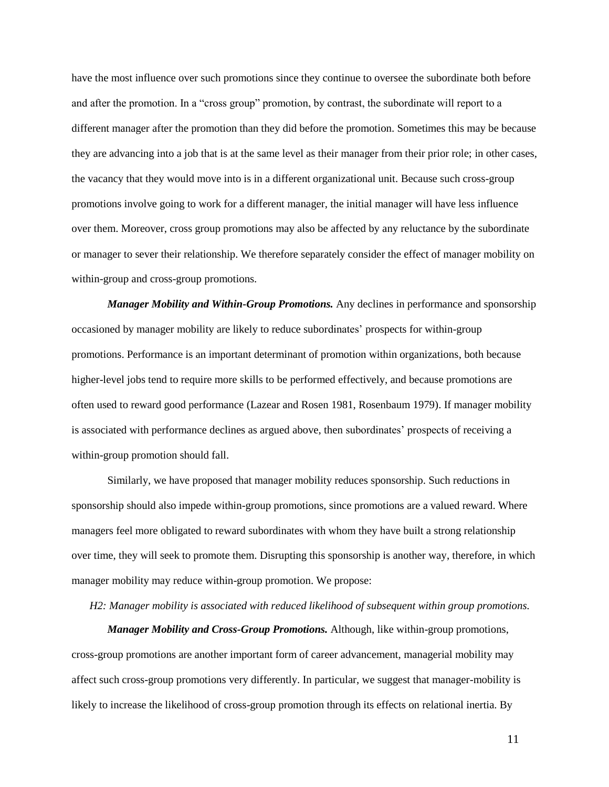have the most influence over such promotions since they continue to oversee the subordinate both before and after the promotion. In a "cross group" promotion, by contrast, the subordinate will report to a different manager after the promotion than they did before the promotion. Sometimes this may be because they are advancing into a job that is at the same level as their manager from their prior role; in other cases, the vacancy that they would move into is in a different organizational unit. Because such cross-group promotions involve going to work for a different manager, the initial manager will have less influence over them. Moreover, cross group promotions may also be affected by any reluctance by the subordinate or manager to sever their relationship. We therefore separately consider the effect of manager mobility on within-group and cross-group promotions.

*Manager Mobility and Within-Group Promotions.* Any declines in performance and sponsorship occasioned by manager mobility are likely to reduce subordinates' prospects for within-group promotions. Performance is an important determinant of promotion within organizations, both because higher-level jobs tend to require more skills to be performed effectively, and because promotions are often used to reward good performance (Lazear and Rosen 1981, Rosenbaum 1979). If manager mobility is associated with performance declines as argued above, then subordinates' prospects of receiving a within-group promotion should fall.

Similarly, we have proposed that manager mobility reduces sponsorship. Such reductions in sponsorship should also impede within-group promotions, since promotions are a valued reward. Where managers feel more obligated to reward subordinates with whom they have built a strong relationship over time, they will seek to promote them. Disrupting this sponsorship is another way, therefore, in which manager mobility may reduce within-group promotion. We propose:

*H2: Manager mobility is associated with reduced likelihood of subsequent within group promotions.*

*Manager Mobility and Cross-Group Promotions.* Although, like within-group promotions, cross-group promotions are another important form of career advancement, managerial mobility may affect such cross-group promotions very differently. In particular, we suggest that manager-mobility is likely to increase the likelihood of cross-group promotion through its effects on relational inertia. By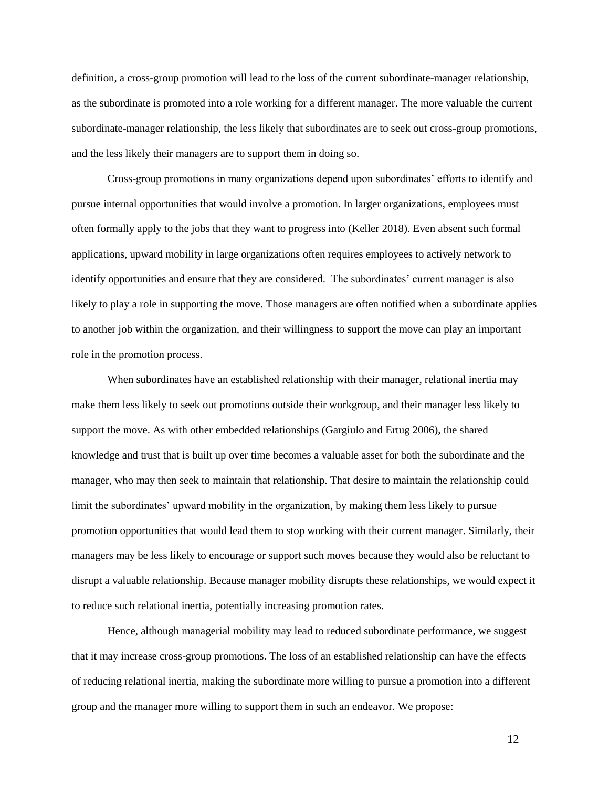definition, a cross-group promotion will lead to the loss of the current subordinate-manager relationship, as the subordinate is promoted into a role working for a different manager. The more valuable the current subordinate-manager relationship, the less likely that subordinates are to seek out cross-group promotions, and the less likely their managers are to support them in doing so.

Cross-group promotions in many organizations depend upon subordinates' efforts to identify and pursue internal opportunities that would involve a promotion. In larger organizations, employees must often formally apply to the jobs that they want to progress into (Keller 2018). Even absent such formal applications, upward mobility in large organizations often requires employees to actively network to identify opportunities and ensure that they are considered. The subordinates' current manager is also likely to play a role in supporting the move. Those managers are often notified when a subordinate applies to another job within the organization, and their willingness to support the move can play an important role in the promotion process.

When subordinates have an established relationship with their manager, relational inertia may make them less likely to seek out promotions outside their workgroup, and their manager less likely to support the move. As with other embedded relationships (Gargiulo and Ertug 2006), the shared knowledge and trust that is built up over time becomes a valuable asset for both the subordinate and the manager, who may then seek to maintain that relationship. That desire to maintain the relationship could limit the subordinates' upward mobility in the organization, by making them less likely to pursue promotion opportunities that would lead them to stop working with their current manager. Similarly, their managers may be less likely to encourage or support such moves because they would also be reluctant to disrupt a valuable relationship. Because manager mobility disrupts these relationships, we would expect it to reduce such relational inertia, potentially increasing promotion rates.

Hence, although managerial mobility may lead to reduced subordinate performance, we suggest that it may increase cross-group promotions. The loss of an established relationship can have the effects of reducing relational inertia, making the subordinate more willing to pursue a promotion into a different group and the manager more willing to support them in such an endeavor. We propose: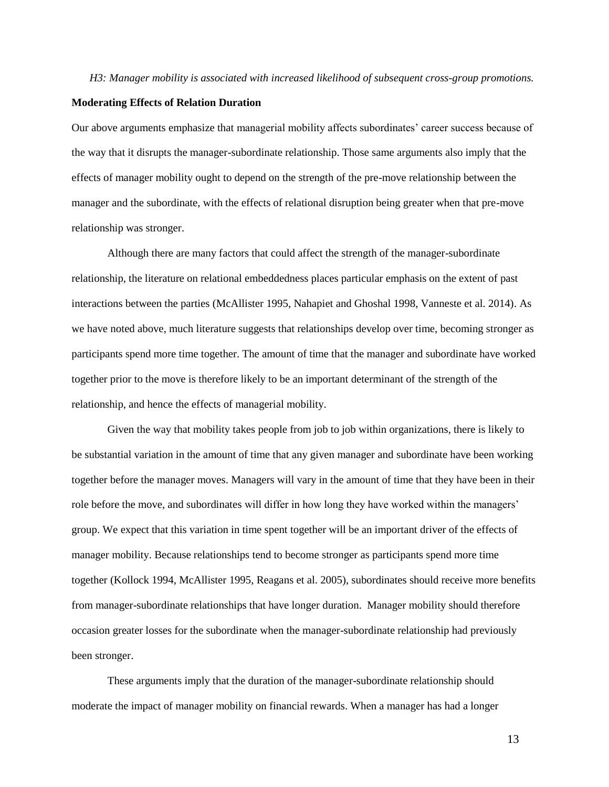#### *H3: Manager mobility is associated with increased likelihood of subsequent cross-group promotions.*

#### **Moderating Effects of Relation Duration**

Our above arguments emphasize that managerial mobility affects subordinates' career success because of the way that it disrupts the manager-subordinate relationship. Those same arguments also imply that the effects of manager mobility ought to depend on the strength of the pre-move relationship between the manager and the subordinate, with the effects of relational disruption being greater when that pre-move relationship was stronger.

Although there are many factors that could affect the strength of the manager-subordinate relationship, the literature on relational embeddedness places particular emphasis on the extent of past interactions between the parties (McAllister 1995, Nahapiet and Ghoshal 1998, Vanneste et al. 2014). As we have noted above, much literature suggests that relationships develop over time, becoming stronger as participants spend more time together. The amount of time that the manager and subordinate have worked together prior to the move is therefore likely to be an important determinant of the strength of the relationship, and hence the effects of managerial mobility.

Given the way that mobility takes people from job to job within organizations, there is likely to be substantial variation in the amount of time that any given manager and subordinate have been working together before the manager moves. Managers will vary in the amount of time that they have been in their role before the move, and subordinates will differ in how long they have worked within the managers' group. We expect that this variation in time spent together will be an important driver of the effects of manager mobility. Because relationships tend to become stronger as participants spend more time together (Kollock 1994, McAllister 1995, Reagans et al. 2005), subordinates should receive more benefits from manager-subordinate relationships that have longer duration. Manager mobility should therefore occasion greater losses for the subordinate when the manager-subordinate relationship had previously been stronger.

These arguments imply that the duration of the manager-subordinate relationship should moderate the impact of manager mobility on financial rewards. When a manager has had a longer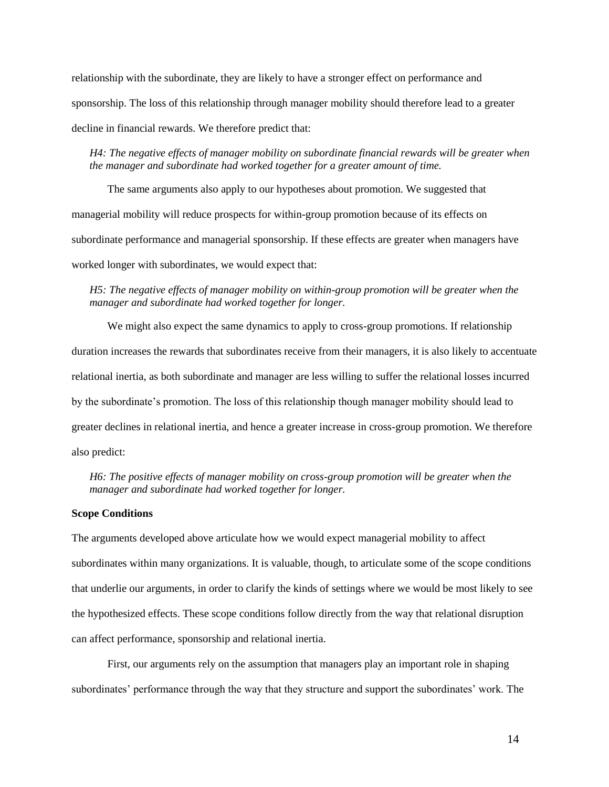relationship with the subordinate, they are likely to have a stronger effect on performance and sponsorship. The loss of this relationship through manager mobility should therefore lead to a greater decline in financial rewards. We therefore predict that:

*H4: The negative effects of manager mobility on subordinate financial rewards will be greater when the manager and subordinate had worked together for a greater amount of time.*

The same arguments also apply to our hypotheses about promotion. We suggested that managerial mobility will reduce prospects for within-group promotion because of its effects on subordinate performance and managerial sponsorship. If these effects are greater when managers have worked longer with subordinates, we would expect that:

*H5: The negative effects of manager mobility on within-group promotion will be greater when the manager and subordinate had worked together for longer.*

We might also expect the same dynamics to apply to cross-group promotions. If relationship duration increases the rewards that subordinates receive from their managers, it is also likely to accentuate relational inertia, as both subordinate and manager are less willing to suffer the relational losses incurred by the subordinate's promotion. The loss of this relationship though manager mobility should lead to greater declines in relational inertia, and hence a greater increase in cross-group promotion. We therefore also predict:

*H6: The positive effects of manager mobility on cross-group promotion will be greater when the manager and subordinate had worked together for longer.*

# **Scope Conditions**

The arguments developed above articulate how we would expect managerial mobility to affect subordinates within many organizations. It is valuable, though, to articulate some of the scope conditions that underlie our arguments, in order to clarify the kinds of settings where we would be most likely to see the hypothesized effects. These scope conditions follow directly from the way that relational disruption can affect performance, sponsorship and relational inertia.

First, our arguments rely on the assumption that managers play an important role in shaping subordinates' performance through the way that they structure and support the subordinates' work. The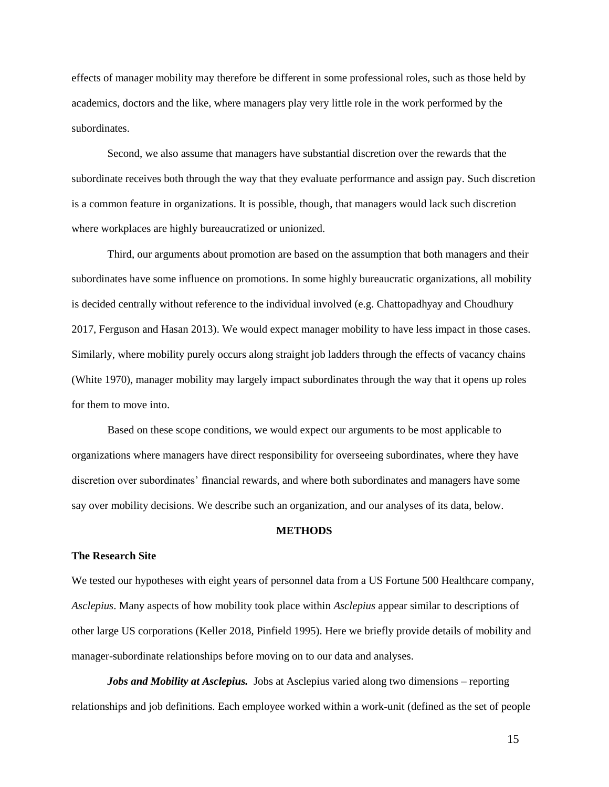effects of manager mobility may therefore be different in some professional roles, such as those held by academics, doctors and the like, where managers play very little role in the work performed by the subordinates.

Second, we also assume that managers have substantial discretion over the rewards that the subordinate receives both through the way that they evaluate performance and assign pay. Such discretion is a common feature in organizations. It is possible, though, that managers would lack such discretion where workplaces are highly bureaucratized or unionized.

Third, our arguments about promotion are based on the assumption that both managers and their subordinates have some influence on promotions. In some highly bureaucratic organizations, all mobility is decided centrally without reference to the individual involved (e.g. Chattopadhyay and Choudhury 2017, Ferguson and Hasan 2013). We would expect manager mobility to have less impact in those cases. Similarly, where mobility purely occurs along straight job ladders through the effects of vacancy chains (White 1970), manager mobility may largely impact subordinates through the way that it opens up roles for them to move into.

Based on these scope conditions, we would expect our arguments to be most applicable to organizations where managers have direct responsibility for overseeing subordinates, where they have discretion over subordinates' financial rewards, and where both subordinates and managers have some say over mobility decisions. We describe such an organization, and our analyses of its data, below.

### **METHODS**

#### **The Research Site**

We tested our hypotheses with eight years of personnel data from a US Fortune 500 Healthcare company, *Asclepius*. Many aspects of how mobility took place within *Asclepius* appear similar to descriptions of other large US corporations (Keller 2018, Pinfield 1995). Here we briefly provide details of mobility and manager-subordinate relationships before moving on to our data and analyses.

*Jobs and Mobility at Asclepius.* Jobs at Asclepius varied along two dimensions – reporting relationships and job definitions. Each employee worked within a work-unit (defined as the set of people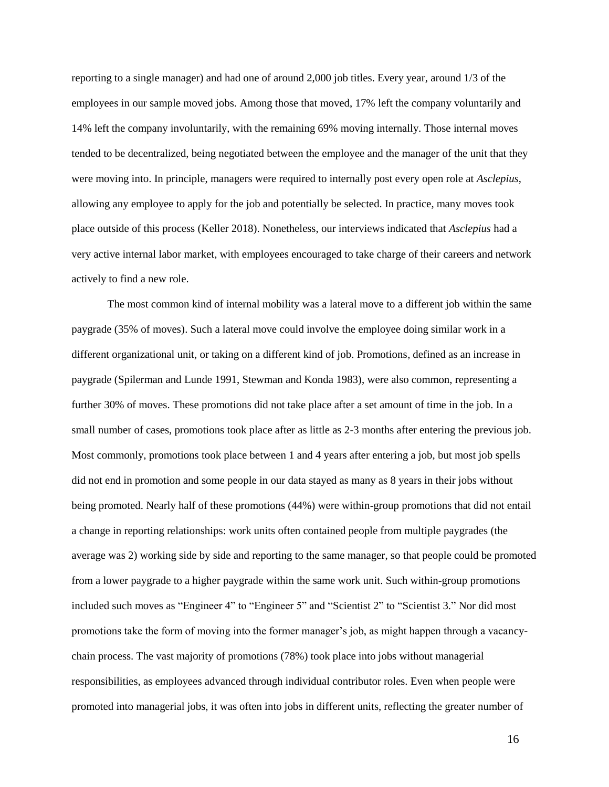reporting to a single manager) and had one of around 2,000 job titles. Every year, around 1/3 of the employees in our sample moved jobs. Among those that moved, 17% left the company voluntarily and 14% left the company involuntarily, with the remaining 69% moving internally. Those internal moves tended to be decentralized, being negotiated between the employee and the manager of the unit that they were moving into. In principle, managers were required to internally post every open role at *Asclepius*, allowing any employee to apply for the job and potentially be selected. In practice, many moves took place outside of this process (Keller 2018). Nonetheless, our interviews indicated that *Asclepius* had a very active internal labor market, with employees encouraged to take charge of their careers and network actively to find a new role.

The most common kind of internal mobility was a lateral move to a different job within the same paygrade (35% of moves). Such a lateral move could involve the employee doing similar work in a different organizational unit, or taking on a different kind of job. Promotions, defined as an increase in paygrade (Spilerman and Lunde 1991, Stewman and Konda 1983), were also common, representing a further 30% of moves. These promotions did not take place after a set amount of time in the job. In a small number of cases, promotions took place after as little as 2-3 months after entering the previous job. Most commonly, promotions took place between 1 and 4 years after entering a job, but most job spells did not end in promotion and some people in our data stayed as many as 8 years in their jobs without being promoted. Nearly half of these promotions (44%) were within-group promotions that did not entail a change in reporting relationships: work units often contained people from multiple paygrades (the average was 2) working side by side and reporting to the same manager, so that people could be promoted from a lower paygrade to a higher paygrade within the same work unit. Such within-group promotions included such moves as "Engineer 4" to "Engineer 5" and "Scientist 2" to "Scientist 3." Nor did most promotions take the form of moving into the former manager's job, as might happen through a vacancychain process. The vast majority of promotions (78%) took place into jobs without managerial responsibilities, as employees advanced through individual contributor roles. Even when people were promoted into managerial jobs, it was often into jobs in different units, reflecting the greater number of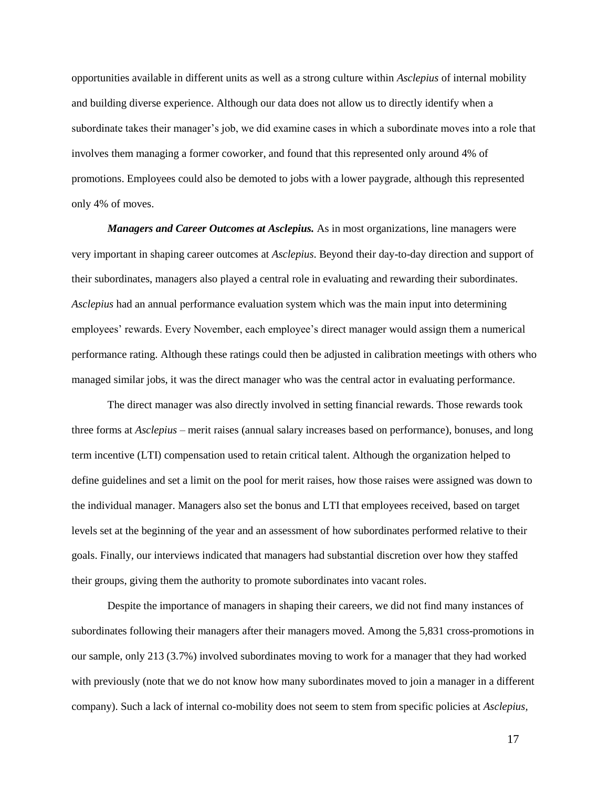opportunities available in different units as well as a strong culture within *Asclepius* of internal mobility and building diverse experience. Although our data does not allow us to directly identify when a subordinate takes their manager's job, we did examine cases in which a subordinate moves into a role that involves them managing a former coworker, and found that this represented only around 4% of promotions. Employees could also be demoted to jobs with a lower paygrade, although this represented only 4% of moves.

*Managers and Career Outcomes at Asclepius.* As in most organizations, line managers were very important in shaping career outcomes at *Asclepius*. Beyond their day-to-day direction and support of their subordinates, managers also played a central role in evaluating and rewarding their subordinates. *Asclepius* had an annual performance evaluation system which was the main input into determining employees' rewards. Every November, each employee's direct manager would assign them a numerical performance rating. Although these ratings could then be adjusted in calibration meetings with others who managed similar jobs, it was the direct manager who was the central actor in evaluating performance.

The direct manager was also directly involved in setting financial rewards. Those rewards took three forms at *Asclepius* – merit raises (annual salary increases based on performance), bonuses, and long term incentive (LTI) compensation used to retain critical talent. Although the organization helped to define guidelines and set a limit on the pool for merit raises, how those raises were assigned was down to the individual manager. Managers also set the bonus and LTI that employees received, based on target levels set at the beginning of the year and an assessment of how subordinates performed relative to their goals. Finally, our interviews indicated that managers had substantial discretion over how they staffed their groups, giving them the authority to promote subordinates into vacant roles.

Despite the importance of managers in shaping their careers, we did not find many instances of subordinates following their managers after their managers moved. Among the 5,831 cross-promotions in our sample, only 213 (3.7%) involved subordinates moving to work for a manager that they had worked with previously (note that we do not know how many subordinates moved to join a manager in a different company). Such a lack of internal co-mobility does not seem to stem from specific policies at *Asclepius,*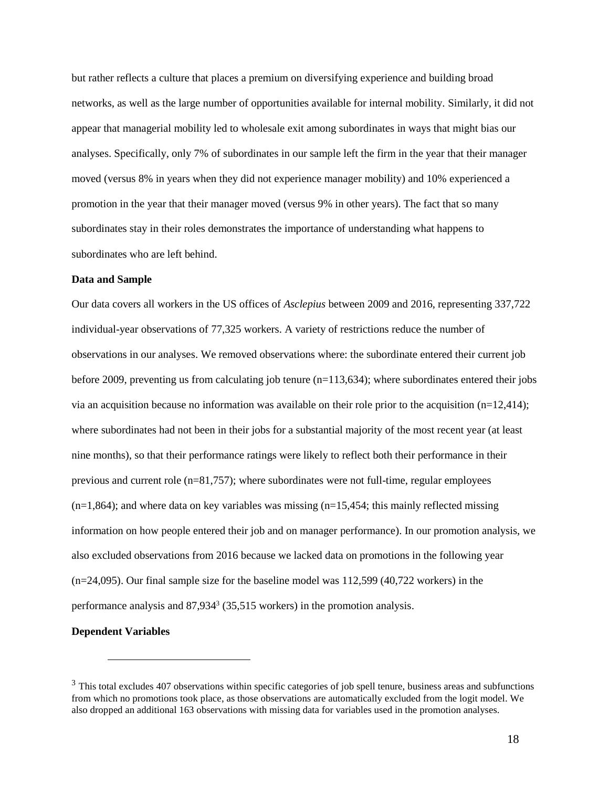but rather reflects a culture that places a premium on diversifying experience and building broad networks, as well as the large number of opportunities available for internal mobility. Similarly, it did not appear that managerial mobility led to wholesale exit among subordinates in ways that might bias our analyses. Specifically, only 7% of subordinates in our sample left the firm in the year that their manager moved (versus 8% in years when they did not experience manager mobility) and 10% experienced a promotion in the year that their manager moved (versus 9% in other years). The fact that so many subordinates stay in their roles demonstrates the importance of understanding what happens to subordinates who are left behind.

### **Data and Sample**

Our data covers all workers in the US offices of *Asclepius* between 2009 and 2016, representing 337,722 individual-year observations of 77,325 workers. A variety of restrictions reduce the number of observations in our analyses. We removed observations where: the subordinate entered their current job before 2009, preventing us from calculating job tenure (n=113,634); where subordinates entered their jobs via an acquisition because no information was available on their role prior to the acquisition  $(n=12,414)$ ; where subordinates had not been in their jobs for a substantial majority of the most recent year (at least nine months), so that their performance ratings were likely to reflect both their performance in their previous and current role (n=81,757); where subordinates were not full-time, regular employees  $(n=1,864)$ ; and where data on key variables was missing  $(n=15,454)$ ; this mainly reflected missing information on how people entered their job and on manager performance). In our promotion analysis, we also excluded observations from 2016 because we lacked data on promotions in the following year  $(n=24,095)$ . Our final sample size for the baseline model was  $112,599$  (40,722 workers) in the performance analysis and  $87,934^3$  (35,515 workers) in the promotion analysis.

#### **Dependent Variables**

 $\overline{a}$ 

 $3$  This total excludes 407 observations within specific categories of job spell tenure, business areas and subfunctions from which no promotions took place, as those observations are automatically excluded from the logit model. We also dropped an additional 163 observations with missing data for variables used in the promotion analyses.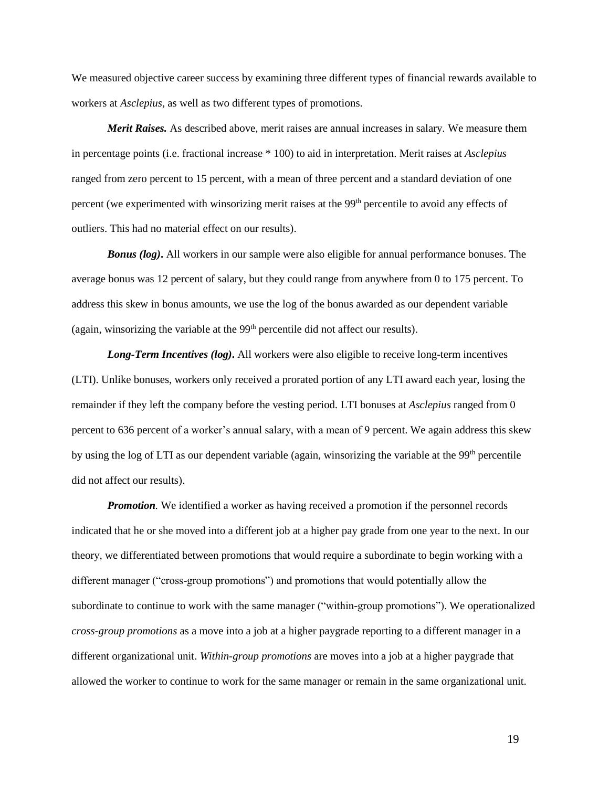We measured objective career success by examining three different types of financial rewards available to workers at *Asclepius*, as well as two different types of promotions.

*Merit Raises.* As described above, merit raises are annual increases in salary. We measure them in percentage points (i.e. fractional increase \* 100) to aid in interpretation. Merit raises at *Asclepius* ranged from zero percent to 15 percent, with a mean of three percent and a standard deviation of one percent (we experimented with winsorizing merit raises at the 99<sup>th</sup> percentile to avoid any effects of outliers. This had no material effect on our results).

*Bonus (log)***.** All workers in our sample were also eligible for annual performance bonuses. The average bonus was 12 percent of salary, but they could range from anywhere from 0 to 175 percent. To address this skew in bonus amounts, we use the log of the bonus awarded as our dependent variable (again, winsorizing the variable at the  $99<sup>th</sup>$  percentile did not affect our results).

*Long-Term Incentives (log)***.** All workers were also eligible to receive long-term incentives (LTI). Unlike bonuses, workers only received a prorated portion of any LTI award each year, losing the remainder if they left the company before the vesting period. LTI bonuses at *Asclepius* ranged from 0 percent to 636 percent of a worker's annual salary, with a mean of 9 percent. We again address this skew by using the log of LTI as our dependent variable (again, winsorizing the variable at the 99<sup>th</sup> percentile did not affect our results).

*Promotion.* We identified a worker as having received a promotion if the personnel records indicated that he or she moved into a different job at a higher pay grade from one year to the next. In our theory, we differentiated between promotions that would require a subordinate to begin working with a different manager ("cross-group promotions") and promotions that would potentially allow the subordinate to continue to work with the same manager ("within-group promotions"). We operationalized *cross-group promotions* as a move into a job at a higher paygrade reporting to a different manager in a different organizational unit. *Within-group promotions* are moves into a job at a higher paygrade that allowed the worker to continue to work for the same manager or remain in the same organizational unit.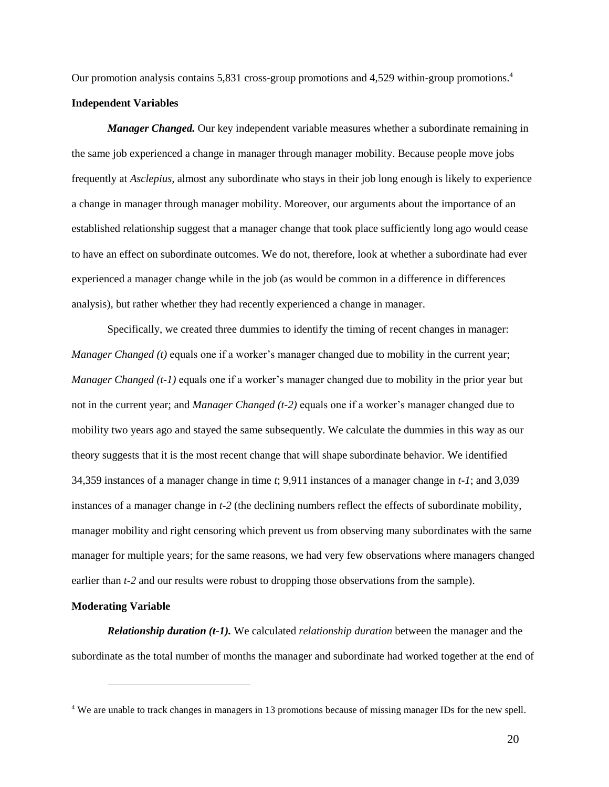Our promotion analysis contains 5,831 cross-group promotions and 4,529 within-group promotions. 4

### **Independent Variables**

*Manager Changed.* Our key independent variable measures whether a subordinate remaining in the same job experienced a change in manager through manager mobility. Because people move jobs frequently at *Asclepius,* almost any subordinate who stays in their job long enough is likely to experience a change in manager through manager mobility. Moreover, our arguments about the importance of an established relationship suggest that a manager change that took place sufficiently long ago would cease to have an effect on subordinate outcomes. We do not, therefore, look at whether a subordinate had ever experienced a manager change while in the job (as would be common in a difference in differences analysis), but rather whether they had recently experienced a change in manager.

Specifically, we created three dummies to identify the timing of recent changes in manager: *Manager Changed (t)* equals one if a worker's manager changed due to mobility in the current year; *Manager Changed (t-1)* equals one if a worker's manager changed due to mobility in the prior year but not in the current year; and *Manager Changed (t-2)* equals one if a worker's manager changed due to mobility two years ago and stayed the same subsequently. We calculate the dummies in this way as our theory suggests that it is the most recent change that will shape subordinate behavior. We identified 34,359 instances of a manager change in time *t*; 9,911 instances of a manager change in *t-1*; and 3,039 instances of a manager change in *t-2* (the declining numbers reflect the effects of subordinate mobility, manager mobility and right censoring which prevent us from observing many subordinates with the same manager for multiple years; for the same reasons, we had very few observations where managers changed earlier than *t*-2 and our results were robust to dropping those observations from the sample).

#### **Moderating Variable**

 $\overline{a}$ 

*Relationship duration (t-1).* We calculated *relationship duration* between the manager and the subordinate as the total number of months the manager and subordinate had worked together at the end of

<sup>&</sup>lt;sup>4</sup> We are unable to track changes in managers in 13 promotions because of missing manager IDs for the new spell.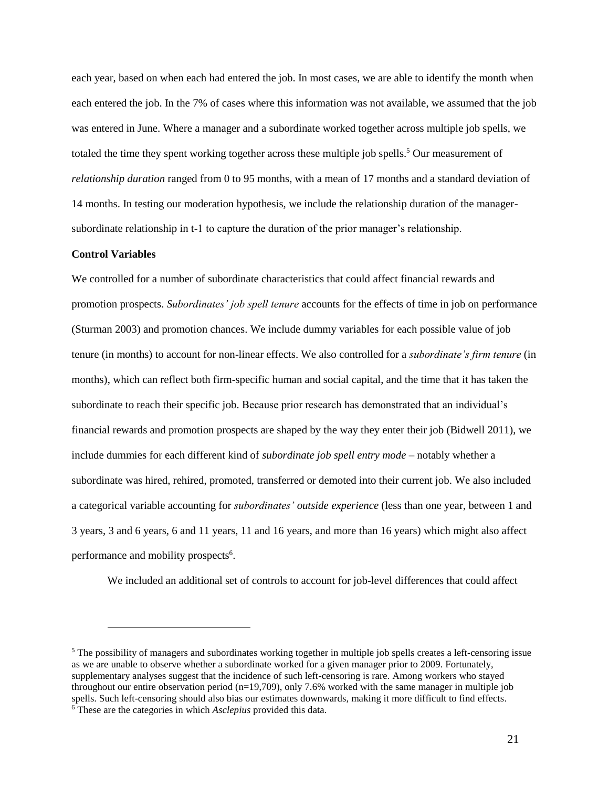each year, based on when each had entered the job. In most cases, we are able to identify the month when each entered the job. In the 7% of cases where this information was not available, we assumed that the job was entered in June. Where a manager and a subordinate worked together across multiple job spells, we totaled the time they spent working together across these multiple job spells.<sup>5</sup> Our measurement of *relationship duration* ranged from 0 to 95 months, with a mean of 17 months and a standard deviation of 14 months. In testing our moderation hypothesis, we include the relationship duration of the managersubordinate relationship in t-1 to capture the duration of the prior manager's relationship.

#### **Control Variables**

 $\overline{a}$ 

We controlled for a number of subordinate characteristics that could affect financial rewards and promotion prospects. *Subordinates' job spell tenure* accounts for the effects of time in job on performance (Sturman 2003) and promotion chances. We include dummy variables for each possible value of job tenure (in months) to account for non-linear effects. We also controlled for a *subordinate's firm tenure* (in months), which can reflect both firm-specific human and social capital, and the time that it has taken the subordinate to reach their specific job. Because prior research has demonstrated that an individual's financial rewards and promotion prospects are shaped by the way they enter their job (Bidwell 2011), we include dummies for each different kind of *subordinate job spell entry mode* – notably whether a subordinate was hired, rehired, promoted, transferred or demoted into their current job. We also included a categorical variable accounting for *subordinates' outside experience* (less than one year, between 1 and 3 years, 3 and 6 years, 6 and 11 years, 11 and 16 years, and more than 16 years) which might also affect performance and mobility prospects<sup>6</sup>.

We included an additional set of controls to account for job-level differences that could affect

<sup>&</sup>lt;sup>5</sup> The possibility of managers and subordinates working together in multiple job spells creates a left-censoring issue as we are unable to observe whether a subordinate worked for a given manager prior to 2009. Fortunately, supplementary analyses suggest that the incidence of such left-censoring is rare. Among workers who stayed throughout our entire observation period  $(n=19,709)$ , only 7.6% worked with the same manager in multiple job spells. Such left-censoring should also bias our estimates downwards, making it more difficult to find effects. <sup>6</sup> These are the categories in which *Asclepius* provided this data.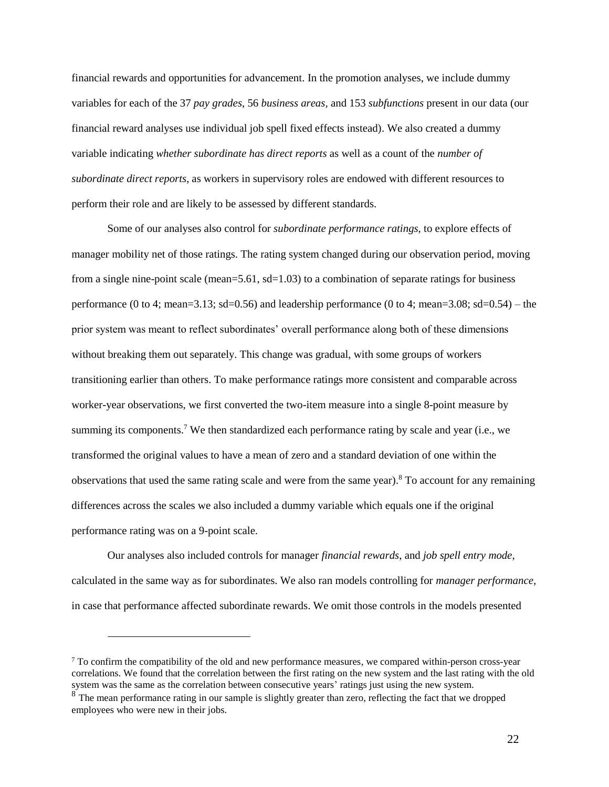financial rewards and opportunities for advancement. In the promotion analyses, we include dummy variables for each of the 37 *pay grades*, 56 *business areas,* and 153 *subfunctions* present in our data (our financial reward analyses use individual job spell fixed effects instead). We also created a dummy variable indicating *whether subordinate has direct reports* as well as a count of the *number of subordinate direct reports*, as workers in supervisory roles are endowed with different resources to perform their role and are likely to be assessed by different standards.

Some of our analyses also control for *subordinate performance ratings*, to explore effects of manager mobility net of those ratings. The rating system changed during our observation period, moving from a single nine-point scale (mean=5.61, sd=1.03) to a combination of separate ratings for business performance (0 to 4; mean=3.13; sd=0.56) and leadership performance (0 to 4; mean=3.08; sd=0.54) – the prior system was meant to reflect subordinates' overall performance along both of these dimensions without breaking them out separately. This change was gradual, with some groups of workers transitioning earlier than others. To make performance ratings more consistent and comparable across worker-year observations, we first converted the two-item measure into a single 8-point measure by summing its components.<sup>7</sup> We then standardized each performance rating by scale and year (i.e., we transformed the original values to have a mean of zero and a standard deviation of one within the observations that used the same rating scale and were from the same year).<sup>8</sup> To account for any remaining differences across the scales we also included a dummy variable which equals one if the original performance rating was on a 9-point scale.

Our analyses also included controls for manager *financial rewards*, and *job spell entry mode*, calculated in the same way as for subordinates. We also ran models controlling for *manager performance,*  in case that performance affected subordinate rewards. We omit those controls in the models presented

 $\overline{a}$ 

<sup>7</sup> To confirm the compatibility of the old and new performance measures, we compared within-person cross-year correlations. We found that the correlation between the first rating on the new system and the last rating with the old system was the same as the correlation between consecutive years' ratings just using the new system.

<sup>&</sup>lt;sup>8</sup> The mean performance rating in our sample is slightly greater than zero, reflecting the fact that we dropped employees who were new in their jobs.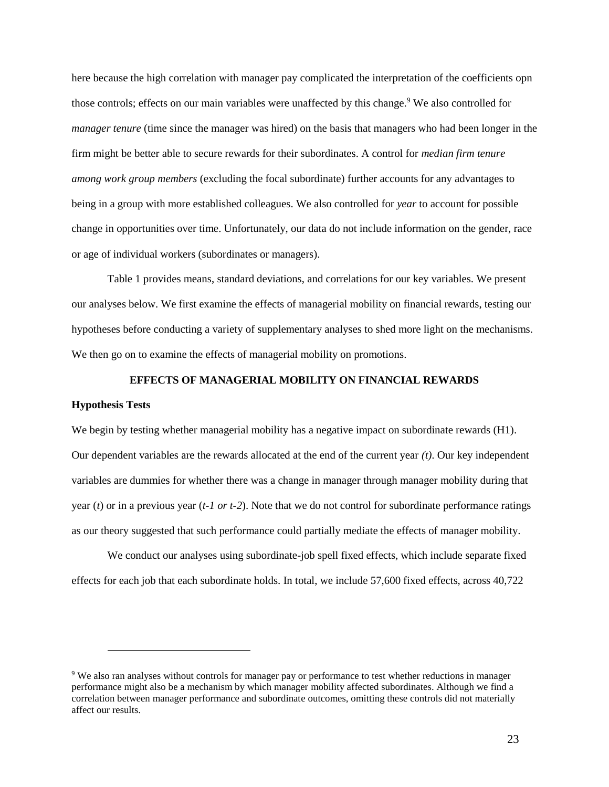here because the high correlation with manager pay complicated the interpretation of the coefficients opn those controls; effects on our main variables were unaffected by this change.<sup>9</sup> We also controlled for *manager tenure* (time since the manager was hired) on the basis that managers who had been longer in the firm might be better able to secure rewards for their subordinates. A control for *median firm tenure among work group members* (excluding the focal subordinate) further accounts for any advantages to being in a group with more established colleagues. We also controlled for *year* to account for possible change in opportunities over time. Unfortunately, our data do not include information on the gender, race or age of individual workers (subordinates or managers).

Table 1 provides means, standard deviations, and correlations for our key variables. We present our analyses below. We first examine the effects of managerial mobility on financial rewards, testing our hypotheses before conducting a variety of supplementary analyses to shed more light on the mechanisms. We then go on to examine the effects of managerial mobility on promotions.

## **EFFECTS OF MANAGERIAL MOBILITY ON FINANCIAL REWARDS**

### **Hypothesis Tests**

 $\overline{a}$ 

We begin by testing whether managerial mobility has a negative impact on subordinate rewards (H1). Our dependent variables are the rewards allocated at the end of the current year *(t)*. Our key independent variables are dummies for whether there was a change in manager through manager mobility during that year (*t*) or in a previous year (*t-1 or t-2*). Note that we do not control for subordinate performance ratings as our theory suggested that such performance could partially mediate the effects of manager mobility.

We conduct our analyses using subordinate-job spell fixed effects, which include separate fixed effects for each job that each subordinate holds. In total, we include 57,600 fixed effects, across 40,722

<sup>9</sup> We also ran analyses without controls for manager pay or performance to test whether reductions in manager performance might also be a mechanism by which manager mobility affected subordinates. Although we find a correlation between manager performance and subordinate outcomes, omitting these controls did not materially affect our results.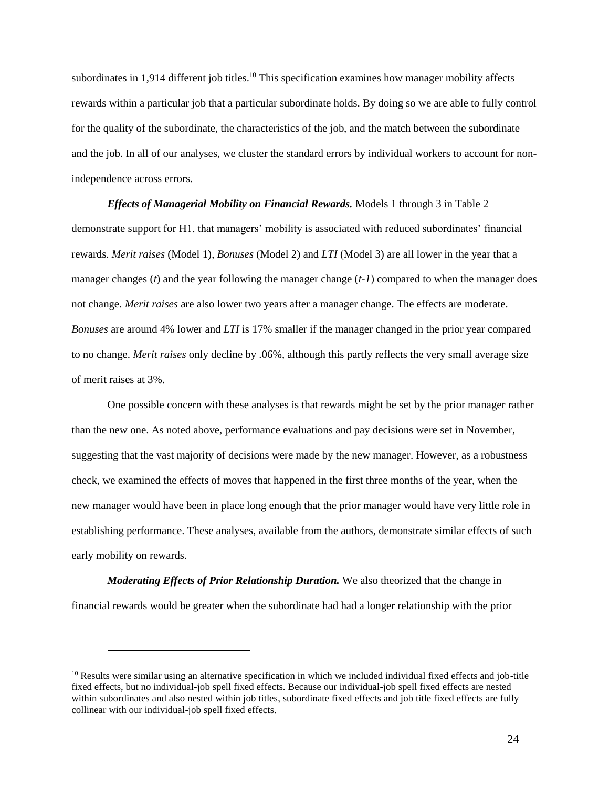subordinates in 1,914 different job titles.<sup>10</sup> This specification examines how manager mobility affects rewards within a particular job that a particular subordinate holds. By doing so we are able to fully control for the quality of the subordinate, the characteristics of the job, and the match between the subordinate and the job. In all of our analyses, we cluster the standard errors by individual workers to account for nonindependence across errors.

*Effects of Managerial Mobility on Financial Rewards.* Models 1 through 3 in Table 2 demonstrate support for H1, that managers' mobility is associated with reduced subordinates' financial rewards. *Merit raises* (Model 1), *Bonuses* (Model 2) and *LTI* (Model 3) are all lower in the year that a manager changes (*t*) and the year following the manager change (*t-1*) compared to when the manager does not change. *Merit raises* are also lower two years after a manager change. The effects are moderate. *Bonuses* are around 4% lower and *LTI* is 17% smaller if the manager changed in the prior year compared to no change. *Merit raises* only decline by .06%, although this partly reflects the very small average size of merit raises at 3%.

One possible concern with these analyses is that rewards might be set by the prior manager rather than the new one. As noted above, performance evaluations and pay decisions were set in November, suggesting that the vast majority of decisions were made by the new manager. However, as a robustness check, we examined the effects of moves that happened in the first three months of the year, when the new manager would have been in place long enough that the prior manager would have very little role in establishing performance. These analyses, available from the authors, demonstrate similar effects of such early mobility on rewards.

*Moderating Effects of Prior Relationship Duration.* We also theorized that the change in financial rewards would be greater when the subordinate had had a longer relationship with the prior

 $\overline{a}$ 

 $10$  Results were similar using an alternative specification in which we included individual fixed effects and job-title fixed effects, but no individual-job spell fixed effects. Because our individual-job spell fixed effects are nested within subordinates and also nested within job titles, subordinate fixed effects and job title fixed effects are fully collinear with our individual-job spell fixed effects.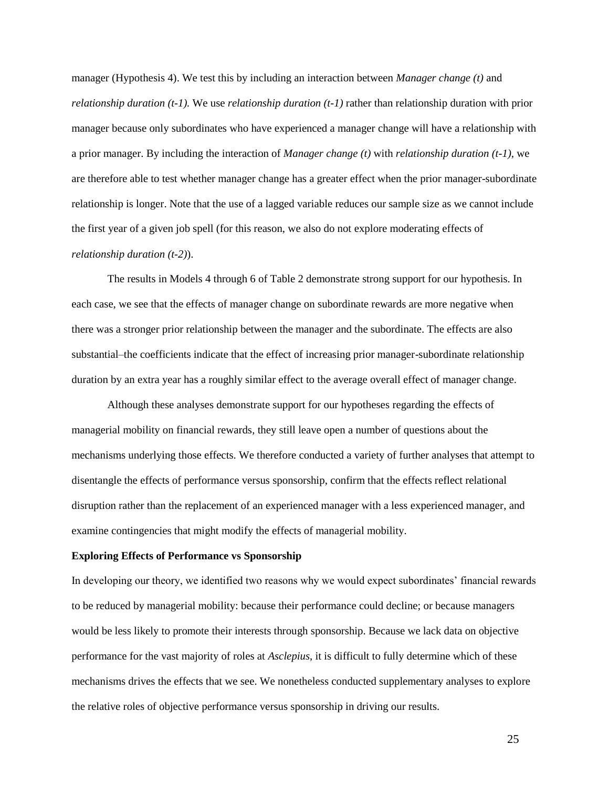manager (Hypothesis 4). We test this by including an interaction between *Manager change (t)* and *relationship duration (t-1).* We use *relationship duration (t-1)* rather than relationship duration with prior manager because only subordinates who have experienced a manager change will have a relationship with a prior manager. By including the interaction of *Manager change (t)* with *relationship duration (t-1),* we are therefore able to test whether manager change has a greater effect when the prior manager-subordinate relationship is longer. Note that the use of a lagged variable reduces our sample size as we cannot include the first year of a given job spell (for this reason, we also do not explore moderating effects of *relationship duration (t-2)*).

The results in Models 4 through 6 of Table 2 demonstrate strong support for our hypothesis. In each case, we see that the effects of manager change on subordinate rewards are more negative when there was a stronger prior relationship between the manager and the subordinate. The effects are also substantial–the coefficients indicate that the effect of increasing prior manager-subordinate relationship duration by an extra year has a roughly similar effect to the average overall effect of manager change.

Although these analyses demonstrate support for our hypotheses regarding the effects of managerial mobility on financial rewards, they still leave open a number of questions about the mechanisms underlying those effects. We therefore conducted a variety of further analyses that attempt to disentangle the effects of performance versus sponsorship, confirm that the effects reflect relational disruption rather than the replacement of an experienced manager with a less experienced manager, and examine contingencies that might modify the effects of managerial mobility.

#### **Exploring Effects of Performance vs Sponsorship**

In developing our theory, we identified two reasons why we would expect subordinates' financial rewards to be reduced by managerial mobility: because their performance could decline; or because managers would be less likely to promote their interests through sponsorship. Because we lack data on objective performance for the vast majority of roles at *Asclepius*, it is difficult to fully determine which of these mechanisms drives the effects that we see. We nonetheless conducted supplementary analyses to explore the relative roles of objective performance versus sponsorship in driving our results.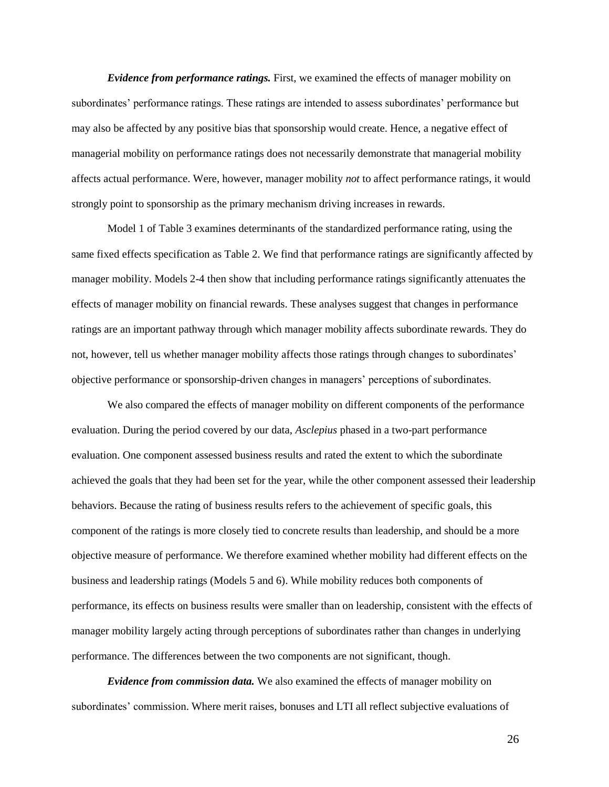*Evidence from performance ratings.* First, we examined the effects of manager mobility on subordinates' performance ratings. These ratings are intended to assess subordinates' performance but may also be affected by any positive bias that sponsorship would create. Hence, a negative effect of managerial mobility on performance ratings does not necessarily demonstrate that managerial mobility affects actual performance. Were, however, manager mobility *not* to affect performance ratings, it would strongly point to sponsorship as the primary mechanism driving increases in rewards.

Model 1 of Table 3 examines determinants of the standardized performance rating, using the same fixed effects specification as Table 2. We find that performance ratings are significantly affected by manager mobility. Models 2-4 then show that including performance ratings significantly attenuates the effects of manager mobility on financial rewards. These analyses suggest that changes in performance ratings are an important pathway through which manager mobility affects subordinate rewards. They do not, however, tell us whether manager mobility affects those ratings through changes to subordinates' objective performance or sponsorship-driven changes in managers' perceptions of subordinates.

We also compared the effects of manager mobility on different components of the performance evaluation. During the period covered by our data, *Asclepius* phased in a two-part performance evaluation. One component assessed business results and rated the extent to which the subordinate achieved the goals that they had been set for the year, while the other component assessed their leadership behaviors. Because the rating of business results refers to the achievement of specific goals, this component of the ratings is more closely tied to concrete results than leadership, and should be a more objective measure of performance. We therefore examined whether mobility had different effects on the business and leadership ratings (Models 5 and 6). While mobility reduces both components of performance, its effects on business results were smaller than on leadership, consistent with the effects of manager mobility largely acting through perceptions of subordinates rather than changes in underlying performance. The differences between the two components are not significant, though.

*Evidence from commission data.* We also examined the effects of manager mobility on subordinates' commission. Where merit raises, bonuses and LTI all reflect subjective evaluations of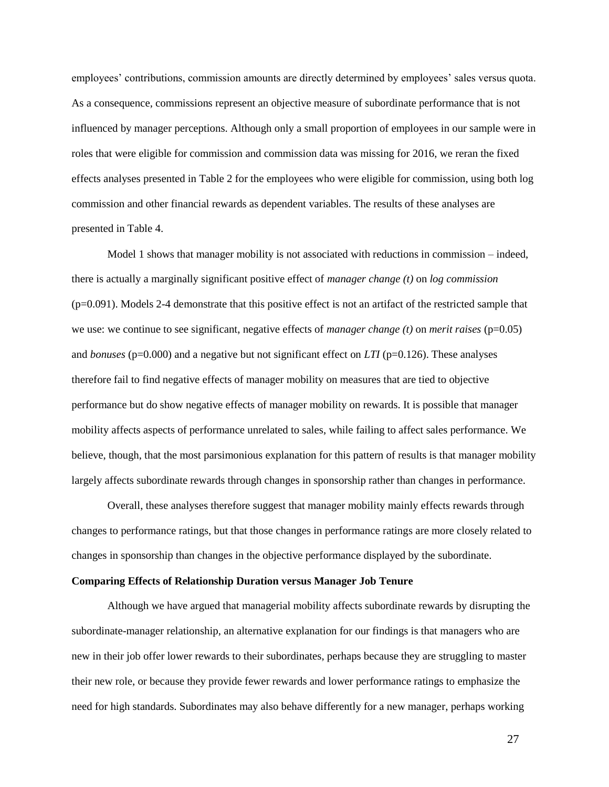employees' contributions, commission amounts are directly determined by employees' sales versus quota. As a consequence, commissions represent an objective measure of subordinate performance that is not influenced by manager perceptions. Although only a small proportion of employees in our sample were in roles that were eligible for commission and commission data was missing for 2016, we reran the fixed effects analyses presented in Table 2 for the employees who were eligible for commission, using both log commission and other financial rewards as dependent variables. The results of these analyses are presented in Table 4.

Model 1 shows that manager mobility is not associated with reductions in commission – indeed, there is actually a marginally significant positive effect of *manager change (t)* on *log commission*  (p=0.091). Models 2-4 demonstrate that this positive effect is not an artifact of the restricted sample that we use: we continue to see significant, negative effects of *manager change (t)* on *merit raises* (p=0.05) and *bonuses* (p=0.000) and a negative but not significant effect on *LTI* (p=0.126). These analyses therefore fail to find negative effects of manager mobility on measures that are tied to objective performance but do show negative effects of manager mobility on rewards. It is possible that manager mobility affects aspects of performance unrelated to sales, while failing to affect sales performance. We believe, though, that the most parsimonious explanation for this pattern of results is that manager mobility largely affects subordinate rewards through changes in sponsorship rather than changes in performance.

Overall, these analyses therefore suggest that manager mobility mainly effects rewards through changes to performance ratings, but that those changes in performance ratings are more closely related to changes in sponsorship than changes in the objective performance displayed by the subordinate.

#### **Comparing Effects of Relationship Duration versus Manager Job Tenure**

Although we have argued that managerial mobility affects subordinate rewards by disrupting the subordinate-manager relationship, an alternative explanation for our findings is that managers who are new in their job offer lower rewards to their subordinates, perhaps because they are struggling to master their new role, or because they provide fewer rewards and lower performance ratings to emphasize the need for high standards. Subordinates may also behave differently for a new manager, perhaps working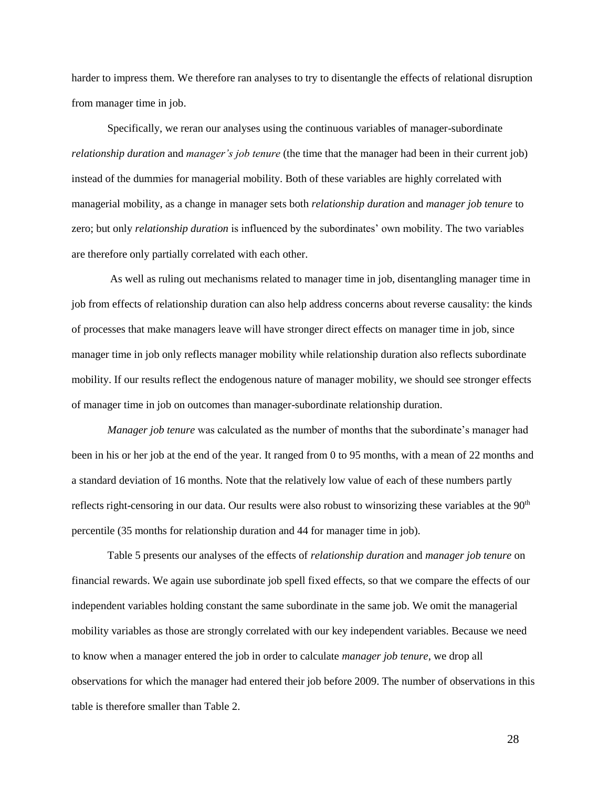harder to impress them. We therefore ran analyses to try to disentangle the effects of relational disruption from manager time in job.

Specifically, we reran our analyses using the continuous variables of manager-subordinate *relationship duration* and *manager's job tenure* (the time that the manager had been in their current job) instead of the dummies for managerial mobility. Both of these variables are highly correlated with managerial mobility, as a change in manager sets both *relationship duration* and *manager job tenure* to zero; but only *relationship duration* is influenced by the subordinates' own mobility. The two variables are therefore only partially correlated with each other.

As well as ruling out mechanisms related to manager time in job, disentangling manager time in job from effects of relationship duration can also help address concerns about reverse causality: the kinds of processes that make managers leave will have stronger direct effects on manager time in job, since manager time in job only reflects manager mobility while relationship duration also reflects subordinate mobility. If our results reflect the endogenous nature of manager mobility, we should see stronger effects of manager time in job on outcomes than manager-subordinate relationship duration.

*Manager job tenure* was calculated as the number of months that the subordinate's manager had been in his or her job at the end of the year. It ranged from 0 to 95 months, with a mean of 22 months and a standard deviation of 16 months. Note that the relatively low value of each of these numbers partly reflects right-censoring in our data. Our results were also robust to winsorizing these variables at the 90<sup>th</sup> percentile (35 months for relationship duration and 44 for manager time in job).

Table 5 presents our analyses of the effects of *relationship duration* and *manager job tenure* on financial rewards. We again use subordinate job spell fixed effects, so that we compare the effects of our independent variables holding constant the same subordinate in the same job. We omit the managerial mobility variables as those are strongly correlated with our key independent variables. Because we need to know when a manager entered the job in order to calculate *manager job tenure*, we drop all observations for which the manager had entered their job before 2009. The number of observations in this table is therefore smaller than Table 2.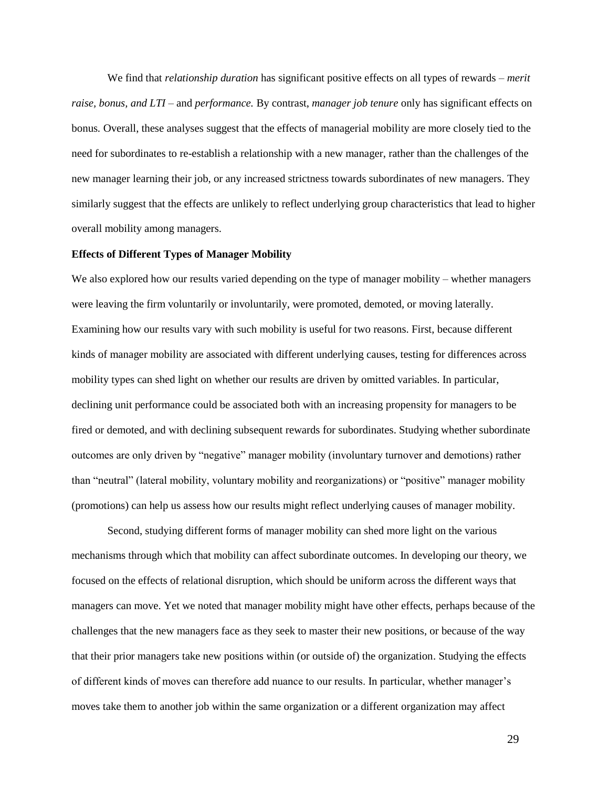We find that *relationship duration* has significant positive effects on all types of rewards – *merit raise, bonus, and LTI –* and *performance.* By contrast, *manager job tenure* only has significant effects on bonus*.* Overall, these analyses suggest that the effects of managerial mobility are more closely tied to the need for subordinates to re-establish a relationship with a new manager, rather than the challenges of the new manager learning their job, or any increased strictness towards subordinates of new managers. They similarly suggest that the effects are unlikely to reflect underlying group characteristics that lead to higher overall mobility among managers.

#### **Effects of Different Types of Manager Mobility**

We also explored how our results varied depending on the type of manager mobility – whether managers were leaving the firm voluntarily or involuntarily, were promoted, demoted, or moving laterally. Examining how our results vary with such mobility is useful for two reasons. First, because different kinds of manager mobility are associated with different underlying causes, testing for differences across mobility types can shed light on whether our results are driven by omitted variables. In particular, declining unit performance could be associated both with an increasing propensity for managers to be fired or demoted, and with declining subsequent rewards for subordinates. Studying whether subordinate outcomes are only driven by "negative" manager mobility (involuntary turnover and demotions) rather than "neutral" (lateral mobility, voluntary mobility and reorganizations) or "positive" manager mobility (promotions) can help us assess how our results might reflect underlying causes of manager mobility.

Second, studying different forms of manager mobility can shed more light on the various mechanisms through which that mobility can affect subordinate outcomes. In developing our theory, we focused on the effects of relational disruption, which should be uniform across the different ways that managers can move. Yet we noted that manager mobility might have other effects, perhaps because of the challenges that the new managers face as they seek to master their new positions, or because of the way that their prior managers take new positions within (or outside of) the organization. Studying the effects of different kinds of moves can therefore add nuance to our results. In particular, whether manager's moves take them to another job within the same organization or a different organization may affect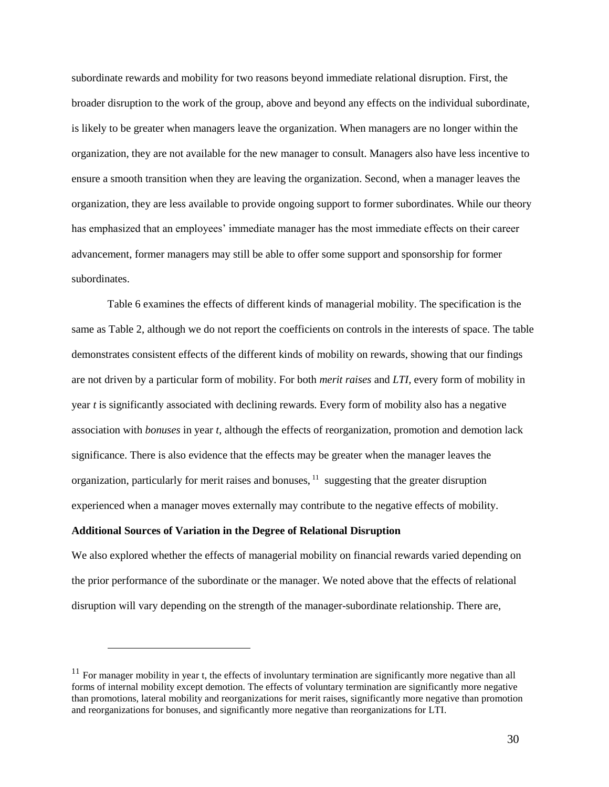subordinate rewards and mobility for two reasons beyond immediate relational disruption. First, the broader disruption to the work of the group, above and beyond any effects on the individual subordinate, is likely to be greater when managers leave the organization. When managers are no longer within the organization, they are not available for the new manager to consult. Managers also have less incentive to ensure a smooth transition when they are leaving the organization. Second, when a manager leaves the organization, they are less available to provide ongoing support to former subordinates. While our theory has emphasized that an employees' immediate manager has the most immediate effects on their career advancement, former managers may still be able to offer some support and sponsorship for former subordinates.

Table 6 examines the effects of different kinds of managerial mobility. The specification is the same as Table 2, although we do not report the coefficients on controls in the interests of space. The table demonstrates consistent effects of the different kinds of mobility on rewards, showing that our findings are not driven by a particular form of mobility. For both *merit raises* and *LTI,* every form of mobility in year *t* is significantly associated with declining rewards. Every form of mobility also has a negative association with *bonuses* in year *t*, although the effects of reorganization, promotion and demotion lack significance. There is also evidence that the effects may be greater when the manager leaves the organization, particularly for merit raises and bonuses, <sup>11</sup> suggesting that the greater disruption experienced when a manager moves externally may contribute to the negative effects of mobility.

### **Additional Sources of Variation in the Degree of Relational Disruption**

 $\overline{a}$ 

We also explored whether the effects of managerial mobility on financial rewards varied depending on the prior performance of the subordinate or the manager. We noted above that the effects of relational disruption will vary depending on the strength of the manager-subordinate relationship. There are,

 $11$  For manager mobility in year t, the effects of involuntary termination are significantly more negative than all forms of internal mobility except demotion. The effects of voluntary termination are significantly more negative than promotions, lateral mobility and reorganizations for merit raises, significantly more negative than promotion and reorganizations for bonuses, and significantly more negative than reorganizations for LTI.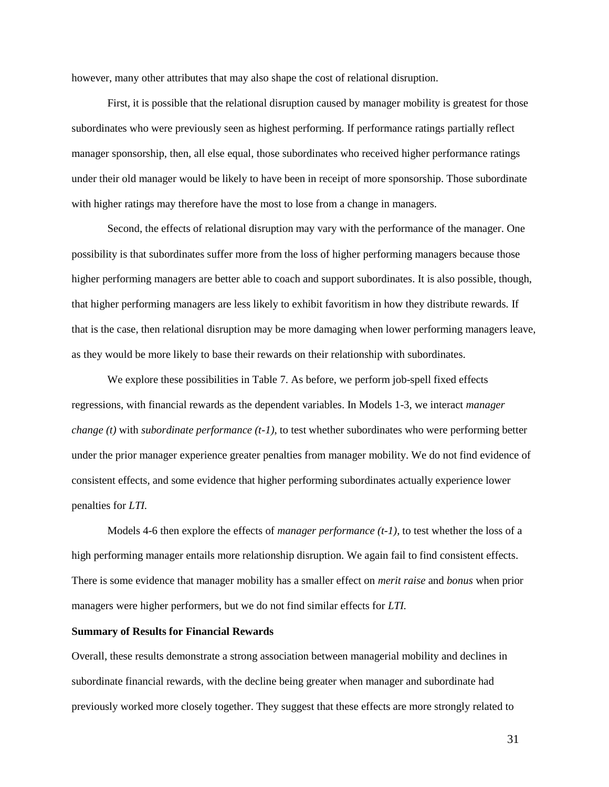however, many other attributes that may also shape the cost of relational disruption.

First, it is possible that the relational disruption caused by manager mobility is greatest for those subordinates who were previously seen as highest performing. If performance ratings partially reflect manager sponsorship, then, all else equal, those subordinates who received higher performance ratings under their old manager would be likely to have been in receipt of more sponsorship. Those subordinate with higher ratings may therefore have the most to lose from a change in managers.

Second, the effects of relational disruption may vary with the performance of the manager. One possibility is that subordinates suffer more from the loss of higher performing managers because those higher performing managers are better able to coach and support subordinates. It is also possible, though, that higher performing managers are less likely to exhibit favoritism in how they distribute rewards. If that is the case, then relational disruption may be more damaging when lower performing managers leave, as they would be more likely to base their rewards on their relationship with subordinates.

We explore these possibilities in Table 7. As before, we perform job-spell fixed effects regressions, with financial rewards as the dependent variables. In Models 1-3, we interact *manager change (t)* with *subordinate performance (t-1)*, to test whether subordinates who were performing better under the prior manager experience greater penalties from manager mobility. We do not find evidence of consistent effects, and some evidence that higher performing subordinates actually experience lower penalties for *LTI.*

Models 4-6 then explore the effects of *manager performance (t-1),* to test whether the loss of a high performing manager entails more relationship disruption. We again fail to find consistent effects. There is some evidence that manager mobility has a smaller effect on *merit raise* and *bonus* when prior managers were higher performers, but we do not find similar effects for *LTI.* 

#### **Summary of Results for Financial Rewards**

Overall, these results demonstrate a strong association between managerial mobility and declines in subordinate financial rewards, with the decline being greater when manager and subordinate had previously worked more closely together. They suggest that these effects are more strongly related to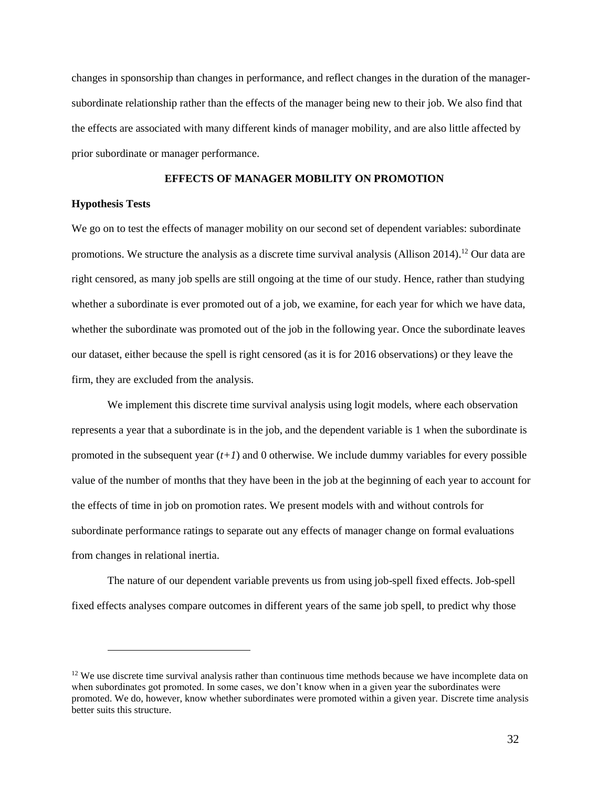changes in sponsorship than changes in performance, and reflect changes in the duration of the managersubordinate relationship rather than the effects of the manager being new to their job. We also find that the effects are associated with many different kinds of manager mobility, and are also little affected by prior subordinate or manager performance.

### **EFFECTS OF MANAGER MOBILITY ON PROMOTION**

### **Hypothesis Tests**

 $\overline{a}$ 

We go on to test the effects of manager mobility on our second set of dependent variables: subordinate promotions. We structure the analysis as a discrete time survival analysis (Allison 2014).<sup>12</sup> Our data are right censored, as many job spells are still ongoing at the time of our study. Hence, rather than studying whether a subordinate is ever promoted out of a job, we examine, for each year for which we have data, whether the subordinate was promoted out of the job in the following year. Once the subordinate leaves our dataset, either because the spell is right censored (as it is for 2016 observations) or they leave the firm, they are excluded from the analysis.

We implement this discrete time survival analysis using logit models, where each observation represents a year that a subordinate is in the job, and the dependent variable is 1 when the subordinate is promoted in the subsequent year  $(t+1)$  and 0 otherwise. We include dummy variables for every possible value of the number of months that they have been in the job at the beginning of each year to account for the effects of time in job on promotion rates. We present models with and without controls for subordinate performance ratings to separate out any effects of manager change on formal evaluations from changes in relational inertia.

The nature of our dependent variable prevents us from using job-spell fixed effects. Job-spell fixed effects analyses compare outcomes in different years of the same job spell, to predict why those

 $12$  We use discrete time survival analysis rather than continuous time methods because we have incomplete data on when subordinates got promoted. In some cases, we don't know when in a given year the subordinates were promoted. We do, however, know whether subordinates were promoted within a given year. Discrete time analysis better suits this structure.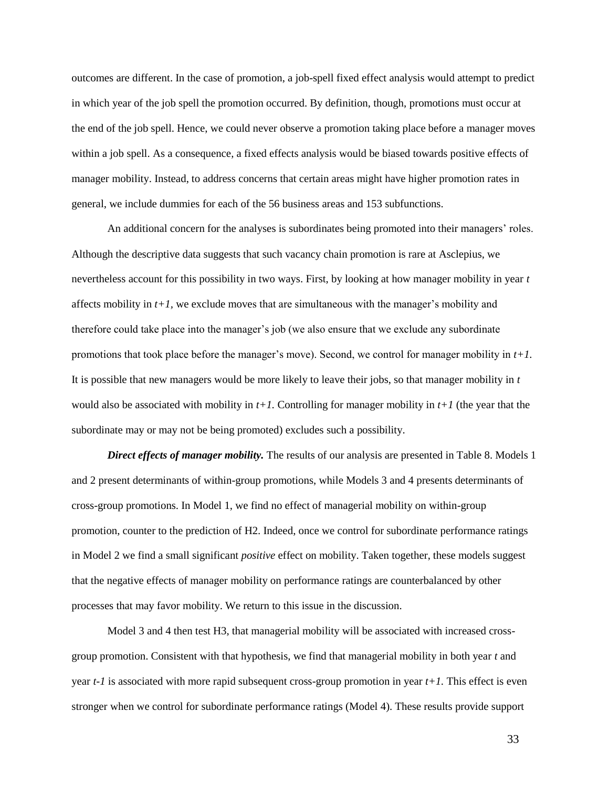outcomes are different. In the case of promotion, a job-spell fixed effect analysis would attempt to predict in which year of the job spell the promotion occurred. By definition, though, promotions must occur at the end of the job spell. Hence, we could never observe a promotion taking place before a manager moves within a job spell. As a consequence, a fixed effects analysis would be biased towards positive effects of manager mobility. Instead, to address concerns that certain areas might have higher promotion rates in general, we include dummies for each of the 56 business areas and 153 subfunctions.

An additional concern for the analyses is subordinates being promoted into their managers' roles. Although the descriptive data suggests that such vacancy chain promotion is rare at Asclepius, we nevertheless account for this possibility in two ways. First, by looking at how manager mobility in year *t* affects mobility in *t+1,* we exclude moves that are simultaneous with the manager's mobility and therefore could take place into the manager's job (we also ensure that we exclude any subordinate promotions that took place before the manager's move). Second, we control for manager mobility in *t+1.* It is possible that new managers would be more likely to leave their jobs, so that manager mobility in *t*  would also be associated with mobility in  $t+1$ . Controlling for manager mobility in  $t+1$  (the year that the subordinate may or may not be being promoted) excludes such a possibility.

*Direct effects of manager mobility.* The results of our analysis are presented in Table 8. Models 1 and 2 present determinants of within-group promotions, while Models 3 and 4 presents determinants of cross-group promotions. In Model 1, we find no effect of managerial mobility on within-group promotion, counter to the prediction of H2. Indeed, once we control for subordinate performance ratings in Model 2 we find a small significant *positive* effect on mobility. Taken together, these models suggest that the negative effects of manager mobility on performance ratings are counterbalanced by other processes that may favor mobility. We return to this issue in the discussion.

Model 3 and 4 then test H3, that managerial mobility will be associated with increased crossgroup promotion. Consistent with that hypothesis, we find that managerial mobility in both year *t* and year *t-1* is associated with more rapid subsequent cross-group promotion in year *t+1.* This effect is even stronger when we control for subordinate performance ratings (Model 4). These results provide support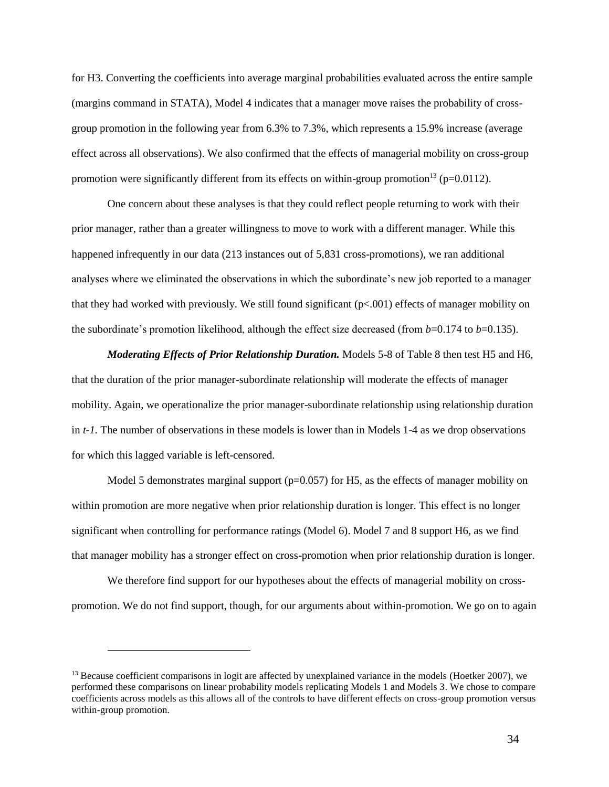for H3. Converting the coefficients into average marginal probabilities evaluated across the entire sample (margins command in STATA), Model 4 indicates that a manager move raises the probability of crossgroup promotion in the following year from 6.3% to 7.3%, which represents a 15.9% increase (average effect across all observations). We also confirmed that the effects of managerial mobility on cross-group promotion were significantly different from its effects on within-group promotion<sup>13</sup> ( $p=0.0112$ ).

One concern about these analyses is that they could reflect people returning to work with their prior manager, rather than a greater willingness to move to work with a different manager. While this happened infrequently in our data (213 instances out of 5,831 cross-promotions), we ran additional analyses where we eliminated the observations in which the subordinate's new job reported to a manager that they had worked with previously. We still found significant  $(p<.001)$  effects of manager mobility on the subordinate's promotion likelihood, although the effect size decreased (from *b*=0.174 to *b*=0.135).

*Moderating Effects of Prior Relationship Duration.* Models 5-8 of Table 8 then test H5 and H6, that the duration of the prior manager-subordinate relationship will moderate the effects of manager mobility. Again, we operationalize the prior manager-subordinate relationship using relationship duration in *t-1.* The number of observations in these models is lower than in Models 1-4 as we drop observations for which this lagged variable is left-censored.

Model 5 demonstrates marginal support ( $p=0.057$ ) for H5, as the effects of manager mobility on within promotion are more negative when prior relationship duration is longer. This effect is no longer significant when controlling for performance ratings (Model 6). Model 7 and 8 support H6, as we find that manager mobility has a stronger effect on cross-promotion when prior relationship duration is longer.

We therefore find support for our hypotheses about the effects of managerial mobility on crosspromotion. We do not find support, though, for our arguments about within-promotion. We go on to again

 $\overline{a}$ 

<sup>&</sup>lt;sup>13</sup> Because coefficient comparisons in logit are affected by unexplained variance in the models (Hoetker 2007), we performed these comparisons on linear probability models replicating Models 1 and Models 3. We chose to compare coefficients across models as this allows all of the controls to have different effects on cross-group promotion versus within-group promotion.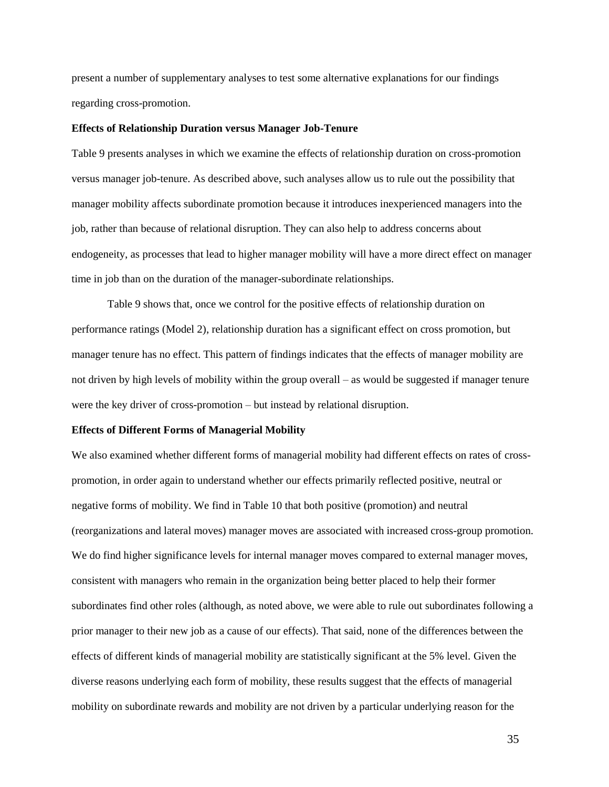present a number of supplementary analyses to test some alternative explanations for our findings regarding cross-promotion.

### **Effects of Relationship Duration versus Manager Job-Tenure**

Table 9 presents analyses in which we examine the effects of relationship duration on cross-promotion versus manager job-tenure. As described above, such analyses allow us to rule out the possibility that manager mobility affects subordinate promotion because it introduces inexperienced managers into the job, rather than because of relational disruption. They can also help to address concerns about endogeneity, as processes that lead to higher manager mobility will have a more direct effect on manager time in job than on the duration of the manager-subordinate relationships.

Table 9 shows that, once we control for the positive effects of relationship duration on performance ratings (Model 2), relationship duration has a significant effect on cross promotion, but manager tenure has no effect. This pattern of findings indicates that the effects of manager mobility are not driven by high levels of mobility within the group overall – as would be suggested if manager tenure were the key driver of cross-promotion – but instead by relational disruption.

#### **Effects of Different Forms of Managerial Mobility**

We also examined whether different forms of managerial mobility had different effects on rates of crosspromotion, in order again to understand whether our effects primarily reflected positive, neutral or negative forms of mobility. We find in Table 10 that both positive (promotion) and neutral (reorganizations and lateral moves) manager moves are associated with increased cross-group promotion. We do find higher significance levels for internal manager moves compared to external manager moves, consistent with managers who remain in the organization being better placed to help their former subordinates find other roles (although, as noted above, we were able to rule out subordinates following a prior manager to their new job as a cause of our effects). That said, none of the differences between the effects of different kinds of managerial mobility are statistically significant at the 5% level. Given the diverse reasons underlying each form of mobility, these results suggest that the effects of managerial mobility on subordinate rewards and mobility are not driven by a particular underlying reason for the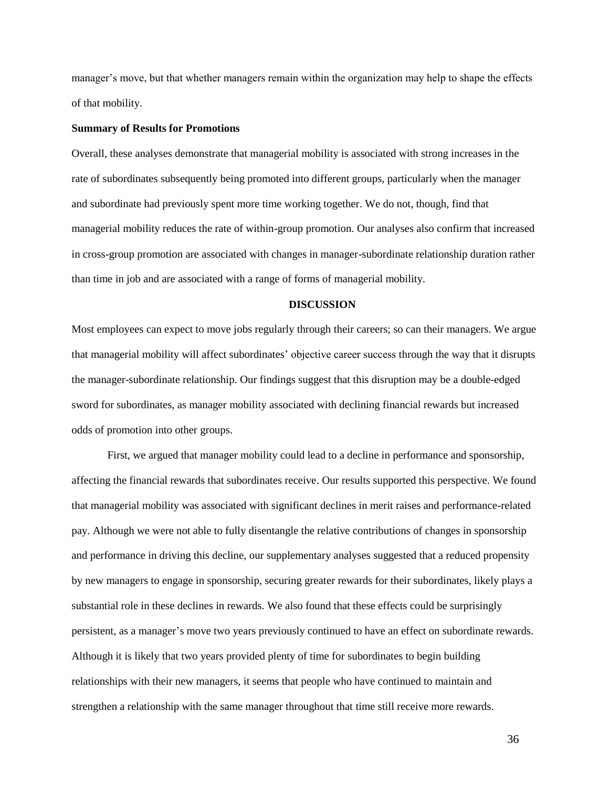manager's move, but that whether managers remain within the organization may help to shape the effects of that mobility.

### **Summary of Results for Promotions**

Overall, these analyses demonstrate that managerial mobility is associated with strong increases in the rate of subordinates subsequently being promoted into different groups, particularly when the manager and subordinate had previously spent more time working together. We do not, though, find that managerial mobility reduces the rate of within-group promotion. Our analyses also confirm that increased in cross-group promotion are associated with changes in manager-subordinate relationship duration rather than time in job and are associated with a range of forms of managerial mobility.

#### **DISCUSSION**

Most employees can expect to move jobs regularly through their careers; so can their managers. We argue that managerial mobility will affect subordinates' objective career success through the way that it disrupts the manager-subordinate relationship. Our findings suggest that this disruption may be a double-edged sword for subordinates, as manager mobility associated with declining financial rewards but increased odds of promotion into other groups.

First, we argued that manager mobility could lead to a decline in performance and sponsorship, affecting the financial rewards that subordinates receive. Our results supported this perspective. We found that managerial mobility was associated with significant declines in merit raises and performance-related pay. Although we were not able to fully disentangle the relative contributions of changes in sponsorship and performance in driving this decline, our supplementary analyses suggested that a reduced propensity by new managers to engage in sponsorship, securing greater rewards for their subordinates, likely plays a substantial role in these declines in rewards. We also found that these effects could be surprisingly persistent, as a manager's move two years previously continued to have an effect on subordinate rewards. Although it is likely that two years provided plenty of time for subordinates to begin building relationships with their new managers, it seems that people who have continued to maintain and strengthen a relationship with the same manager throughout that time still receive more rewards.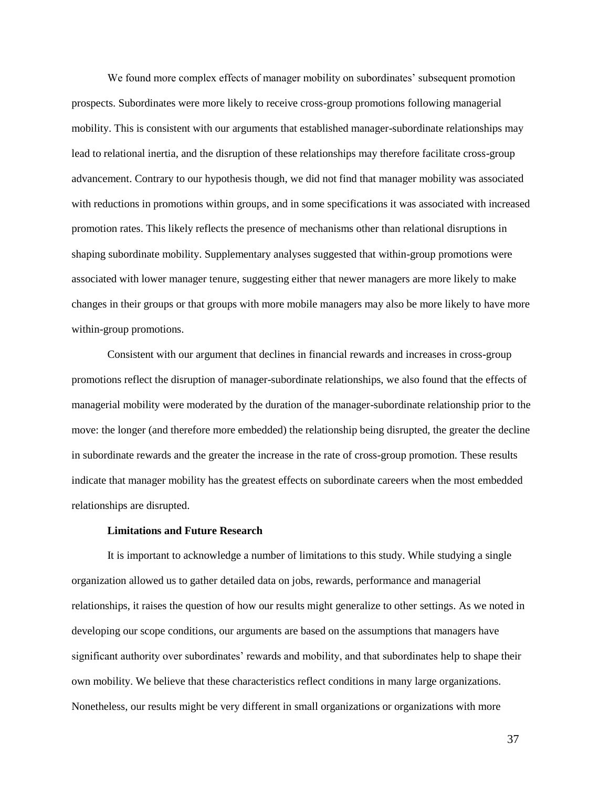We found more complex effects of manager mobility on subordinates' subsequent promotion prospects. Subordinates were more likely to receive cross-group promotions following managerial mobility. This is consistent with our arguments that established manager-subordinate relationships may lead to relational inertia, and the disruption of these relationships may therefore facilitate cross-group advancement. Contrary to our hypothesis though, we did not find that manager mobility was associated with reductions in promotions within groups, and in some specifications it was associated with increased promotion rates. This likely reflects the presence of mechanisms other than relational disruptions in shaping subordinate mobility. Supplementary analyses suggested that within-group promotions were associated with lower manager tenure, suggesting either that newer managers are more likely to make changes in their groups or that groups with more mobile managers may also be more likely to have more within-group promotions.

Consistent with our argument that declines in financial rewards and increases in cross-group promotions reflect the disruption of manager-subordinate relationships, we also found that the effects of managerial mobility were moderated by the duration of the manager-subordinate relationship prior to the move: the longer (and therefore more embedded) the relationship being disrupted, the greater the decline in subordinate rewards and the greater the increase in the rate of cross-group promotion. These results indicate that manager mobility has the greatest effects on subordinate careers when the most embedded relationships are disrupted.

# **Limitations and Future Research**

It is important to acknowledge a number of limitations to this study. While studying a single organization allowed us to gather detailed data on jobs, rewards, performance and managerial relationships, it raises the question of how our results might generalize to other settings. As we noted in developing our scope conditions, our arguments are based on the assumptions that managers have significant authority over subordinates' rewards and mobility, and that subordinates help to shape their own mobility. We believe that these characteristics reflect conditions in many large organizations. Nonetheless, our results might be very different in small organizations or organizations with more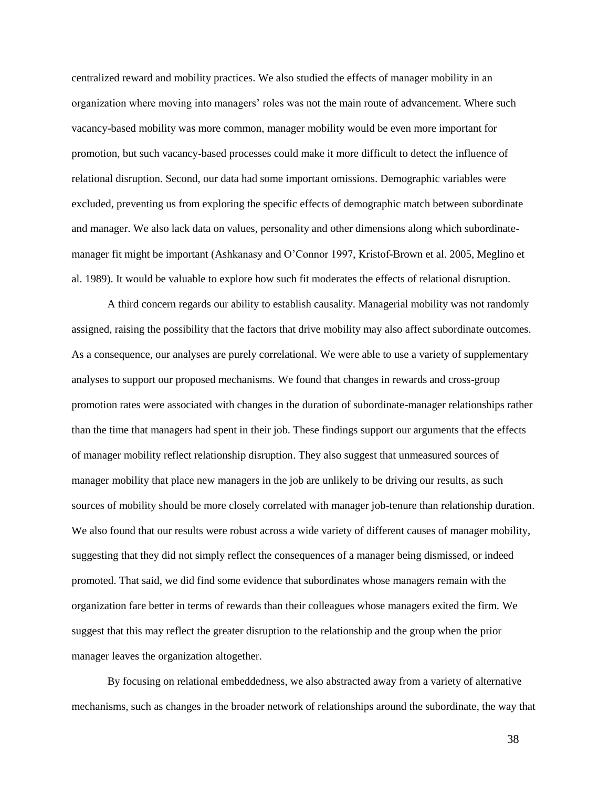centralized reward and mobility practices. We also studied the effects of manager mobility in an organization where moving into managers' roles was not the main route of advancement. Where such vacancy-based mobility was more common, manager mobility would be even more important for promotion, but such vacancy-based processes could make it more difficult to detect the influence of relational disruption. Second, our data had some important omissions. Demographic variables were excluded, preventing us from exploring the specific effects of demographic match between subordinate and manager. We also lack data on values, personality and other dimensions along which subordinatemanager fit might be important (Ashkanasy and O'Connor 1997, Kristof-Brown et al. 2005, Meglino et al. 1989). It would be valuable to explore how such fit moderates the effects of relational disruption.

A third concern regards our ability to establish causality. Managerial mobility was not randomly assigned, raising the possibility that the factors that drive mobility may also affect subordinate outcomes. As a consequence, our analyses are purely correlational. We were able to use a variety of supplementary analyses to support our proposed mechanisms. We found that changes in rewards and cross-group promotion rates were associated with changes in the duration of subordinate-manager relationships rather than the time that managers had spent in their job. These findings support our arguments that the effects of manager mobility reflect relationship disruption. They also suggest that unmeasured sources of manager mobility that place new managers in the job are unlikely to be driving our results, as such sources of mobility should be more closely correlated with manager job-tenure than relationship duration. We also found that our results were robust across a wide variety of different causes of manager mobility, suggesting that they did not simply reflect the consequences of a manager being dismissed, or indeed promoted. That said, we did find some evidence that subordinates whose managers remain with the organization fare better in terms of rewards than their colleagues whose managers exited the firm. We suggest that this may reflect the greater disruption to the relationship and the group when the prior manager leaves the organization altogether.

By focusing on relational embeddedness, we also abstracted away from a variety of alternative mechanisms, such as changes in the broader network of relationships around the subordinate, the way that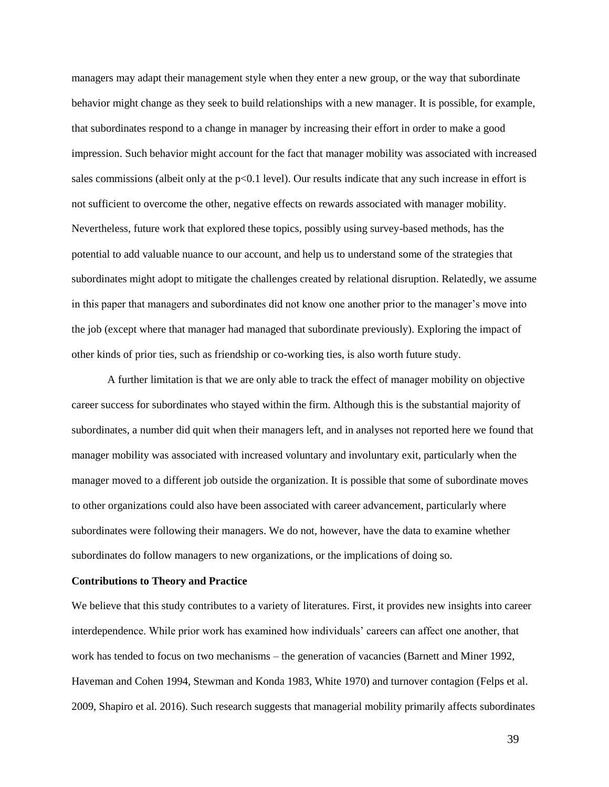managers may adapt their management style when they enter a new group, or the way that subordinate behavior might change as they seek to build relationships with a new manager. It is possible, for example, that subordinates respond to a change in manager by increasing their effort in order to make a good impression. Such behavior might account for the fact that manager mobility was associated with increased sales commissions (albeit only at the p<0.1 level). Our results indicate that any such increase in effort is not sufficient to overcome the other, negative effects on rewards associated with manager mobility. Nevertheless, future work that explored these topics, possibly using survey-based methods, has the potential to add valuable nuance to our account, and help us to understand some of the strategies that subordinates might adopt to mitigate the challenges created by relational disruption. Relatedly, we assume in this paper that managers and subordinates did not know one another prior to the manager's move into the job (except where that manager had managed that subordinate previously). Exploring the impact of other kinds of prior ties, such as friendship or co-working ties, is also worth future study.

A further limitation is that we are only able to track the effect of manager mobility on objective career success for subordinates who stayed within the firm. Although this is the substantial majority of subordinates, a number did quit when their managers left, and in analyses not reported here we found that manager mobility was associated with increased voluntary and involuntary exit, particularly when the manager moved to a different job outside the organization. It is possible that some of subordinate moves to other organizations could also have been associated with career advancement, particularly where subordinates were following their managers. We do not, however, have the data to examine whether subordinates do follow managers to new organizations, or the implications of doing so.

#### **Contributions to Theory and Practice**

We believe that this study contributes to a variety of literatures. First, it provides new insights into career interdependence. While prior work has examined how individuals' careers can affect one another, that work has tended to focus on two mechanisms – the generation of vacancies (Barnett and Miner 1992, Haveman and Cohen 1994, Stewman and Konda 1983, White 1970) and turnover contagion (Felps et al. 2009, Shapiro et al. 2016). Such research suggests that managerial mobility primarily affects subordinates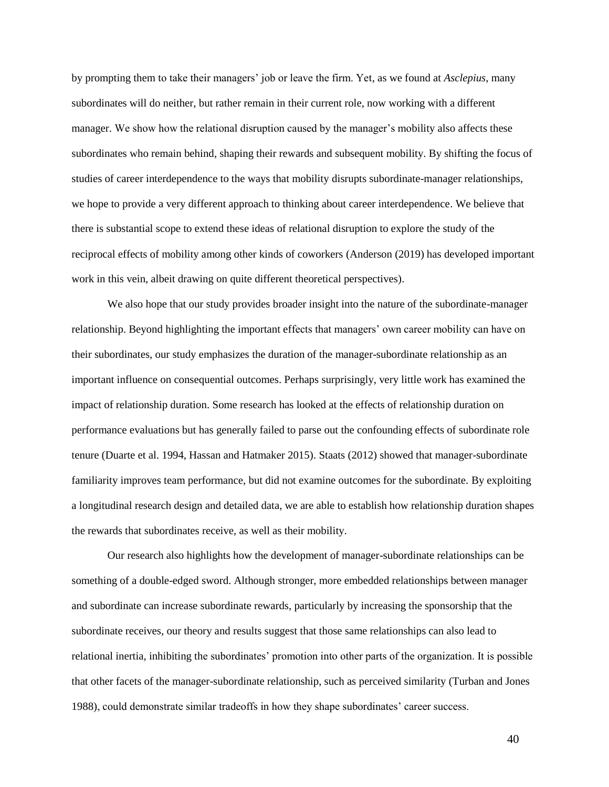by prompting them to take their managers' job or leave the firm. Yet, as we found at *Asclepius*, many subordinates will do neither, but rather remain in their current role, now working with a different manager. We show how the relational disruption caused by the manager's mobility also affects these subordinates who remain behind, shaping their rewards and subsequent mobility. By shifting the focus of studies of career interdependence to the ways that mobility disrupts subordinate-manager relationships, we hope to provide a very different approach to thinking about career interdependence. We believe that there is substantial scope to extend these ideas of relational disruption to explore the study of the reciprocal effects of mobility among other kinds of coworkers (Anderson (2019) has developed important work in this vein, albeit drawing on quite different theoretical perspectives).

We also hope that our study provides broader insight into the nature of the subordinate-manager relationship. Beyond highlighting the important effects that managers' own career mobility can have on their subordinates, our study emphasizes the duration of the manager-subordinate relationship as an important influence on consequential outcomes. Perhaps surprisingly, very little work has examined the impact of relationship duration. Some research has looked at the effects of relationship duration on performance evaluations but has generally failed to parse out the confounding effects of subordinate role tenure (Duarte et al. 1994, Hassan and Hatmaker 2015). Staats (2012) showed that manager-subordinate familiarity improves team performance, but did not examine outcomes for the subordinate. By exploiting a longitudinal research design and detailed data, we are able to establish how relationship duration shapes the rewards that subordinates receive, as well as their mobility.

Our research also highlights how the development of manager-subordinate relationships can be something of a double-edged sword. Although stronger, more embedded relationships between manager and subordinate can increase subordinate rewards, particularly by increasing the sponsorship that the subordinate receives, our theory and results suggest that those same relationships can also lead to relational inertia, inhibiting the subordinates' promotion into other parts of the organization. It is possible that other facets of the manager-subordinate relationship, such as perceived similarity (Turban and Jones 1988), could demonstrate similar tradeoffs in how they shape subordinates' career success.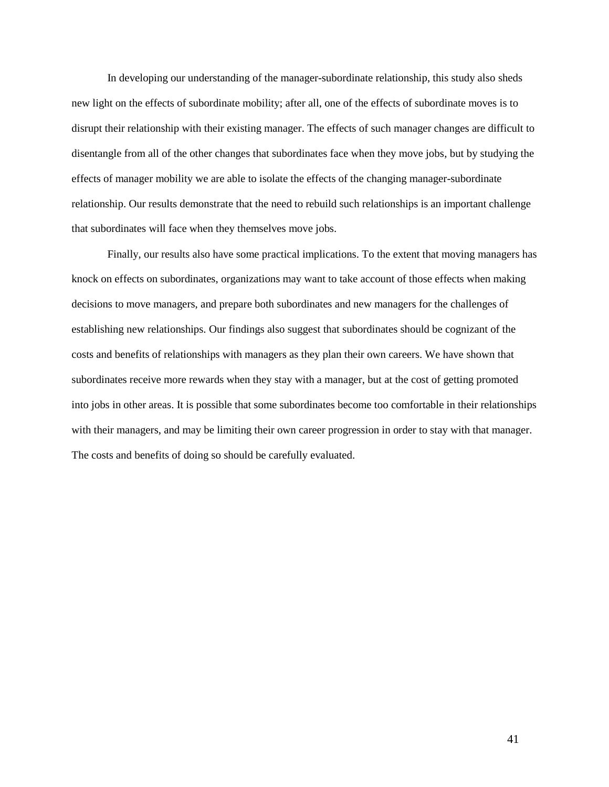In developing our understanding of the manager-subordinate relationship, this study also sheds new light on the effects of subordinate mobility; after all, one of the effects of subordinate moves is to disrupt their relationship with their existing manager. The effects of such manager changes are difficult to disentangle from all of the other changes that subordinates face when they move jobs, but by studying the effects of manager mobility we are able to isolate the effects of the changing manager-subordinate relationship. Our results demonstrate that the need to rebuild such relationships is an important challenge that subordinates will face when they themselves move jobs.

Finally, our results also have some practical implications. To the extent that moving managers has knock on effects on subordinates, organizations may want to take account of those effects when making decisions to move managers, and prepare both subordinates and new managers for the challenges of establishing new relationships. Our findings also suggest that subordinates should be cognizant of the costs and benefits of relationships with managers as they plan their own careers. We have shown that subordinates receive more rewards when they stay with a manager, but at the cost of getting promoted into jobs in other areas. It is possible that some subordinates become too comfortable in their relationships with their managers, and may be limiting their own career progression in order to stay with that manager. The costs and benefits of doing so should be carefully evaluated.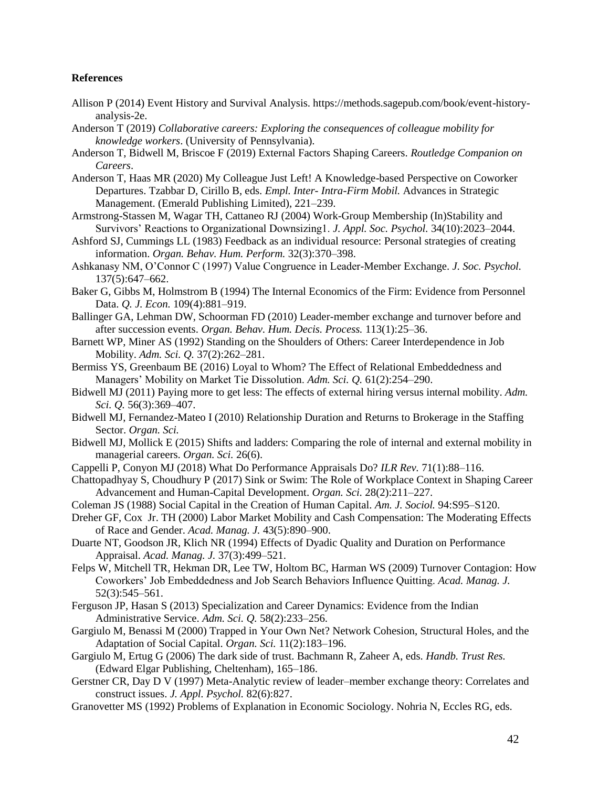## **References**

- Allison P (2014) Event History and Survival Analysis. https://methods.sagepub.com/book/event-historyanalysis-2e.
- Anderson T (2019) *Collaborative careers: Exploring the consequences of colleague mobility for knowledge workers*. (University of Pennsylvania).
- Anderson T, Bidwell M, Briscoe F (2019) External Factors Shaping Careers. *Routledge Companion on Careers*.
- Anderson T, Haas MR (2020) My Colleague Just Left! A Knowledge-based Perspective on Coworker Departures. Tzabbar D, Cirillo B, eds. *Empl. Inter- Intra-Firm Mobil.* Advances in Strategic Management. (Emerald Publishing Limited), 221–239.
- Armstrong-Stassen M, Wagar TH, Cattaneo RJ (2004) Work-Group Membership (In)Stability and Survivors' Reactions to Organizational Downsizing1. *J. Appl. Soc. Psychol.* 34(10):2023–2044.
- Ashford SJ, Cummings LL (1983) Feedback as an individual resource: Personal strategies of creating information. *Organ. Behav. Hum. Perform.* 32(3):370–398.
- Ashkanasy NM, O'Connor C (1997) Value Congruence in Leader-Member Exchange. *J. Soc. Psychol.* 137(5):647–662.
- Baker G, Gibbs M, Holmstrom B (1994) The Internal Economics of the Firm: Evidence from Personnel Data. *Q. J. Econ.* 109(4):881–919.
- Ballinger GA, Lehman DW, Schoorman FD (2010) Leader-member exchange and turnover before and after succession events. *Organ. Behav. Hum. Decis. Process.* 113(1):25–36.
- Barnett WP, Miner AS (1992) Standing on the Shoulders of Others: Career Interdependence in Job Mobility. *Adm. Sci. Q.* 37(2):262–281.
- Bermiss YS, Greenbaum BE (2016) Loyal to Whom? The Effect of Relational Embeddedness and Managers' Mobility on Market Tie Dissolution. *Adm. Sci. Q.* 61(2):254–290.
- Bidwell MJ (2011) Paying more to get less: The effects of external hiring versus internal mobility. *Adm. Sci. Q.* 56(3):369–407.
- Bidwell MJ, Fernandez-Mateo I (2010) Relationship Duration and Returns to Brokerage in the Staffing Sector. *Organ. Sci.*
- Bidwell MJ, Mollick E (2015) Shifts and ladders: Comparing the role of internal and external mobility in managerial careers. *Organ. Sci.* 26(6).
- Cappelli P, Conyon MJ (2018) What Do Performance Appraisals Do? *ILR Rev.* 71(1):88–116.
- Chattopadhyay S, Choudhury P (2017) Sink or Swim: The Role of Workplace Context in Shaping Career Advancement and Human-Capital Development. *Organ. Sci.* 28(2):211–227.
- Coleman JS (1988) Social Capital in the Creation of Human Capital. *Am. J. Sociol.* 94:S95–S120.
- Dreher GF, Cox Jr. TH (2000) Labor Market Mobility and Cash Compensation: The Moderating Effects of Race and Gender. *Acad. Manag. J.* 43(5):890–900.
- Duarte NT, Goodson JR, Klich NR (1994) Effects of Dyadic Quality and Duration on Performance Appraisal. *Acad. Manag. J.* 37(3):499–521.
- Felps W, Mitchell TR, Hekman DR, Lee TW, Holtom BC, Harman WS (2009) Turnover Contagion: How Coworkers' Job Embeddedness and Job Search Behaviors Influence Quitting. *Acad. Manag. J.* 52(3):545–561.
- Ferguson JP, Hasan S (2013) Specialization and Career Dynamics: Evidence from the Indian Administrative Service. *Adm. Sci. Q.* 58(2):233–256.
- Gargiulo M, Benassi M (2000) Trapped in Your Own Net? Network Cohesion, Structural Holes, and the Adaptation of Social Capital. *Organ. Sci.* 11(2):183–196.
- Gargiulo M, Ertug G (2006) The dark side of trust. Bachmann R, Zaheer A, eds. *Handb. Trust Res.* (Edward Elgar Publishing, Cheltenham), 165–186.
- Gerstner CR, Day D V (1997) Meta-Analytic review of leader–member exchange theory: Correlates and construct issues. *J. Appl. Psychol.* 82(6):827.
- Granovetter MS (1992) Problems of Explanation in Economic Sociology. Nohria N, Eccles RG, eds.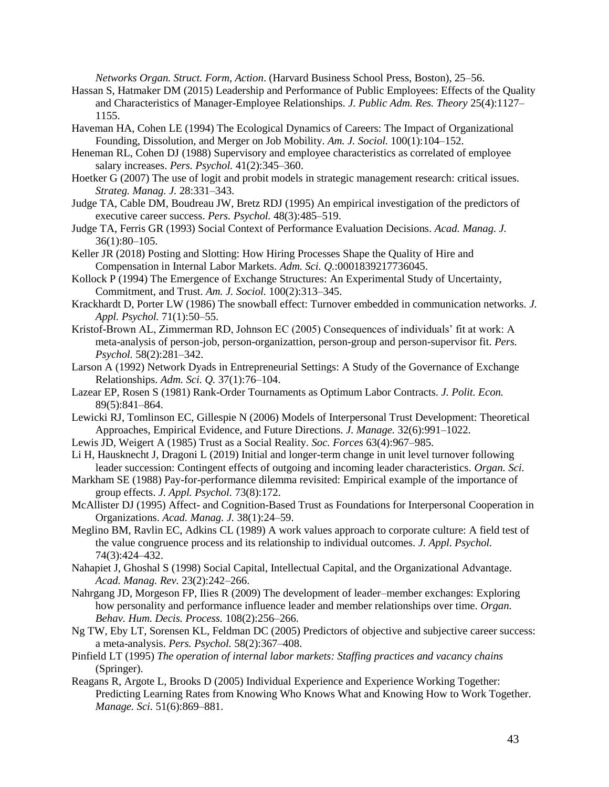*Networks Organ. Struct. Form, Action*. (Harvard Business School Press, Boston), 25–56.

- Hassan S, Hatmaker DM (2015) Leadership and Performance of Public Employees: Effects of the Quality and Characteristics of Manager-Employee Relationships. *J. Public Adm. Res. Theory* 25(4):1127– 1155.
- Haveman HA, Cohen LE (1994) The Ecological Dynamics of Careers: The Impact of Organizational Founding, Dissolution, and Merger on Job Mobility. *Am. J. Sociol.* 100(1):104–152.
- Heneman RL, Cohen DJ (1988) Supervisory and employee characteristics as correlated of employee salary increases. *Pers. Psychol.* 41(2):345–360.
- Hoetker G (2007) The use of logit and probit models in strategic management research: critical issues. *Strateg. Manag. J.* 28:331–343.
- Judge TA, Cable DM, Boudreau JW, Bretz RDJ (1995) An empirical investigation of the predictors of executive career success. *Pers. Psychol.* 48(3):485–519.
- Judge TA, Ferris GR (1993) Social Context of Performance Evaluation Decisions. *Acad. Manag. J.* 36(1):80–105.
- Keller JR (2018) Posting and Slotting: How Hiring Processes Shape the Quality of Hire and Compensation in Internal Labor Markets. *Adm. Sci. Q.*:0001839217736045.
- Kollock P (1994) The Emergence of Exchange Structures: An Experimental Study of Uncertainty, Commitment, and Trust. *Am. J. Sociol.* 100(2):313–345.
- Krackhardt D, Porter LW (1986) The snowball effect: Turnover embedded in communication networks. *J. Appl. Psychol.* 71(1):50–55.
- Kristof-Brown AL, Zimmerman RD, Johnson EC (2005) Consequences of individuals' fit at work: A meta-analysis of person-job, person-organizattion, person-group and person-supervisor fit. *Pers. Psychol.* 58(2):281–342.
- Larson A (1992) Network Dyads in Entrepreneurial Settings: A Study of the Governance of Exchange Relationships. *Adm. Sci. Q.* 37(1):76–104.
- Lazear EP, Rosen S (1981) Rank-Order Tournaments as Optimum Labor Contracts. *J. Polit. Econ.* 89(5):841–864.
- Lewicki RJ, Tomlinson EC, Gillespie N (2006) Models of Interpersonal Trust Development: Theoretical Approaches, Empirical Evidence, and Future Directions. *J. Manage.* 32(6):991–1022.
- Lewis JD, Weigert A (1985) Trust as a Social Reality. *Soc. Forces* 63(4):967–985.
- Li H, Hausknecht J, Dragoni L (2019) Initial and longer-term change in unit level turnover following leader succession: Contingent effects of outgoing and incoming leader characteristics. *Organ. Sci.*
- Markham SE (1988) Pay-for-performance dilemma revisited: Empirical example of the importance of group effects. *J. Appl. Psychol.* 73(8):172.
- McAllister DJ (1995) Affect- and Cognition-Based Trust as Foundations for Interpersonal Cooperation in Organizations. *Acad. Manag. J.* 38(1):24–59.
- Meglino BM, Ravlin EC, Adkins CL (1989) A work values approach to corporate culture: A field test of the value congruence process and its relationship to individual outcomes. *J. Appl. Psychol.* 74(3):424–432.
- Nahapiet J, Ghoshal S (1998) Social Capital, Intellectual Capital, and the Organizational Advantage. *Acad. Manag. Rev.* 23(2):242–266.
- Nahrgang JD, Morgeson FP, Ilies R (2009) The development of leader–member exchanges: Exploring how personality and performance influence leader and member relationships over time. *Organ. Behav. Hum. Decis. Process.* 108(2):256–266.
- Ng TW, Eby LT, Sorensen KL, Feldman DC (2005) Predictors of objective and subjective career success: a meta-analysis. *Pers. Psychol.* 58(2):367–408.
- Pinfield LT (1995) *The operation of internal labor markets: Staffing practices and vacancy chains* (Springer).
- Reagans R, Argote L, Brooks D (2005) Individual Experience and Experience Working Together: Predicting Learning Rates from Knowing Who Knows What and Knowing How to Work Together. *Manage. Sci.* 51(6):869–881.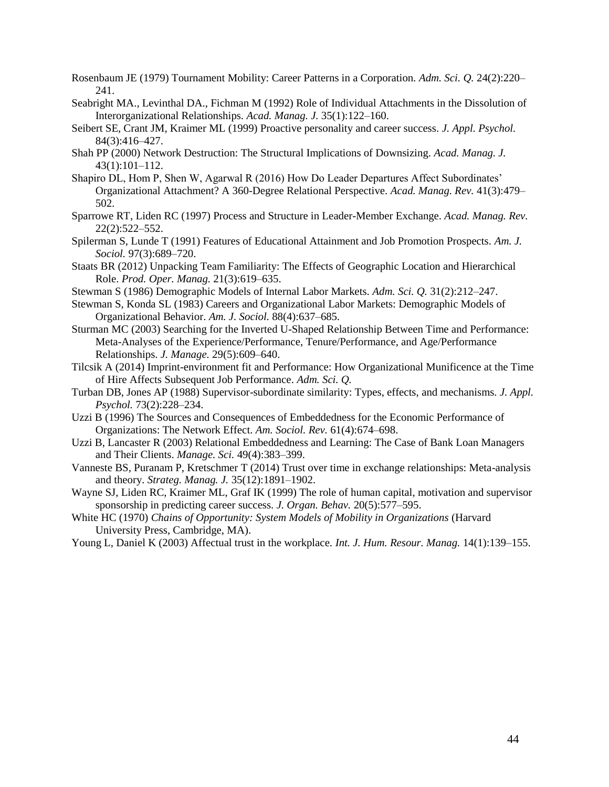- Rosenbaum JE (1979) Tournament Mobility: Career Patterns in a Corporation. *Adm. Sci. Q.* 24(2):220– 241.
- Seabright MA., Levinthal DA., Fichman M (1992) Role of Individual Attachments in the Dissolution of Interorganizational Relationships. *Acad. Manag. J.* 35(1):122–160.
- Seibert SE, Crant JM, Kraimer ML (1999) Proactive personality and career success. *J. Appl. Psychol.* 84(3):416–427.
- Shah PP (2000) Network Destruction: The Structural Implications of Downsizing. *Acad. Manag. J.* 43(1):101–112.
- Shapiro DL, Hom P, Shen W, Agarwal R (2016) How Do Leader Departures Affect Subordinates' Organizational Attachment? A 360-Degree Relational Perspective. *Acad. Manag. Rev.* 41(3):479– 502.
- Sparrowe RT, Liden RC (1997) Process and Structure in Leader-Member Exchange. *Acad. Manag. Rev.* 22(2):522–552.
- Spilerman S, Lunde T (1991) Features of Educational Attainment and Job Promotion Prospects. *Am. J. Sociol.* 97(3):689–720.
- Staats BR (2012) Unpacking Team Familiarity: The Effects of Geographic Location and Hierarchical Role. *Prod. Oper. Manag.* 21(3):619–635.
- Stewman S (1986) Demographic Models of Internal Labor Markets. *Adm. Sci. Q.* 31(2):212–247.
- Stewman S, Konda SL (1983) Careers and Organizational Labor Markets: Demographic Models of Organizational Behavior. *Am. J. Sociol.* 88(4):637–685.
- Sturman MC (2003) Searching for the Inverted U-Shaped Relationship Between Time and Performance: Meta-Analyses of the Experience/Performance, Tenure/Performance, and Age/Performance Relationships. *J. Manage.* 29(5):609–640.
- Tilcsik A (2014) Imprint-environment fit and Performance: How Organizational Munificence at the Time of Hire Affects Subsequent Job Performance. *Adm. Sci. Q.*
- Turban DB, Jones AP (1988) Supervisor-subordinate similarity: Types, effects, and mechanisms. *J. Appl. Psychol.* 73(2):228–234.
- Uzzi B (1996) The Sources and Consequences of Embeddedness for the Economic Performance of Organizations: The Network Effect. *Am. Sociol. Rev.* 61(4):674–698.
- Uzzi B, Lancaster R (2003) Relational Embeddedness and Learning: The Case of Bank Loan Managers and Their Clients. *Manage. Sci.* 49(4):383–399.
- Vanneste BS, Puranam P, Kretschmer T (2014) Trust over time in exchange relationships: Meta-analysis and theory. *Strateg. Manag. J.* 35(12):1891–1902.
- Wayne SJ, Liden RC, Kraimer ML, Graf IK (1999) The role of human capital, motivation and supervisor sponsorship in predicting career success. *J. Organ. Behav.* 20(5):577–595.
- White HC (1970) *Chains of Opportunity: System Models of Mobility in Organizations* (Harvard University Press, Cambridge, MA).
- Young L, Daniel K (2003) Affectual trust in the workplace. *Int. J. Hum. Resour. Manag.* 14(1):139–155.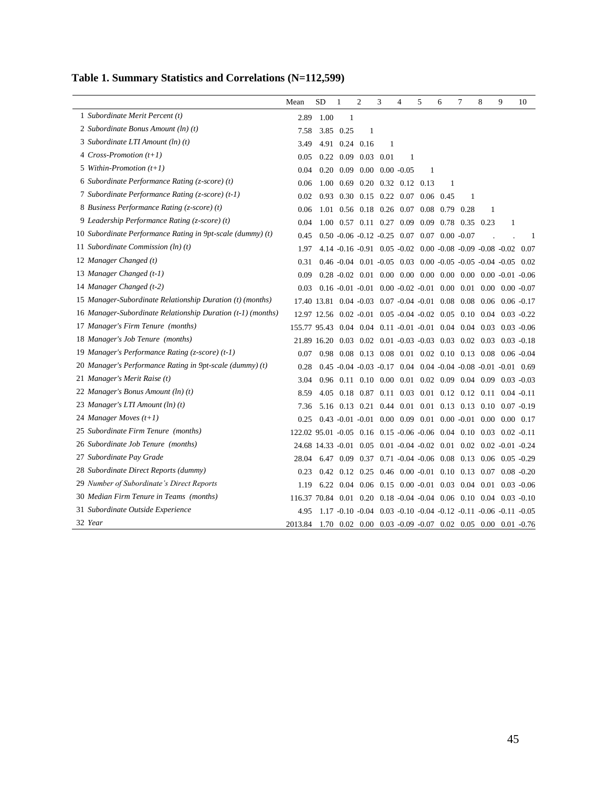|  | Table 1. Summary Statistics and Correlations (N=112,599) |  |
|--|----------------------------------------------------------|--|
|  |                                                          |  |

|                                                             | Mean                                                               | <b>SD</b>                                                          | $\mathbf{1}$ | $\mathfrak{2}$                     | 3 | $\overline{4}$ | 5 | 6                                                                                   | 7    | 8 | 9 | 10 |
|-------------------------------------------------------------|--------------------------------------------------------------------|--------------------------------------------------------------------|--------------|------------------------------------|---|----------------|---|-------------------------------------------------------------------------------------|------|---|---|----|
| 1 Subordinate Merit Percent (t)                             | 2.89                                                               | 1.00                                                               | 1            |                                    |   |                |   |                                                                                     |      |   |   |    |
| 2 Subordinate Bonus Amount (ln) (t)                         | 7.58                                                               |                                                                    | 3.85 0.25    | 1                                  |   |                |   |                                                                                     |      |   |   |    |
| 3 Subordinate LTI Amount (ln) (t)                           | 3.49                                                               |                                                                    |              | 4.91 0.24 0.16                     | 1 |                |   |                                                                                     |      |   |   |    |
| 4 Cross-Promotion $(t+1)$                                   | 0.05                                                               |                                                                    |              | $0.22$ 0.09 0.03 0.01              |   | 1              |   |                                                                                     |      |   |   |    |
| 5 Within-Promotion $(t+1)$                                  | 0.04                                                               |                                                                    |              | $0.20$ $0.09$ $0.00$ $0.00$ $0.05$ |   |                | 1 |                                                                                     |      |   |   |    |
| 6 Subordinate Performance Rating (z-score) (t)              | 0.06                                                               |                                                                    |              | 1.00 0.69 0.20 0.32 0.12 0.13      |   |                |   | 1                                                                                   |      |   |   |    |
| 7 Subordinate Performance Rating (z-score) (t-1)            | 0.02                                                               | 0.93                                                               |              | 0.30 0.15 0.22 0.07 0.06 0.45      |   |                |   |                                                                                     | 1    |   |   |    |
| 8 Business Performance Rating (z-score) (t)                 | 0.06                                                               | 1.01                                                               |              |                                    |   |                |   | 0.56 0.18 0.26 0.07 0.08 0.79                                                       | 0.28 | 1 |   |    |
| 9 Leadership Performance Rating (z-score) (t)               | 0.04                                                               |                                                                    |              |                                    |   |                |   | 1.00 0.57 0.11 0.27 0.09 0.09 0.78 0.35 0.23                                        |      |   | 1 |    |
| 10 Subordinate Performance Rating in 9pt-scale (dummy) (t)  | 0.45                                                               |                                                                    |              |                                    |   |                |   | $0.50 - 0.06 - 0.12 - 0.25$ $0.07$ $0.07$ $0.00$ $-0.07$                            |      |   |   | 1  |
| 11 Subordinate Commission (ln) (t)                          | 1.97                                                               |                                                                    |              |                                    |   |                |   | 4.14 -0.16 -0.91 0.05 -0.02 0.00 -0.08 -0.09 -0.08 -0.02 0.07                       |      |   |   |    |
| 12 Manager Changed (t)                                      | 0.31                                                               |                                                                    |              |                                    |   |                |   | $0.46 - 0.04$ $0.01 - 0.05$ $0.03$ $0.00 - 0.05 - 0.05 - 0.04 - 0.05$ $0.02$        |      |   |   |    |
| 13 Manager Changed (t-1)                                    | 0.09                                                               |                                                                    |              |                                    |   |                |   | $0.28 - 0.02$ $0.01$ $0.00$ $0.00$ $0.00$ $0.00$ $0.00$ $0.00$ $0.00 - 0.01$ $0.06$ |      |   |   |    |
| 14 Manager Changed (t-2)                                    | 0.03                                                               |                                                                    |              |                                    |   |                |   | $0.16 - 0.01 - 0.01 - 0.00 - 0.02 - 0.01 - 0.00 - 0.01 - 0.00 - 0.00 - 0.07$        |      |   |   |    |
| 15 Manager-Subordinate Relationship Duration (t) (months)   |                                                                    | 17.40 13.81 0.04 -0.03 0.07 -0.04 -0.01 0.08 0.08 0.06 0.06 -0.17  |              |                                    |   |                |   |                                                                                     |      |   |   |    |
| 16 Manager-Subordinate Relationship Duration (t-1) (months) |                                                                    | 12.97 12.56 0.02 -0.01 0.05 -0.04 -0.02 0.05 0.10 0.04 0.03 -0.22  |              |                                    |   |                |   |                                                                                     |      |   |   |    |
| 17 Manager's Firm Tenure (months)                           | 155.77 95.43 0.04 0.04 0.11 -0.01 -0.01 0.04 0.04 0.03 0.03 -0.06  |                                                                    |              |                                    |   |                |   |                                                                                     |      |   |   |    |
| 18 Manager's Job Tenure (months)                            |                                                                    | 21.89 16.20 0.03 0.02 0.01 -0.03 -0.03 0.03 0.02 0.03 0.03 -0.18   |              |                                    |   |                |   |                                                                                     |      |   |   |    |
| 19 Manager's Performance Rating (z-score) (t-1)             | 0.07                                                               |                                                                    |              |                                    |   |                |   | 0.98 0.08 0.13 0.08 0.01 0.02 0.10 0.13 0.08 0.06 -0.04                             |      |   |   |    |
| 20 Manager's Performance Rating in 9pt-scale (dummy) (t)    | 0.28                                                               |                                                                    |              |                                    |   |                |   | $0.45 - 0.04 - 0.03 - 0.17$ $0.04$ $0.04 - 0.04 - 0.08 - 0.01 - 0.01$ $0.69$        |      |   |   |    |
| 21 Manager's Merit Raise (t)                                | 3.04                                                               |                                                                    |              |                                    |   |                |   | $0.96$ $0.11$ $0.10$ $0.00$ $0.01$ $0.02$ $0.09$ $0.04$ $0.09$ $0.03$ $0.03$        |      |   |   |    |
| 22 Manager's Bonus Amount (ln) (t)                          | 8.59                                                               |                                                                    |              |                                    |   |                |   | 4.05 0.18 0.87 0.11 0.03 0.01 0.12 0.12 0.11 0.04 -0.11                             |      |   |   |    |
| 23 Manager's LTI Amount (ln) (t)                            | 7.36                                                               |                                                                    |              |                                    |   |                |   | 5.16 0.13 0.21 0.44 0.01 0.01 0.13 0.13 0.10 0.07 -0.19                             |      |   |   |    |
| 24 Manager Moves $(t+1)$                                    | 0.25                                                               |                                                                    |              |                                    |   |                |   | $0.43 - 0.01 - 0.01$ $0.00$ $0.09$ $0.01$ $0.00$ $0.01$ $0.00$ $0.00$ $0.17$        |      |   |   |    |
| 25 Subordinate Firm Tenure (months)                         | 122.02 95.01 -0.05 0.16 0.15 -0.06 -0.06 0.04 0.10 0.03 0.02 -0.11 |                                                                    |              |                                    |   |                |   |                                                                                     |      |   |   |    |
| 26 Subordinate Job Tenure (months)                          |                                                                    | 24.68 14.33 -0.01 0.05 0.01 -0.04 -0.02 0.01 0.02 0.02 -0.01 -0.24 |              |                                    |   |                |   |                                                                                     |      |   |   |    |
| 27 Subordinate Pay Grade                                    | 28.04                                                              |                                                                    |              |                                    |   |                |   | 6.47 0.09 0.37 0.71 -0.04 -0.06 0.08 0.13 0.06 0.05 -0.29                           |      |   |   |    |
| 28 Subordinate Direct Reports (dummy)                       | 0.23                                                               |                                                                    |              |                                    |   |                |   | 0.42 0.12 0.25 0.46 0.00 -0.01 0.10 0.13 0.07 0.08 -0.20                            |      |   |   |    |
| 29 Number of Subordinate's Direct Reports                   | 1.19                                                               |                                                                    |              |                                    |   |                |   | 6.22 0.04 0.06 0.15 0.00 -0.01 0.03 0.04 0.01 0.03 -0.06                            |      |   |   |    |
| 30 Median Firm Tenure in Teams (months)                     | 116.37 70.84 0.01 0.20 0.18 -0.04 -0.04 0.06 0.10 0.04 0.03 -0.10  |                                                                    |              |                                    |   |                |   |                                                                                     |      |   |   |    |
| 31 Subordinate Outside Experience                           | 4.95                                                               |                                                                    |              |                                    |   |                |   | $1.17 - 0.10 - 0.04$ $0.03 - 0.10 - 0.04 - 0.12 - 0.11 - 0.06 - 0.11 - 0.05$        |      |   |   |    |
| 32 Year                                                     | 2013.84                                                            |                                                                    |              |                                    |   |                |   | 1.70 0.02 0.00 0.03 -0.09 -0.07 0.02 0.05 0.00 0.01 -0.76                           |      |   |   |    |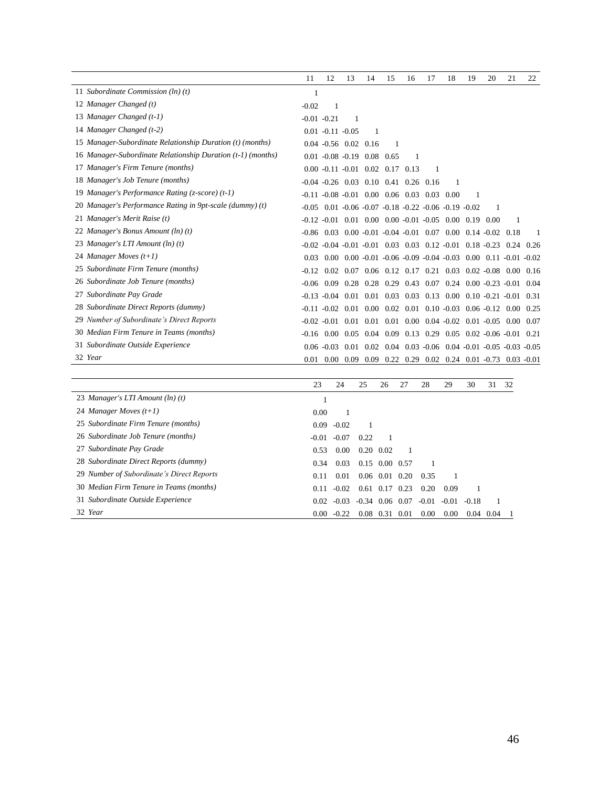|                                                             | 11             | 12                                                                                 | 13   | 14                | 15   | 16                                                                 | 17 | 18   | 19 | 20 | 21                                                                           | 22   |
|-------------------------------------------------------------|----------------|------------------------------------------------------------------------------------|------|-------------------|------|--------------------------------------------------------------------|----|------|----|----|------------------------------------------------------------------------------|------|
| 11 Subordinate Commission $(ln)(t)$                         |                |                                                                                    |      |                   |      |                                                                    |    |      |    |    |                                                                              |      |
| 12 Manager Changed (t)                                      | $-0.02$        | 1                                                                                  |      |                   |      |                                                                    |    |      |    |    |                                                                              |      |
| 13 Manager Changed (t-1)                                    | $-0.01 - 0.21$ |                                                                                    |      |                   |      |                                                                    |    |      |    |    |                                                                              |      |
| 14 Manager Changed (t-2)                                    |                | $0.01 - 0.11 - 0.05$                                                               |      | -1                |      |                                                                    |    |      |    |    |                                                                              |      |
| 15 Manager-Subordinate Relationship Duration (t) (months)   |                | $0.04 - 0.56$ $0.02$ $0.16$                                                        |      |                   |      |                                                                    |    |      |    |    |                                                                              |      |
| 16 Manager-Subordinate Relationship Duration (t-1) (months) |                | $0.01 - 0.08 - 0.19$ $0.08$ $0.65$                                                 |      |                   |      |                                                                    |    |      |    |    |                                                                              |      |
| 17 Manager's Firm Tenure (months)                           |                | $0.00 -0.11 -0.01$ $0.02$ $0.17$ $0.13$                                            |      |                   |      |                                                                    | 1  |      |    |    |                                                                              |      |
| 18 Manager's Job Tenure (months)                            |                | $-0.04$ $-0.26$ 0.03 0.10 0.41 0.26 0.16                                           |      |                   |      |                                                                    |    |      |    |    |                                                                              |      |
| 19 Manager's Performance Rating (z-score) (t-1)             |                | $-0.11$ $-0.08$ $-0.01$ $0.00$ $0.06$ $0.03$ $0.03$                                |      |                   |      |                                                                    |    | 0.00 | 1  |    |                                                                              |      |
| 20 Manager's Performance Rating in 9pt-scale (dummy) (t)    |                | $-0.05$ 0.01 $-0.06$ $-0.07$ $-0.18$ $-0.22$ $-0.06$ $-0.19$ $-0.02$               |      |                   |      |                                                                    |    |      |    |    |                                                                              |      |
| 21 Manager's Merit Raise (t)                                |                | $-0.12$ $-0.01$ 0.01 0.00 0.00 $-0.01$ $-0.05$ 0.00 0.19 0.00                      |      |                   |      |                                                                    |    |      |    |    |                                                                              |      |
| 22 Manager's Bonus Amount (ln) (t)                          | $-0.86$        |                                                                                    |      |                   |      | $0.03$ $0.00$ $-0.01$ $-0.04$ $-0.01$ $0.07$ $0.00$ $0.14$ $-0.02$ |    |      |    |    | 0.18                                                                         | 1    |
| 23 Manager's LTI Amount (ln) (t)                            |                | $-0.02$ $-0.04$ $-0.01$ $-0.01$ $0.03$ $0.03$ $0.12$ $-0.01$ $0.18$ $-0.23$ $0.24$ |      |                   |      |                                                                    |    |      |    |    |                                                                              | 0.26 |
| 24 Manager Moves $(t+1)$                                    | 0.03           |                                                                                    |      |                   |      |                                                                    |    |      |    |    | $0.00$ $0.00$ $0.01$ $0.06$ $0.09$ $0.04$ $0.03$ $0.00$ $0.11$ $0.01$ $0.02$ |      |
| 25 Subordinate Firm Tenure (months)                         | $-0.12$        |                                                                                    |      |                   |      |                                                                    |    |      |    |    | $0.02$ $0.07$ $0.06$ $0.12$ $0.17$ $0.21$ $0.03$ $0.02$ $0.08$ $0.00$ $0.16$ |      |
| 26 Subordinate Job Tenure (months)                          | $-0.06$        | 0.09                                                                               |      |                   |      |                                                                    |    |      |    |    | $0.28$ $0.28$ $0.29$ $0.43$ $0.07$ $0.24$ $0.00$ $0.23$ $0.01$               | 0.04 |
| 27 Subordinate Pay Grade                                    |                | $-0.13 - 0.04$                                                                     | 0.01 |                   |      |                                                                    |    |      |    |    | $0.01$ $0.03$ $0.03$ $0.13$ $0.00$ $0.10$ $0.21$ $0.01$                      | 0.31 |
| 28 Subordinate Direct Reports (dummy)                       |                | $-0.11$ $-0.02$ 0.01 0.00 0.02 0.01 0.10 $-0.03$ 0.06 $-0.12$ 0.00                 |      |                   |      |                                                                    |    |      |    |    |                                                                              | 0.25 |
| 29 Number of Subordinate's Direct Reports                   |                | $-0.02 - 0.01$                                                                     |      |                   |      |                                                                    |    |      |    |    | $0.01$ $0.01$ $0.01$ $0.00$ $0.04$ $0.02$ $0.01$ $0.05$ $0.00$ $0.07$        |      |
| 30 Median Firm Tenure in Teams (months)                     | $-0.16$        | 0.00 <sub>1</sub>                                                                  |      | $0.05 \quad 0.04$ | 0.09 |                                                                    |    |      |    |    | $0.13$ $0.29$ $0.05$ $0.02$ $-0.06$ $-0.01$                                  | 0.21 |
| 31 Subordinate Outside Experience                           |                | $0.06 - 0.03$                                                                      | 0.01 | 0.02              |      |                                                                    |    |      |    |    | $0.04$ $0.03$ $-0.06$ $0.04$ $-0.01$ $-0.05$ $-0.03$ $-0.05$                 |      |
| 32 Year                                                     | 0.01           |                                                                                    |      |                   |      |                                                                    |    |      |    |    | $0.00$ $0.09$ $0.09$ $0.22$ $0.29$ $0.02$ $0.24$ $0.01$ $0.73$ $0.03$ $0.01$ |      |

|                                           | 23      | 24      | 25                | 26               | 27   | 28      | 29      | 30      | 31   | 32 |
|-------------------------------------------|---------|---------|-------------------|------------------|------|---------|---------|---------|------|----|
| 23 Manager's LTI Amount (ln) (t)          |         |         |                   |                  |      |         |         |         |      |    |
| 24 Manager Moves $(t+1)$                  | 0.00    |         |                   |                  |      |         |         |         |      |    |
| 25 Subordinate Firm Tenure (months)       | 0.09    | $-0.02$ |                   |                  |      |         |         |         |      |    |
| 26 Subordinate Job Tenure (months)        | $-0.01$ | $-0.07$ | 0.22              |                  |      |         |         |         |      |    |
| 27 Subordinate Pay Grade                  | 0.53    | 0.00    |                   | $0.20\ 0.02$     |      |         |         |         |      |    |
| 28 Subordinate Direct Reports (dummy)     | 0.34    | 0.03    |                   | $0.15$ 0.00 0.57 |      |         |         |         |      |    |
| 29 Number of Subordinate's Direct Reports | 0.11    | 0.01    |                   | $0.06$ $0.01$    | 0.20 | 0.35    |         |         |      |    |
| 30 Median Firm Tenure in Teams (months)   | 0.11    | $-0.02$ |                   | $0.61$ 0.17      | 0.23 | 0.20    | 0.09    |         |      |    |
| 31 Subordinate Outside Experience         | 0.02    | $-0.03$ | $-0.34$ 0.06 0.07 |                  |      | $-0.01$ | $-0.01$ | $-0.18$ |      |    |
| 32 Year                                   | 0.00    | $-0.22$ | 0.08              | 0.31             | 0.01 | 0.00    | 0.00    | 0.04    | 0.04 |    |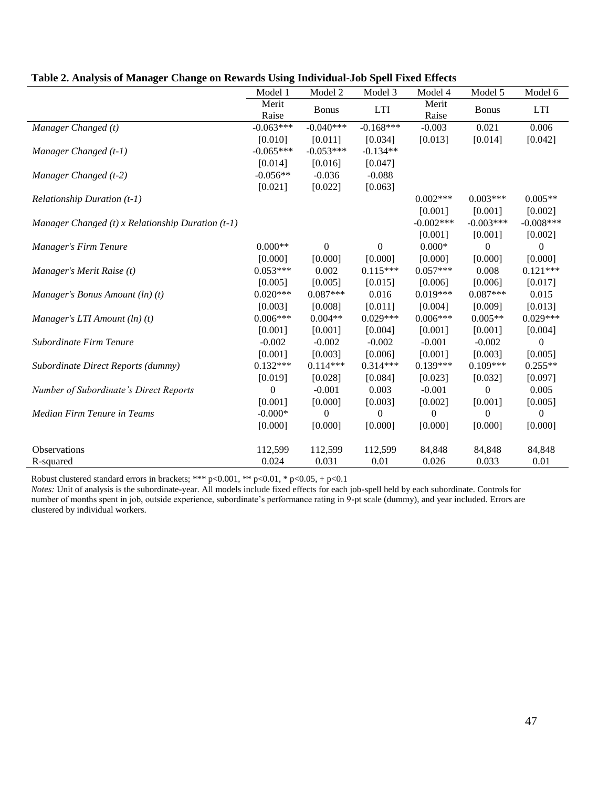|                                                       | Model 1          | Model 2        | Model 3     | Model 4        | Model 5          | Model 6          |
|-------------------------------------------------------|------------------|----------------|-------------|----------------|------------------|------------------|
|                                                       | Merit<br>Raise   | <b>Bonus</b>   | <b>LTI</b>  | Merit<br>Raise | <b>Bonus</b>     | <b>LTI</b>       |
| Manager Changed (t)                                   | $-0.063***$      | $-0.040***$    | $-0.168***$ | $-0.003$       | 0.021            | 0.006            |
|                                                       | [0.010]          | [0.011]        | [0.034]     | [0.013]        | [0.014]          | [0.042]          |
| Manager Changed (t-1)                                 | $-0.065***$      | $-0.053***$    | $-0.134**$  |                |                  |                  |
|                                                       | [0.014]          | [0.016]        | [0.047]     |                |                  |                  |
| Manager Changed (t-2)                                 | $-0.056**$       | $-0.036$       | $-0.088$    |                |                  |                  |
|                                                       | [0.021]          | [0.022]        | [0.063]     |                |                  |                  |
| Relationship Duration $(t-1)$                         |                  |                |             | $0.002***$     | $0.003***$       | $0.005**$        |
|                                                       |                  |                |             | [0.001]        | [0.001]          | [0.002]          |
| Manager Changed $(t)$ x Relationship Duration $(t-1)$ |                  |                |             | $-0.002***$    | $-0.003***$      | $-0.008***$      |
|                                                       |                  |                |             | [0.001]        | [0.001]          | [0.002]          |
| Manager's Firm Tenure                                 | $0.000**$        | $\Omega$       | $\Omega$    | $0.000*$       | $\boldsymbol{0}$ | $\boldsymbol{0}$ |
|                                                       | [0.000]          | [0.000]        | [0.000]     | [0.000]        | [0.000]          | [0.000]          |
| Manager's Merit Raise (t)                             | $0.053***$       | 0.002          | $0.115***$  | $0.057***$     | 0.008            | $0.121***$       |
|                                                       | [0.005]          | [0.005]        | [0.015]     | [0.006]        | [0.006]          | [0.017]          |
| Manager's Bonus Amount (ln) (t)                       | $0.020***$       | $0.087***$     | 0.016       | $0.019***$     | $0.087***$       | 0.015            |
|                                                       | [0.003]          | [0.008]        | [0.011]     | [0.004]        | [0.009]          | [0.013]          |
| Manager's LTI Amount $(ln)(t)$                        | $0.006***$       | $0.004**$      | $0.029***$  | $0.006***$     | $0.005**$        | $0.029***$       |
|                                                       | [0.001]          | [0.001]        | [0.004]     | [0.001]        | [0.001]          | [0.004]          |
| Subordinate Firm Tenure                               | $-0.002$         | $-0.002$       | $-0.002$    | $-0.001$       | $-0.002$         | $\theta$         |
|                                                       | [0.001]          | [0.003]        | [0.006]     | [0.001]        | [0.003]          | [0.005]          |
| Subordinate Direct Reports (dummy)                    | $0.132***$       | $0.114***$     | $0.314***$  | $0.139***$     | $0.109***$       | $0.255**$        |
|                                                       | [0.019]          | [0.028]        | [0.084]     | [0.023]        | [0.032]          | [0.097]          |
| Number of Subordinate's Direct Reports                | $\boldsymbol{0}$ | $-0.001$       | 0.003       | $-0.001$       | $\boldsymbol{0}$ | 0.005            |
|                                                       | [0.001]          | [0.000]        | [0.003]     | [0.002]        | [0.001]          | [0.005]          |
| Median Firm Tenure in Teams                           | $-0.000*$        | $\overline{0}$ | $\Omega$    | $\theta$       | $\Omega$         | $\overline{0}$   |
|                                                       | [0.000]          | [0.000]        | [0.000]     | [0.000]        | [0.000]          | [0.000]          |
| <b>Observations</b>                                   | 112,599          | 112,599        | 112,599     | 84,848         | 84,848           | 84,848           |
| R-squared                                             | 0.024            | 0.031          | 0.01        | 0.026          | 0.033            | 0.01             |

# **Table 2. Analysis of Manager Change on Rewards Using Individual-Job Spell Fixed Effects**

Robust clustered standard errors in brackets; \*\*\* p<0.001, \*\* p<0.01, \* p<0.05, + p<0.1

*Notes:* Unit of analysis is the subordinate-year. All models include fixed effects for each job-spell held by each subordinate. Controls for number of months spent in job, outside experience, subordinate's performance rating in 9-pt scale (dummy), and year included. Errors are clustered by individual workers.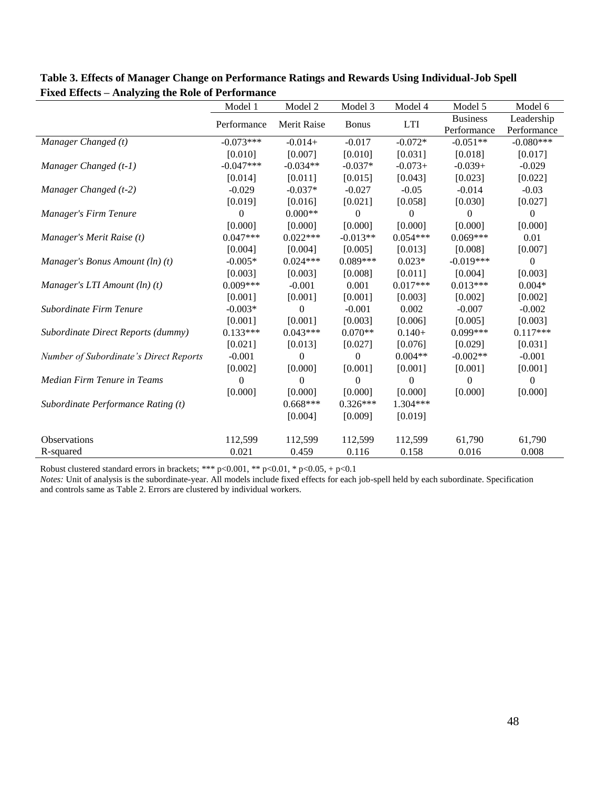|                                        | Model 1      | Model 2        | Model 3          | Model 4    | Model 5         | Model 6          |
|----------------------------------------|--------------|----------------|------------------|------------|-----------------|------------------|
|                                        | Performance  | Merit Raise    | <b>Bonus</b>     | <b>LTI</b> | <b>Business</b> | Leadership       |
|                                        |              |                |                  |            | Performance     | Performance      |
| Manager Changed (t)                    | $-0.073***$  | $-0.014+$      | $-0.017$         | $-0.072*$  | $-0.051**$      | $-0.080***$      |
|                                        | [0.010]      | [0.007]        | [0.010]          | [0.031]    | [0.018]         | [0.017]          |
| Manager Changed (t-1)                  | $-0.047***$  | $-0.034**$     | $-0.037*$        | $-0.073+$  | $-0.039+$       | $-0.029$         |
|                                        | [0.014]      | [0.011]        | [0.015]          | [0.043]    | [0.023]         | [0.022]          |
| Manager Changed (t-2)                  | $-0.029$     | $-0.037*$      | $-0.027$         | $-0.05$    | $-0.014$        | $-0.03$          |
|                                        | [0.019]      | [0.016]        | [0.021]          | [0.058]    | [0.030]         | [0.027]          |
| Manager's Firm Tenure                  | $\mathbf{0}$ | $0.000**$      | $\boldsymbol{0}$ | 0          | $\theta$        | $\boldsymbol{0}$ |
|                                        | [0.000]      | [0.000]        | [0.000]          | [0.000]    | [0.000]         | [0.000]          |
| Manager's Merit Raise (t)              | $0.047***$   | $0.022***$     | $-0.013**$       | $0.054***$ | $0.069***$      | 0.01             |
|                                        | [0.004]      | [0.004]        | [0.005]          | [0.013]    | [0.008]         | [0.007]          |
| Manager's Bonus Amount $(ln)(t)$       | $-0.005*$    | $0.024***$     | $0.089***$       | $0.023*$   | $-0.019***$     | $\mathbf{0}$     |
|                                        | [0.003]      | [0.003]        | [0.008]          | [0.011]    | [0.004]         | [0.003]          |
| Manager's LTI Amount $(ln)(t)$         | $0.009***$   | $-0.001$       | 0.001            | $0.017***$ | $0.013***$      | $0.004*$         |
|                                        | [0.001]      | [0.001]        | [0.001]          | [0.003]    | [0.002]         | [0.002]          |
| Subordinate Firm Tenure                | $-0.003*$    | $\overline{0}$ | $-0.001$         | 0.002      | $-0.007$        | $-0.002$         |
|                                        | [0.001]      | [0.001]        | [0.003]          | [0.006]    | [0.005]         | [0.003]          |
| Subordinate Direct Reports (dummy)     | $0.133***$   | $0.043***$     | $0.070**$        | $0.140+$   | $0.099***$      | $0.117***$       |
|                                        | [0.021]      | [0.013]        | [0.027]          | [0.076]    | [0.029]         | [0.031]          |
| Number of Subordinate's Direct Reports | $-0.001$     | $\theta$       | $\theta$         | $0.004**$  | $-0.002**$      | $-0.001$         |
|                                        | [0.002]      | [0.000]        | [0.001]          | [0.001]    | [0.001]         | [0.001]          |
| Median Firm Tenure in Teams            | $\Omega$     | $\Omega$       | $\theta$         | $\theta$   | $\theta$        | $\Omega$         |
|                                        | [0.000]      | [0.000]        | [0.000]          | [0.000]    | [0.000]         | [0.000]          |
| Subordinate Performance Rating (t)     |              | $0.668***$     | $0.326***$       | 1.304***   |                 |                  |
|                                        |              | [0.004]        | [0.009]          | [0.019]    |                 |                  |
| <b>Observations</b>                    | 112,599      | 112,599        | 112,599          | 112,599    | 61,790          | 61,790           |
| R-squared                              | 0.021        | 0.459          | 0.116            | 0.158      | 0.016           | 0.008            |

**Table 3. Effects of Manager Change on Performance Ratings and Rewards Using Individual-Job Spell Fixed Effects – Analyzing the Role of Performance**

*Notes:* Unit of analysis is the subordinate-year. All models include fixed effects for each job-spell held by each subordinate. Specification and controls same as Table 2. Errors are clustered by individual workers.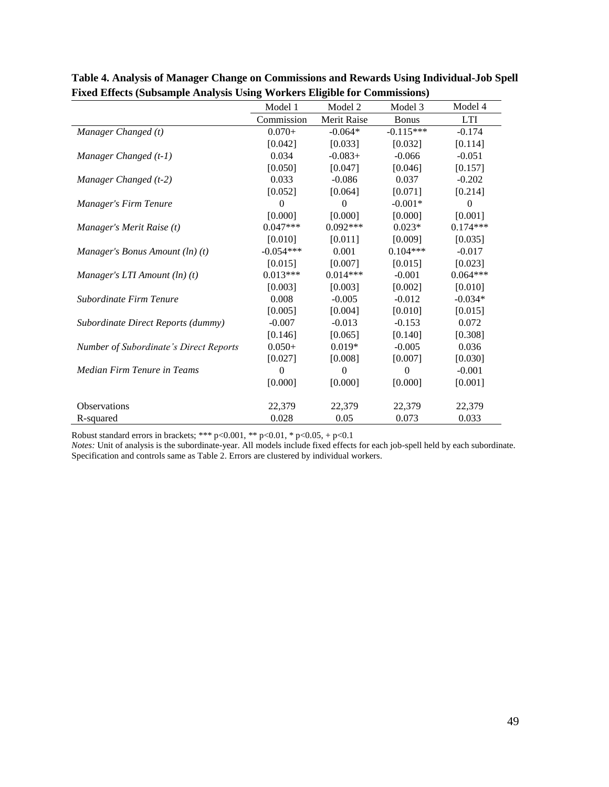|                                        | Model 1        | Model 2        | Model 3        | Model 4      |
|----------------------------------------|----------------|----------------|----------------|--------------|
|                                        | Commission     | Merit Raise    | <b>Bonus</b>   | <b>LTI</b>   |
| Manager Changed (t)                    | $0.070+$       | $-0.064*$      | $-0.115***$    | $-0.174$     |
|                                        | [0.042]        | [0.033]        | [0.032]        | [0.114]      |
| Manager Changed (t-1)                  | 0.034          | $-0.083+$      | $-0.066$       | $-0.051$     |
|                                        | [0.050]        | [0.047]        | [0.046]        | [0.157]      |
| Manager Changed (t-2)                  | 0.033          | $-0.086$       | 0.037          | $-0.202$     |
|                                        | [0.052]        | [0.064]        | [0.071]        | [0.214]      |
| Manager's Firm Tenure                  | $\Omega$       | $\Omega$       | $-0.001*$      | $\mathbf{0}$ |
|                                        | [0.000]        | [0.000]        | [0.000]        | [0.001]      |
| Manager's Merit Raise (t)              | $0.047***$     | $0.092***$     | $0.023*$       | $0.174***$   |
|                                        | [0.010]        | [0.011]        | [0.009]        | [0.035]      |
| Manager's Bonus Amount $(ln)(t)$       | $-0.054***$    | 0.001          | $0.104***$     | $-0.017$     |
|                                        | [0.015]        | [0.007]        | [0.015]        | [0.023]      |
| Manager's LTI Amount (ln) (t)          | $0.013***$     | $0.014***$     | $-0.001$       | $0.064***$   |
|                                        | [0.003]        | [0.003]        | [0.002]        | [0.010]      |
| Subordinate Firm Tenure                | 0.008          | $-0.005$       | $-0.012$       | $-0.034*$    |
|                                        | [0.005]        | [0.004]        | [0.010]        | [0.015]      |
| Subordinate Direct Reports (dummy)     | $-0.007$       | $-0.013$       | $-0.153$       | 0.072        |
|                                        | [0.146]        | [0.065]        | [0.140]        | [0.308]      |
| Number of Subordinate's Direct Reports | $0.050+$       | $0.019*$       | $-0.005$       | 0.036        |
|                                        | [0.027]        | [0.008]        | [0.007]        | [0.030]      |
| Median Firm Tenure in Teams            | $\overline{0}$ | $\overline{0}$ | $\overline{0}$ | $-0.001$     |
|                                        | [0.000]        | [0.000]        | [0.000]        | [0.001]      |
| <b>Observations</b>                    | 22,379         | 22,379         | 22,379         | 22,379       |
| R-squared                              | 0.028          | 0.05           | 0.073          | 0.033        |

**Table 4. Analysis of Manager Change on Commissions and Rewards Using Individual-Job Spell Fixed Effects (Subsample Analysis Using Workers Eligible for Commissions)**

*Notes:* Unit of analysis is the subordinate-year. All models include fixed effects for each job-spell held by each subordinate. Specification and controls same as Table 2. Errors are clustered by individual workers.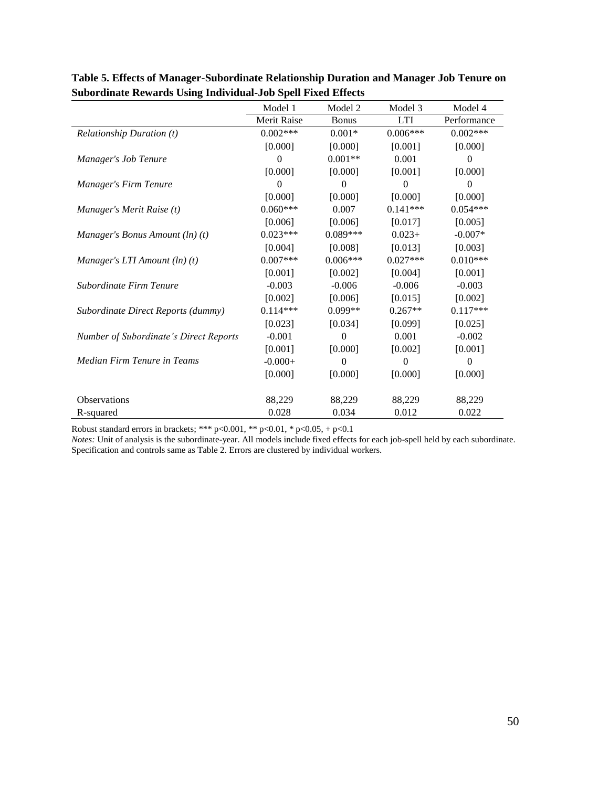|                                        | Model 1            | Model 2      | Model 3    | Model 4     |
|----------------------------------------|--------------------|--------------|------------|-------------|
|                                        | <b>Merit Raise</b> | <b>Bonus</b> | <b>LTI</b> | Performance |
| <b>Relationship Duration (t)</b>       | $0.002***$         | $0.001*$     | $0.006***$ | $0.002***$  |
|                                        | [0.000]            | [0.000]      | [0.001]    | [0.000]     |
| Manager's Job Tenure                   | $\Omega$           | $0.001**$    | 0.001      | $\theta$    |
|                                        | [0.000]            | [0.000]      | [0.001]    | [0.000]     |
| Manager's Firm Tenure                  | $\theta$           | $\mathbf{0}$ | $\theta$   | $\theta$    |
|                                        | [0.000]            | [0.000]      | [0.000]    | [0.000]     |
| Manager's Merit Raise (t)              | $0.060***$         | 0.007        | $0.141***$ | $0.054***$  |
|                                        | [0.006]            | [0.006]      | [0.017]    | [0.005]     |
| Manager's Bonus Amount $(ln)(t)$       | $0.023***$         | $0.089***$   | $0.023+$   | $-0.007*$   |
|                                        | [0.004]            | [0.008]      | [0.013]    | [0.003]     |
| Manager's LTI Amount $(ln)(t)$         | $0.007***$         | $0.006***$   | $0.027***$ | $0.010***$  |
|                                        | [0.001]            | [0.002]      | [0.004]    | [0.001]     |
| Subordinate Firm Tenure                | $-0.003$           | $-0.006$     | $-0.006$   | $-0.003$    |
|                                        | [0.002]            | [0.006]      | [0.015]    | [0.002]     |
| Subordinate Direct Reports (dummy)     | $0.114***$         | 0.099**      | $0.267**$  | $0.117***$  |
|                                        | [0.023]            | [0.034]      | [0.099]    | [0.025]     |
| Number of Subordinate's Direct Reports | $-0.001$           | $\mathbf{0}$ | 0.001      | $-0.002$    |
|                                        | [0.001]            | [0.000]      | [0.002]    | [0.001]     |
| Median Firm Tenure in Teams            | $-0.000+$          | 0            | 0          | 0           |
|                                        | [0.000]            | [0.000]      | [0.000]    | [0.000]     |
|                                        |                    |              |            |             |
| <b>Observations</b>                    | 88,229             | 88,229       | 88,229     | 88,229      |
| R-squared                              | 0.028              | 0.034        | 0.012      | 0.022       |

**Table 5. Effects of Manager-Subordinate Relationship Duration and Manager Job Tenure on Subordinate Rewards Using Individual-Job Spell Fixed Effects**

*Notes:* Unit of analysis is the subordinate-year. All models include fixed effects for each job-spell held by each subordinate. Specification and controls same as Table 2. Errors are clustered by individual workers.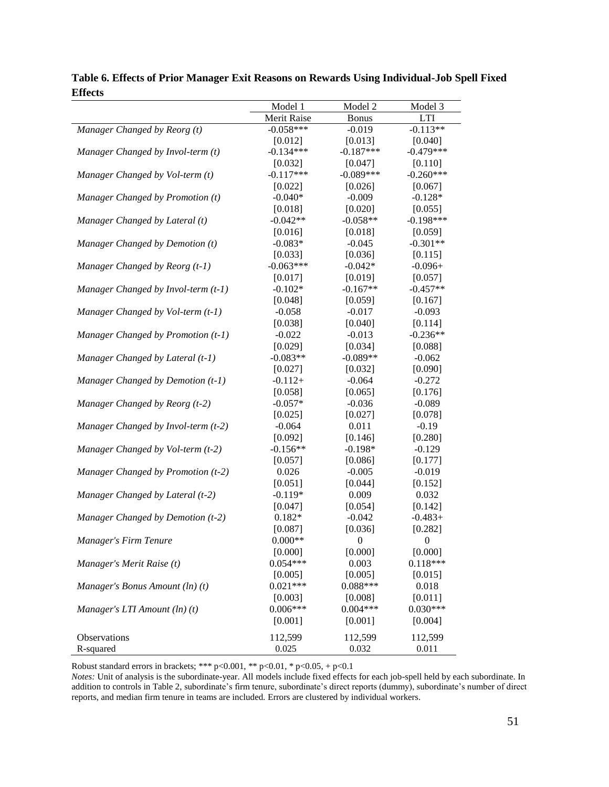|                                     | Model 1     | Model 2          | Model 3          |
|-------------------------------------|-------------|------------------|------------------|
|                                     | Merit Raise | <b>Bonus</b>     | <b>LTI</b>       |
| Manager Changed by Reorg (t)        | $-0.058***$ | $-0.019$         | $-0.113**$       |
|                                     | [0.012]     | [0.013]          | [0.040]          |
| Manager Changed by Invol-term (t)   | $-0.134***$ | $-0.187***$      | $-0.479***$      |
|                                     | [0.032]     | [0.047]          | [0.110]          |
| Manager Changed by Vol-term (t)     | $-0.117***$ | $-0.089***$      | $-0.260***$      |
|                                     | [0.022]     | [0.026]          | [0.067]          |
| Manager Changed by Promotion (t)    | $-0.040*$   | $-0.009$         | $-0.128*$        |
|                                     | [0.018]     | [0.020]          | [0.055]          |
| Manager Changed by Lateral (t)      | $-0.042**$  | $-0.058**$       | $-0.198***$      |
|                                     | [0.016]     | [0.018]          | [0.059]          |
| Manager Changed by Demotion (t)     | $-0.083*$   | $-0.045$         | $-0.301**$       |
|                                     | [0.033]     | [0.036]          | [0.115]          |
| Manager Changed by Reorg (t-1)      | $-0.063***$ | $-0.042*$        | $-0.096+$        |
|                                     | [0.017]     | [0.019]          | [0.057]          |
| Manager Changed by Invol-term (t-1) | $-0.102*$   | $-0.167**$       | $-0.457**$       |
|                                     | [0.048]     | [0.059]          | [0.167]          |
| Manager Changed by Vol-term (t-1)   | $-0.058$    | $-0.017$         | $-0.093$         |
|                                     | [0.038]     | [0.040]          | [0.114]          |
| Manager Changed by Promotion (t-1)  | $-0.022$    | $-0.013$         | $-0.236**$       |
|                                     | [0.029]     | [0.034]          | [0.088]          |
| Manager Changed by Lateral (t-1)    | $-0.083**$  | $-0.089**$       | $-0.062$         |
|                                     | [0.027]     | [0.032]          | [0.090]          |
| Manager Changed by Demotion (t-1)   | $-0.112+$   | $-0.064$         | $-0.272$         |
|                                     | [0.058]     | [0.065]          | [0.176]          |
| Manager Changed by Reorg (t-2)      | $-0.057*$   | $-0.036$         | $-0.089$         |
|                                     | [0.025]     | [0.027]          | [0.078]          |
| Manager Changed by Invol-term (t-2) | $-0.064$    | 0.011            | $-0.19$          |
|                                     | [0.092]     | [0.146]          | [0.280]          |
| Manager Changed by Vol-term (t-2)   | $-0.156**$  | $-0.198*$        | $-0.129$         |
|                                     | [0.057]     | [0.086]          | [0.177]          |
| Manager Changed by Promotion (t-2)  | 0.026       | $-0.005$         | $-0.019$         |
|                                     | [0.051]     | [0.044]          | [0.152]          |
| Manager Changed by Lateral (t-2)    | $-0.119*$   | 0.009            | 0.032            |
|                                     | [0.047]     | [0.054]          | [0.142]          |
| Manager Changed by Demotion (t-2)   | $0.182*$    | $-0.042$         | $-0.483+$        |
|                                     | [0.087]     | [0.036]          | [0.282]          |
| Manager's Firm Tenure               | $0.000**$   | $\boldsymbol{0}$ | $\boldsymbol{0}$ |
|                                     | [0.000]     | [0.000]          | [0.000]          |
| Manager's Merit Raise (t)           | $0.054***$  | 0.003            | $0.118***$       |
|                                     | [0.005]     | [0.005]          | [0.015]          |
| Manager's Bonus Amount (ln) (t)     | $0.021***$  | $0.088***$       | 0.018            |
|                                     | [0.003]     | [0.008]          | [0.011]          |
| Manager's LTI Amount (ln) (t)       | $0.006***$  | $0.004***$       | $0.030***$       |
|                                     | [0.001]     | [0.001]          | [0.004]          |
| Observations                        | 112,599     | 112,599          | 112,599          |
| R-squared                           | 0.025       | 0.032            | 0.011            |

**Table 6. Effects of Prior Manager Exit Reasons on Rewards Using Individual-Job Spell Fixed Effects**

*Notes:* Unit of analysis is the subordinate-year. All models include fixed effects for each job-spell held by each subordinate. In addition to controls in Table 2, subordinate's firm tenure, subordinate's direct reports (dummy), subordinate's number of direct reports, and median firm tenure in teams are included. Errors are clustered by individual workers.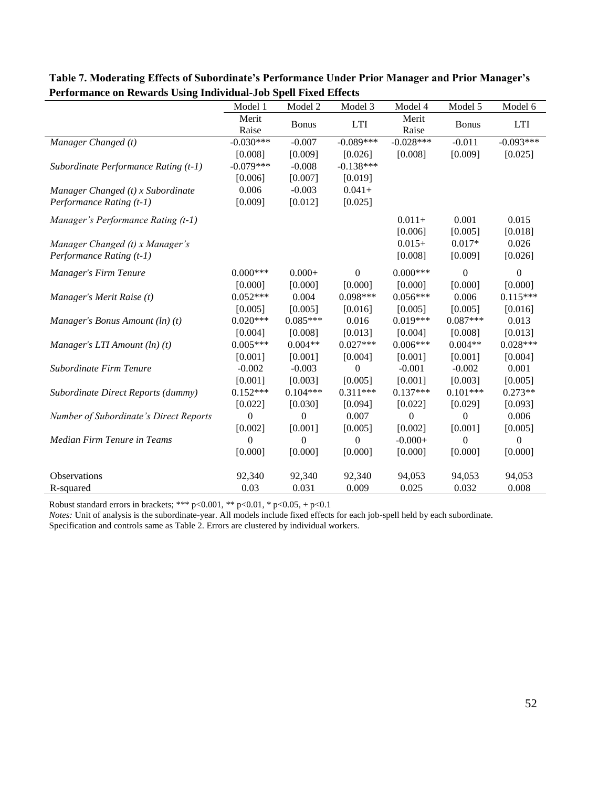| o                                      |                | Model 2      | Model 3     | Model 4              | Model 5      | Model 6     |
|----------------------------------------|----------------|--------------|-------------|----------------------|--------------|-------------|
|                                        | Model 1        |              |             |                      |              |             |
|                                        | Merit<br>Raise | <b>Bonus</b> | <b>LTI</b>  | Merit                | <b>Bonus</b> | <b>LTI</b>  |
| Manager Changed (t)                    | $-0.030***$    | $-0.007$     | $-0.089***$ | Raise<br>$-0.028***$ | $-0.011$     | $-0.093***$ |
|                                        |                |              |             |                      |              |             |
|                                        | [0.008]        | [0.009]      | [0.026]     | [0.008]              | [0.009]      | [0.025]     |
| Subordinate Performance Rating (t-1)   | $-0.079***$    | $-0.008$     | $-0.138***$ |                      |              |             |
|                                        | [0.006]        | [0.007]      | [0.019]     |                      |              |             |
| Manager Changed (t) x Subordinate      | 0.006          | $-0.003$     | $0.041 +$   |                      |              |             |
| Performance Rating (t-1)               | [0.009]        | [0.012]      | [0.025]     |                      |              |             |
| Manager's Performance Rating (t-1)     |                |              |             | $0.011 +$            | 0.001        | 0.015       |
|                                        |                |              |             | [0.006]              | [0.005]      | [0.018]     |
| Manager Changed (t) x Manager's        |                |              |             | $0.015+$             | $0.017*$     | 0.026       |
| Performance Rating (t-1)               |                |              |             | [0.008]              | [0.009]      | [0.026]     |
|                                        |                |              |             |                      |              |             |
| Manager's Firm Tenure                  | $0.000***$     | $0.000 +$    | $\Omega$    | $0.000***$           | $\Omega$     | $\Omega$    |
|                                        | [0.000]        | [0.000]      | [0.000]     | [0.000]              | [0.000]      | [0.000]     |
| Manager's Merit Raise (t)              | $0.052***$     | 0.004        | $0.098***$  | $0.056***$           | 0.006        | $0.115***$  |
|                                        | [0.005]        | [0.005]      | [0.016]     | [0.005]              | [0.005]      | [0.016]     |
| Manager's Bonus Amount (ln) (t)        | $0.020***$     | $0.085***$   | 0.016       | $0.019***$           | $0.087***$   | 0.013       |
|                                        | [0.004]        | [0.008]      | [0.013]     | [0.004]              | [0.008]      | [0.013]     |
| Manager's LTI Amount $(ln)(t)$         | $0.005***$     | $0.004**$    | $0.027***$  | $0.006***$           | $0.004**$    | $0.028***$  |
|                                        | [0.001]        | [0.001]      | [0.004]     | [0.001]              | [0.001]      | [0.004]     |
| Subordinate Firm Tenure                | $-0.002$       | $-0.003$     | $\theta$    | $-0.001$             | $-0.002$     | 0.001       |
|                                        | [0.001]        | [0.003]      | [0.005]     | [0.001]              | [0.003]      | [0.005]     |
| Subordinate Direct Reports (dummy)     | $0.152***$     | $0.104***$   | $0.311***$  | $0.137***$           | $0.101***$   | $0.273**$   |
|                                        | [0.022]        | [0.030]      | [0.094]     | [0.022]              | [0.029]      | [0.093]     |
| Number of Subordinate's Direct Reports | $\theta$       | $\Omega$     | 0.007       | $\Omega$             | $\theta$     | 0.006       |
|                                        | [0.002]        | [0.001]      | [0.005]     | [0.002]              | [0.001]      | [0.005]     |
| Median Firm Tenure in Teams            | $\Omega$       | $\theta$     | $\Omega$    | $-0.000+$            | $\theta$     | $\Omega$    |
|                                        | [0.000]        | [0.000]      | [0.000]     | [0.000]              | [0.000]      | [0.000]     |
|                                        |                |              |             |                      |              |             |
| <b>Observations</b>                    | 92,340         | 92,340       | 92,340      | 94,053               | 94,053       | 94,053      |
| R-squared                              | 0.03           | 0.031        | 0.009       | 0.025                | 0.032        | 0.008       |

**Table 7. Moderating Effects of Subordinate's Performance Under Prior Manager and Prior Manager's Performance on Rewards Using Individual-Job Spell Fixed Effects**

*Notes:* Unit of analysis is the subordinate-year. All models include fixed effects for each job-spell held by each subordinate.

Specification and controls same as Table 2. Errors are clustered by individual workers.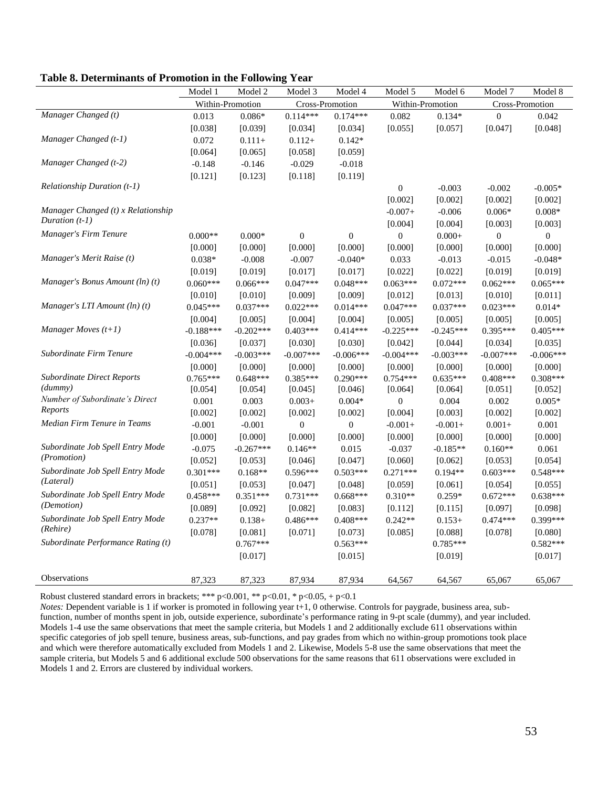| Table 8. Determinants of Promotion in the Following Year |  |  |  |  |  |  |  |  |  |  |  |  |  |  |  |  |  |
|----------------------------------------------------------|--|--|--|--|--|--|--|--|--|--|--|--|--|--|--|--|--|
|----------------------------------------------------------|--|--|--|--|--|--|--|--|--|--|--|--|--|--|--|--|--|

|                                    | Model 1          | Model 2     | Model 3         | Model 4        | Model 5          | Model 6     | Model 7         | Model 8          |
|------------------------------------|------------------|-------------|-----------------|----------------|------------------|-------------|-----------------|------------------|
|                                    | Within-Promotion |             | Cross-Promotion |                | Within-Promotion |             | Cross-Promotion |                  |
| Manager Changed (t)                | 0.013            | $0.086*$    | $0.114***$      | $0.174***$     | 0.082            | $0.134*$    | $\theta$        | 0.042            |
|                                    | [0.038]          | [0.039]     | [0.034]         | [0.034]        | [0.055]          | [0.057]     | [0.047]         | [0.048]          |
| Manager Changed (t-1)              | 0.072            | $0.111 +$   | $0.112+$        | $0.142*$       |                  |             |                 |                  |
|                                    | [0.064]          | [0.065]     | [0.058]         | [0.059]        |                  |             |                 |                  |
| Manager Changed (t-2)              | $-0.148$         | $-0.146$    | $-0.029$        | $-0.018$       |                  |             |                 |                  |
|                                    | [0.121]          | [0.123]     | [0.118]         | [0.119]        |                  |             |                 |                  |
| Relationship Duration (t-1)        |                  |             |                 |                | $\boldsymbol{0}$ | $-0.003$    | $-0.002$        | $-0.005*$        |
|                                    |                  |             |                 |                | [0.002]          | [0.002]     | [0.002]         | [0.002]          |
| Manager Changed (t) x Relationship |                  |             |                 |                | $-0.007+$        | $-0.006$    | $0.006*$        | $0.008*$         |
| Duration $(t-1)$                   |                  |             |                 |                | [0.004]          | [0.004]     | [0.003]         | [0.003]          |
| Manager's Firm Tenure              | $0.000**$        | $0.000*$    | $\theta$        | $\theta$       | $\overline{0}$   | $0.000 +$   | $\mathbf{0}$    | $\boldsymbol{0}$ |
|                                    | [0.000]          | [0.000]     | [0.000]         | [0.000]        | [0.000]          | [0.000]     | [0.000]         | [0.000]          |
| Manager's Merit Raise (t)          | $0.038*$         | $-0.008$    | $-0.007$        | $-0.040*$      | 0.033            | $-0.013$    | $-0.015$        | $-0.048*$        |
|                                    | [0.019]          | [0.019]     | [0.017]         | [0.017]        | [0.022]          | [0.022]     | [0.019]         | [0.019]          |
| Manager's Bonus Amount $(ln)(t)$   | $0.060***$       | $0.066***$  | $0.047***$      | $0.048***$     | $0.063***$       | $0.072***$  | $0.062***$      | $0.065***$       |
|                                    | [0.010]          | [0.010]     | [0.009]         | [0.009]        | [0.012]          | [0.013]     | [0.010]         | [0.011]          |
| Manager's LTI Amount $(ln)(t)$     | $0.045***$       | $0.037***$  | $0.022***$      | $0.014***$     | $0.047***$       | $0.037***$  | $0.023***$      | $0.014*$         |
|                                    | [0.004]          | [0.005]     | [0.004]         | [0.004]        | [0.005]          | [0.005]     | [0.005]         | [0.005]          |
| Manager Moves $(t+1)$              | $-0.188***$      | $-0.202***$ | $0.403***$      | $0.414***$     | $-0.225***$      | $-0.245***$ | $0.395***$      | $0.405***$       |
|                                    | [0.036]          | [0.037]     | [0.030]         | [0.030]        | [0.042]          | [0.044]     | [0.034]         | [0.035]          |
| Subordinate Firm Tenure            | $-0.004***$      | $-0.003***$ | $-0.007***$     | $-0.006***$    | $-0.004***$      | $-0.003***$ | $-0.007$ ***    | $-0.006***$      |
|                                    | [0.000]          | [0.000]     | [0.000]         | [0.000]        | [0.000]          | [0.000]     | [0.000]         | [0.000]          |
| <b>Subordinate Direct Reports</b>  | $0.765***$       | $0.648***$  | $0.385***$      | $0.290***$     | $0.754***$       | $0.635***$  | $0.408***$      | $0.308***$       |
| (dumm)                             | [0.054]          | [0.054]     | [0.045]         | [0.046]        | [0.064]          | [0.064]     | [0.051]         | [0.052]          |
| Number of Subordinate's Direct     | 0.001            | 0.003       | $0.003+$        | $0.004*$       | $\mathbf{0}$     | 0.004       | 0.002           | $0.005*$         |
| Reports                            | [0.002]          | [0.002]     | [0.002]         | [0.002]        | [0.004]          | [0.003]     | [0.002]         | [0.002]          |
| Median Firm Tenure in Teams        | $-0.001$         | $-0.001$    | $\overline{0}$  | $\overline{0}$ | $-0.001+$        | $-0.001+$   | $0.001 +$       | 0.001            |
|                                    | [0.000]          | [0.000]     | [0.000]         | [0.000]        | [0.000]          | [0.000]     | [0.000]         | [0.000]          |
| Subordinate Job Spell Entry Mode   | $-0.075$         | $-0.267***$ | $0.146**$       | 0.015          | $-0.037$         | $-0.185**$  | $0.160**$       | 0.061            |
| (Promotion)                        | [0.052]          | [0.053]     | [0.046]         | [0.047]        | [0.060]          | [0.062]     | [0.053]         | [0.054]          |
| Subordinate Job Spell Entry Mode   | $0.301***$       | $0.168**$   | $0.596***$      | $0.503***$     | $0.271***$       | $0.194**$   | $0.603***$      | 0.548***         |
| (Lateral)                          | [0.051]          | [0.053]     | [0.047]         | [0.048]        | [0.059]          | [0.061]     | [0.054]         | [0.055]          |
| Subordinate Job Spell Entry Mode   | $0.458***$       | $0.351***$  | $0.731***$      | $0.668***$     | $0.310**$        | $0.259*$    | $0.672***$      | $0.638***$       |
| (Demotion)                         | [0.089]          | [0.092]     | [0.082]         | [0.083]        | [0.112]          | [0.115]     | [0.097]         | [0.098]          |
| Subordinate Job Spell Entry Mode   | $0.237**$        | $0.138+$    | 0.486***        | $0.408***$     | $0.242**$        | $0.153+$    | $0.474***$      | $0.399***$       |
| (Rehire)                           | [0.078]          | [0.081]     | [0.071]         | [0.073]        | [0.085]          | [0.088]     | [0.078]         | [0.080]          |
| Subordinate Performance Rating (t) |                  | $0.767***$  |                 | $0.563***$     |                  | $0.785***$  |                 | $0.582***$       |
|                                    |                  | [0.017]     |                 | [0.015]        |                  | [0.019]     |                 | [0.017]          |
| Observations                       | 87,323           | 87,323      | 87,934          | 87,934         | 64,567           | 64,567      | 65,067          | 65,067           |

*Notes:* Dependent variable is 1 if worker is promoted in following year t+1, 0 otherwise. Controls for paygrade, business area, subfunction, number of months spent in job, outside experience, subordinate's performance rating in 9-pt scale (dummy), and year included. Models 1-4 use the same observations that meet the sample criteria, but Models 1 and 2 additionally exclude 611 observations within specific categories of job spell tenure, business areas, sub-functions, and pay grades from which no within-group promotions took place and which were therefore automatically excluded from Models 1 and 2. Likewise, Models 5-8 use the same observations that meet the sample criteria, but Models 5 and 6 additional exclude 500 observations for the same reasons that 611 observations were excluded in Models 1 and 2. Errors are clustered by individual workers.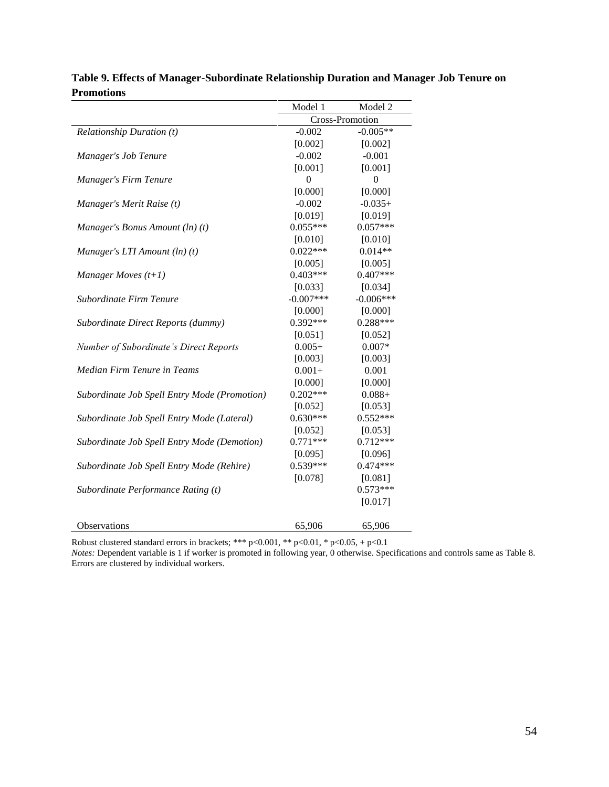|                                              | Model 1         | Model 2     |
|----------------------------------------------|-----------------|-------------|
|                                              | Cross-Promotion |             |
| <b>Relationship Duration (t)</b>             | $-0.002$        | $-0.005**$  |
|                                              | [0.002]         | [0.002]     |
| Manager's Job Tenure                         | $-0.002$        | $-0.001$    |
|                                              | [0.001]         | [0.001]     |
| Manager's Firm Tenure                        | 0               | $\theta$    |
|                                              | [0.000]         | [0.000]     |
| Manager's Merit Raise (t)                    | $-0.002$        | $-0.035+$   |
|                                              | [0.019]         | [0.019]     |
| Manager's Bonus Amount (ln) (t)              | $0.055***$      | $0.057***$  |
|                                              | [0.010]         | [0.010]     |
| Manager's LTI Amount (ln) (t)                | $0.022***$      | $0.014**$   |
|                                              | [0.005]         | [0.005]     |
| Manager Moves $(t+1)$                        | $0.403***$      | $0.407***$  |
|                                              | [0.033]         | [0.034]     |
| Subordinate Firm Tenure                      | $-0.007***$     | $-0.006***$ |
|                                              | [0.000]         | [0.000]     |
| Subordinate Direct Reports (dummy)           | $0.392***$      | $0.288***$  |
|                                              | [0.051]         | [0.052]     |
| Number of Subordinate's Direct Reports       | $0.005+$        | $0.007*$    |
|                                              | [0.003]         | [0.003]     |
| Median Firm Tenure in Teams                  | $0.001+$        | 0.001       |
|                                              | [0.000]         | [0.000]     |
| Subordinate Job Spell Entry Mode (Promotion) | $0.202***$      | $0.088 +$   |
|                                              | [0.052]         | [0.053]     |
| Subordinate Job Spell Entry Mode (Lateral)   | $0.630***$      | $0.552***$  |
|                                              | [0.052]         | [0.053]     |
| Subordinate Job Spell Entry Mode (Demotion)  | $0.771***$      | $0.712***$  |
|                                              | [0.095]         | [0.096]     |
| Subordinate Job Spell Entry Mode (Rehire)    | $0.539***$      | $0.474***$  |
|                                              | [0.078]         | [0.081]     |
| Subordinate Performance Rating (t)           |                 | $0.573***$  |
|                                              |                 | [0.017]     |
|                                              |                 |             |
| Observations                                 | 65,906          | 65,906      |

**Table 9. Effects of Manager-Subordinate Relationship Duration and Manager Job Tenure on Promotions**

*Notes:* Dependent variable is 1 if worker is promoted in following year, 0 otherwise. Specifications and controls same as Table 8. Errors are clustered by individual workers.